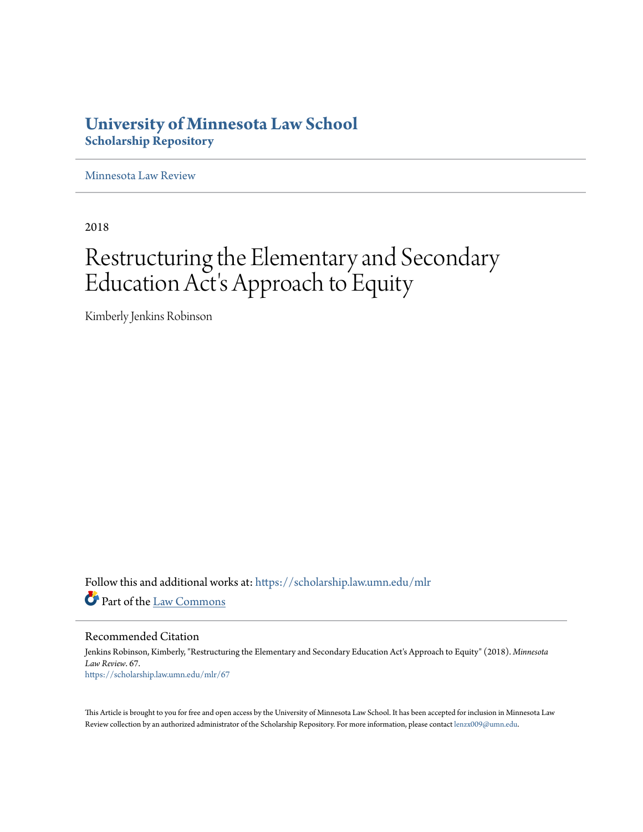# **University of Minnesota Law School [Scholarship Repository](https://scholarship.law.umn.edu?utm_source=scholarship.law.umn.edu%2Fmlr%2F67&utm_medium=PDF&utm_campaign=PDFCoverPages)**

[Minnesota Law Review](https://scholarship.law.umn.edu/mlr?utm_source=scholarship.law.umn.edu%2Fmlr%2F67&utm_medium=PDF&utm_campaign=PDFCoverPages)

2018

# Restructuring the Elementary and Secondary Education Act's Approach to Equity

Kimberly Jenkins Robinson

Follow this and additional works at: [https://scholarship.law.umn.edu/mlr](https://scholarship.law.umn.edu/mlr?utm_source=scholarship.law.umn.edu%2Fmlr%2F67&utm_medium=PDF&utm_campaign=PDFCoverPages) Part of the [Law Commons](http://network.bepress.com/hgg/discipline/578?utm_source=scholarship.law.umn.edu%2Fmlr%2F67&utm_medium=PDF&utm_campaign=PDFCoverPages)

Recommended Citation

Jenkins Robinson, Kimberly, "Restructuring the Elementary and Secondary Education Act's Approach to Equity" (2018). *Minnesota Law Review*. 67. [https://scholarship.law.umn.edu/mlr/67](https://scholarship.law.umn.edu/mlr/67?utm_source=scholarship.law.umn.edu%2Fmlr%2F67&utm_medium=PDF&utm_campaign=PDFCoverPages)

This Article is brought to you for free and open access by the University of Minnesota Law School. It has been accepted for inclusion in Minnesota Law Review collection by an authorized administrator of the Scholarship Repository. For more information, please contact [lenzx009@umn.edu.](mailto:lenzx009@umn.edu)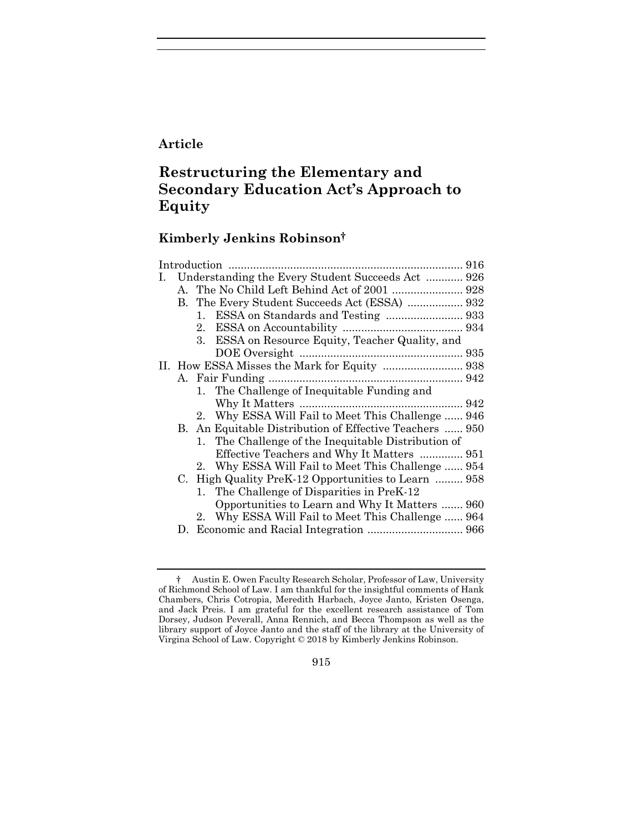### **Article**

# **Restructuring the Elementary and Secondary Education Act's Approach to Equity**

## **Kimberly Jenkins Robinson†**

| 1. |    | Understanding the Every Student Succeeds Act  926       |  |
|----|----|---------------------------------------------------------|--|
|    |    | A. The No Child Left Behind Act of 2001  928            |  |
|    |    |                                                         |  |
|    |    | 1.                                                      |  |
|    |    | $2_{-}$                                                 |  |
|    |    | ESSA on Resource Equity, Teacher Quality, and<br>3.     |  |
|    |    |                                                         |  |
|    |    |                                                         |  |
|    |    |                                                         |  |
|    |    | 1. The Challenge of Inequitable Funding and             |  |
|    |    |                                                         |  |
|    |    | 2. Why ESSA Will Fail to Meet This Challenge  946       |  |
|    |    | B. An Equitable Distribution of Effective Teachers  950 |  |
|    |    | The Challenge of the Inequitable Distribution of<br>1.  |  |
|    |    | Effective Teachers and Why It Matters  951              |  |
|    |    | Why ESSA Will Fail to Meet This Challenge  954<br>2.    |  |
|    |    | C. High Quality PreK-12 Opportunities to Learn  958     |  |
|    |    | The Challenge of Disparities in PreK-12<br>$1_{\cdot}$  |  |
|    |    | Opportunities to Learn and Why It Matters  960          |  |
|    |    | Why ESSA Will Fail to Meet This Challenge  964<br>2.    |  |
|    | D. |                                                         |  |

915

<sup>†</sup> Austin E. Owen Faculty Research Scholar, Professor of Law, University of Richmond School of Law. I am thankful for the insightful comments of Hank Chambers, Chris Cotropia, Meredith Harbach, Joyce Janto, Kristen Osenga, and Jack Preis. I am grateful for the excellent research assistance of Tom Dorsey, Judson Peverall, Anna Rennich, and Becca Thompson as well as the library support of Joyce Janto and the staff of the library at the University of Virgina School of Law. Copyright © 2018 by Kimberly Jenkins Robinson.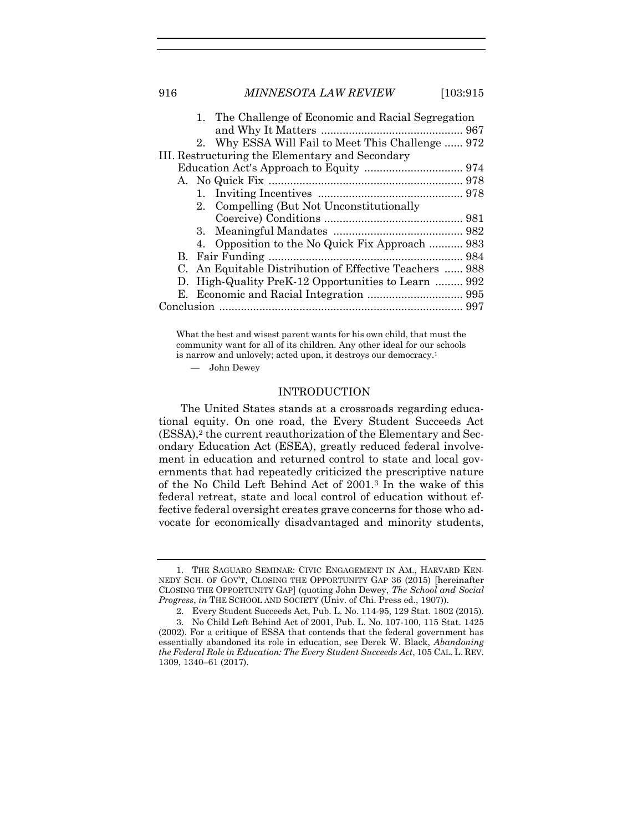916 *MINNESOTA LAW REVIEW* [103:915

|                                                 |  | 1. The Challenge of Economic and Racial Segregation     |  |  |  |  |
|-------------------------------------------------|--|---------------------------------------------------------|--|--|--|--|
|                                                 |  |                                                         |  |  |  |  |
|                                                 |  | 2. Why ESSA Will Fail to Meet This Challenge  972       |  |  |  |  |
| III. Restructuring the Elementary and Secondary |  |                                                         |  |  |  |  |
|                                                 |  |                                                         |  |  |  |  |
|                                                 |  |                                                         |  |  |  |  |
|                                                 |  |                                                         |  |  |  |  |
|                                                 |  | 2. Compelling (But Not Unconstitutionally               |  |  |  |  |
|                                                 |  |                                                         |  |  |  |  |
|                                                 |  |                                                         |  |  |  |  |
|                                                 |  | 4. Opposition to the No Quick Fix Approach  983         |  |  |  |  |
|                                                 |  |                                                         |  |  |  |  |
|                                                 |  | C. An Equitable Distribution of Effective Teachers  988 |  |  |  |  |
| $D_{\tau}$                                      |  | High-Quality PreK-12 Opportunities to Learn  992        |  |  |  |  |
|                                                 |  |                                                         |  |  |  |  |
|                                                 |  |                                                         |  |  |  |  |
|                                                 |  |                                                         |  |  |  |  |

What the best and wisest parent wants for his own child, that must the community want for all of its children. Any other ideal for our schools is narrow and unlovely; acted upon, it destroys our democracy.<sup>1</sup>

— John Dewey

#### <span id="page-2-1"></span><span id="page-2-0"></span>INTRODUCTION

The United States stands at a crossroads regarding educational equity. On one road, the Every Student Succeeds Act (ESSA),<sup>2</sup> the current reauthorization of the Elementary and Secondary Education Act (ESEA), greatly reduced federal involvement in education and returned control to state and local governments that had repeatedly criticized the prescriptive nature of the No Child Left Behind Act of 2001.<sup>3</sup> In the wake of this federal retreat, state and local control of education without effective federal oversight creates grave concerns for those who advocate for economically disadvantaged and minority students,

<sup>1.</sup> THE SAGUARO SEMINAR: CIVIC ENGAGEMENT IN AM., HARVARD KEN-NEDY SCH. OF GOV'T, CLOSING THE OPPORTUNITY GAP 36 (2015) [hereinafter CLOSING THE OPPORTUNITY GAP] (quoting John Dewey, *The School and Social Progress*, *in* THE SCHOOL AND SOCIETY (Univ. of Chi. Press ed., 1907)).

<sup>2.</sup> Every Student Succeeds Act, Pub. L. No. 114-95, 129 Stat. 1802 (2015).

<sup>3.</sup> No Child Left Behind Act of 2001, Pub. L. No. 107-100, 115 Stat. 1425 (2002). For a critique of ESSA that contends that the federal government has essentially abandoned its role in education, see Derek W. Black, *Abandoning the Federal Role in Education: The Every Student Succeeds Act*, 105 CAL. L. REV. 1309, 1340–61 (2017).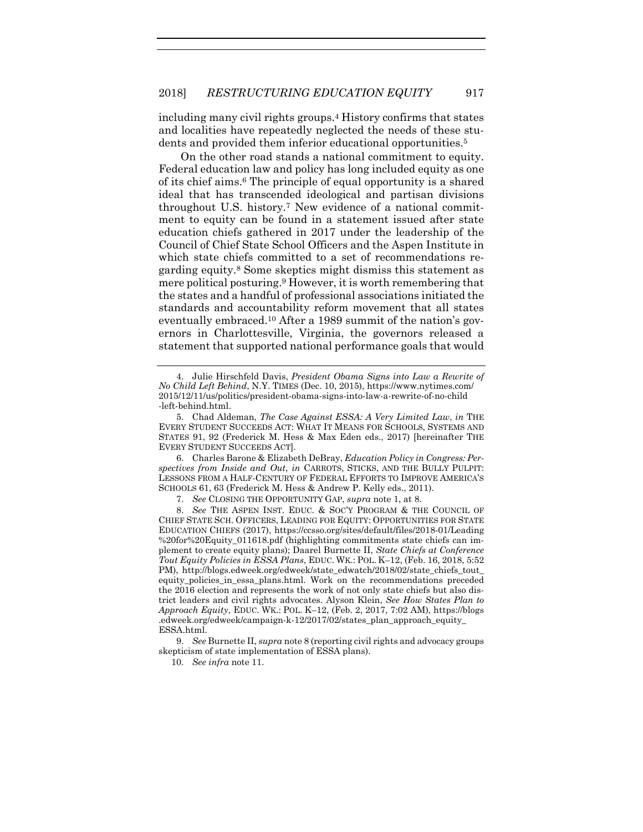including many civil rights groups.<sup>4</sup> History confirms that states and localities have repeatedly neglected the needs of these students and provided them inferior educational opportunities.<sup>5</sup>

<span id="page-3-2"></span><span id="page-3-1"></span>On the other road stands a national commitment to equity. Federal education law and policy has long included equity as one of its chief aims.<sup>6</sup> The principle of equal opportunity is a shared ideal that has transcended ideological and partisan divisions throughout U.S. history.<sup>7</sup> New evidence of a national commitment to equity can be found in a statement issued after state education chiefs gathered in 2017 under the leadership of the Council of Chief State School Officers and the Aspen Institute in which state chiefs committed to a set of recommendations regarding equity. <sup>8</sup> Some skeptics might dismiss this statement as mere political posturing.<sup>9</sup> However, it is worth remembering that the states and a handful of professional associations initiated the standards and accountability reform movement that all states eventually embraced.<sup>10</sup> After a 1989 summit of the nation's governors in Charlottesville, Virginia, the governors released a statement that supported national performance goals that would

6. Charles Barone & Elizabeth DeBray, *Education Policy in Congress: Perspectives from Inside and Out*, *in* CARROTS, STICKS, AND THE BULLY PULPIT: LESSONS FROM A HALF-CENTURY OF FEDERAL EFFORTS TO IMPROVE AMERICA'S SCHOOLS 61, 63 (Frederick M. Hess & Andrew P. Kelly eds., 2011).

7. *See* CLOSING THE OPPORTUNITY GAP, *supra* note [1,](#page-2-0) at 8.

8. *See* THE ASPEN INST. EDUC. & SOC'Y PROGRAM & THE COUNCIL OF CHIEF STATE SCH. OFFICERS, LEADING FOR EQUITY: OPPORTUNITIES FOR STATE EDUCATION CHIEFS (2017), https://ccsso.org/sites/default/files/2018-01/Leading %20for%20Equity\_011618.pdf (highlighting commitments state chiefs can implement to create equity plans); Daarel Burnette II, *State Chiefs at Conference Tout Equity Policies in ESSA Plans*, EDUC. WK.: POL. K–12, (Feb. 16, 2018, 5:52 PM), http://blogs.edweek.org/edweek/state\_edwatch/2018/02/state\_chiefs\_tout\_ equity policies in essa plans.html. Work on the recommendations preceded the 2016 election and represents the work of not only state chiefs but also district leaders and civil rights advocates. Alyson Klein, *See How States Plan to Approach Equity*, EDUC. WK.: POL. K–12, (Feb. 2, 2017, 7:02 AM), https://blogs .edweek.org/edweek/campaign-k-12/2017/02/states\_plan\_approach\_equity\_ ESSA.html.

9. *See* Burnette II, *supra* not[e 8](#page-3-0) (reporting civil rights and advocacy groups skepticism of state implementation of ESSA plans).

10. *See infra* note [11.](#page-4-0)

<span id="page-3-0"></span><sup>4.</sup> Julie Hirschfeld Davis, *President Obama Signs into Law a Rewrite of No Child Left Behind*, N.Y. TIMES (Dec. 10, 2015), https://www.nytimes.com/ 2015/12/11/us/politics/president-obama-signs-into-law-a-rewrite-of-no-child -left-behind.html.

<sup>5.</sup> Chad Aldeman, *The Case Against ESSA: A Very Limited Law*, *in* THE EVERY STUDENT SUCCEEDS ACT: WHAT IT MEANS FOR SCHOOLS, SYSTEMS AND STATES 91, 92 (Frederick M. Hess & Max Eden eds., 2017) [hereinafter THE EVERY STUDENT SUCCEEDS ACT].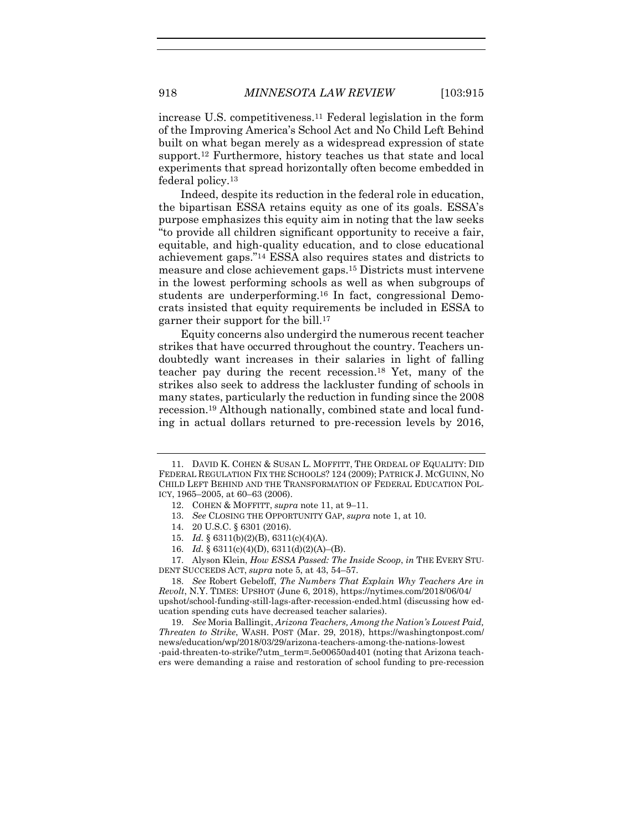<span id="page-4-0"></span>increase U.S. competitiveness.<sup>11</sup> Federal legislation in the form of the Improving America's School Act and No Child Left Behind built on what began merely as a widespread expression of state support.<sup>12</sup> Furthermore, history teaches us that state and local experiments that spread horizontally often become embedded in federal policy.<sup>13</sup>

Indeed, despite its reduction in the federal role in education, the bipartisan ESSA retains equity as one of its goals. ESSA's purpose emphasizes this equity aim in noting that the law seeks "to provide all children significant opportunity to receive a fair, equitable, and high-quality education, and to close educational achievement gaps."<sup>14</sup> ESSA also requires states and districts to measure and close achievement gaps.<sup>15</sup> Districts must intervene in the lowest performing schools as well as when subgroups of students are underperforming.<sup>16</sup> In fact, congressional Democrats insisted that equity requirements be included in ESSA to garner their support for the bill.<sup>17</sup>

<span id="page-4-2"></span><span id="page-4-1"></span>Equity concerns also undergird the numerous recent teacher strikes that have occurred throughout the country. Teachers undoubtedly want increases in their salaries in light of falling teacher pay during the recent recession. <sup>18</sup> Yet, many of the strikes also seek to address the lackluster funding of schools in many states, particularly the reduction in funding since the 2008 recession.<sup>19</sup> Although nationally, combined state and local funding in actual dollars returned to pre-recession levels by 2016,

- 15. *Id.* § 6311(b)(2)(B), 6311(c)(4)(A).
- 16. *Id.* § 6311(c)(4)(D), 6311(d)(2)(A)–(B).

17. Alyson Klein, *How ESSA Passed: The Inside Scoop*, *in* THE EVERY STU-DENT SUCCEEDS ACT, *supra* note [5,](#page-3-1) at 43, 54–57.

18. *See* Robert Gebeloff, *The Numbers That Explain Why Teachers Are in Revolt*, N.Y. TIMES: UPSHOT (June 6, 2018), https://nytimes.com/2018/06/04/ upshot/school-funding-still-lags-after-recession-ended.html (discussing how education spending cuts have decreased teacher salaries).

19. *See* Moria Ballingit, *Arizona Teachers, Among the Nation's Lowest Paid, Threaten to Strike*, WASH. POST (Mar. 29, 2018), https://washingtonpost.com/ news/education/wp/2018/03/29/arizona-teachers-among-the-nations-lowest -paid-threaten-to-strike/?utm\_term=.5e00650ad401 (noting that Arizona teachers were demanding a raise and restoration of school funding to pre-recession

<sup>11.</sup> DAVID K. COHEN & SUSAN L. MOFFITT, THE ORDEAL OF EQUALITY: DID FEDERAL REGULATION FIX THE SCHOOLS? 124 (2009); PATRICK J. MCGUINN, NO CHILD LEFT BEHIND AND THE TRANSFORMATION OF FEDERAL EDUCATION POL-ICY, 1965–2005, at 60–63 (2006).

<sup>12.</sup> COHEN & MOFFITT, *supra* not[e 11,](#page-4-0) at 9–11.

<sup>13.</sup> *See* CLOSING THE OPPORTUNITY GAP, *supra* not[e 1,](#page-2-0) at 10.

<sup>14.</sup> 20 U.S.C. § 6301 (2016).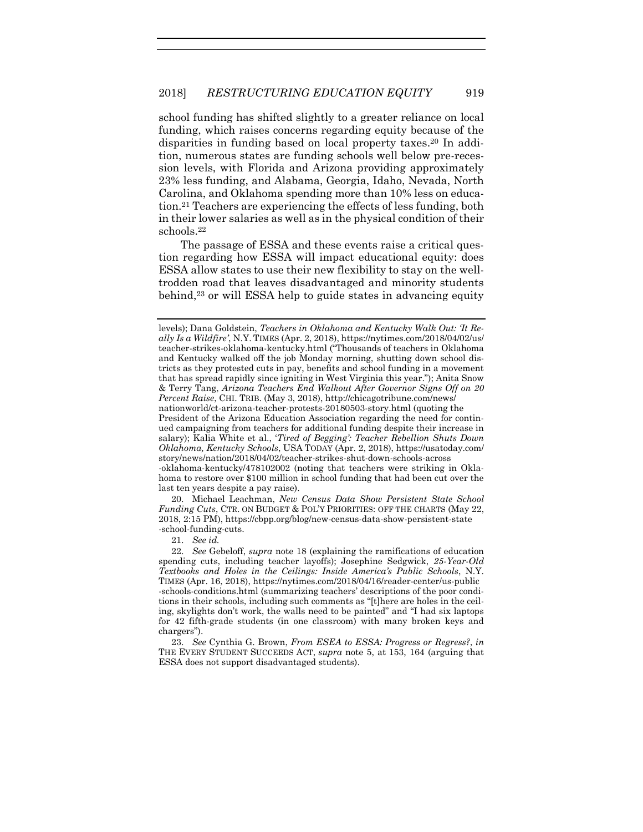school funding has shifted slightly to a greater reliance on local funding, which raises concerns regarding equity because of the disparities in funding based on local property taxes. <sup>20</sup> In addition, numerous states are funding schools well below pre-recession levels, with Florida and Arizona providing approximately 23% less funding, and Alabama, Georgia, Idaho, Nevada, North Carolina, and Oklahoma spending more than 10% less on education. <sup>21</sup> Teachers are experiencing the effects of less funding, both in their lower salaries as well as in the physical condition of their schools.<sup>22</sup>

The passage of ESSA and these events raise a critical question regarding how ESSA will impact educational equity: does ESSA allow states to use their new flexibility to stay on the welltrodden road that leaves disadvantaged and minority students behind,<sup>23</sup> or will ESSA help to guide states in advancing equity

20. Michael Leachman, *New Census Data Show Persistent State School Funding Cuts*, CTR. ON BUDGET & POL'Y PRIORITIES: OFF THE CHARTS (May 22, 2018, 2:15 PM), https://cbpp.org/blog/new-census-data-show-persistent-state -school-funding-cuts.

21. *See id.*

<span id="page-5-0"></span>levels); Dana Goldstein, *Teachers in Oklahoma and Kentucky Walk Out: 'It Really Is a Wildfire'*, N.Y. TIMES (Apr. 2, 2018), https://nytimes.com/2018/04/02/us/ teacher-strikes-oklahoma-kentucky.html ("Thousands of teachers in Oklahoma and Kentucky walked off the job Monday morning, shutting down school districts as they protested cuts in pay, benefits and school funding in a movement that has spread rapidly since igniting in West Virginia this year."); Anita Snow & Terry Tang, *Arizona Teachers End Walkout After Governor Signs Off on 20 Percent Raise*, CHI. TRIB. (May 3, 2018), http://chicagotribune.com/news/ nationworld/ct-arizona-teacher-protests-20180503-story.html (quoting the President of the Arizona Education Association regarding the need for continued campaigning from teachers for additional funding despite their increase in

salary); Kalia White et al., '*Tired of Begging': Teacher Rebellion Shuts Down Oklahoma, Kentucky Schools*, USA TODAY (Apr. 2, 2018), https://usatoday.com/ story/news/nation/2018/04/02/teacher-strikes-shut-down-schools-across -oklahoma-kentucky/478102002 (noting that teachers were striking in Okla-

homa to restore over \$100 million in school funding that had been cut over the last ten years despite a pay raise).

<sup>22.</sup> *See* Gebeloff, *supra* note [18](#page-4-1) (explaining the ramifications of education spending cuts, including teacher layoffs); Josephine Sedgwick, *25-Year-Old Textbooks and Holes in the Ceilings: Inside America's Public Schools*, N.Y. TIMES (Apr. 16, 2018), https://nytimes.com/2018/04/16/reader-center/us-public -schools-conditions.html (summarizing teachers' descriptions of the poor conditions in their schools, including such comments as "[t]here are holes in the ceiling, skylights don't work, the walls need to be painted" and "I had six laptops for 42 fifth-grade students (in one classroom) with many broken keys and chargers").

<sup>23.</sup> *See* Cynthia G. Brown, *From ESEA to ESSA: Progress or Regress?*, *in* THE EVERY STUDENT SUCCEEDS ACT, *supra* note [5,](#page-3-1) at 153, 164 (arguing that ESSA does not support disadvantaged students).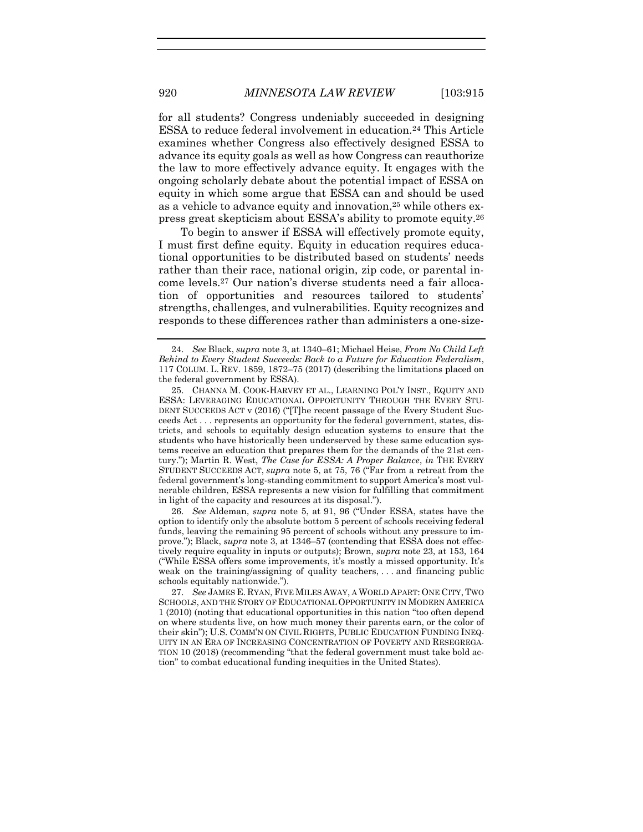for all students? Congress undeniably succeeded in designing ESSA to reduce federal involvement in education.<sup>24</sup> This Article examines whether Congress also effectively designed ESSA to advance its equity goals as well as how Congress can reauthorize the law to more effectively advance equity. It engages with the ongoing scholarly debate about the potential impact of ESSA on equity in which some argue that ESSA can and should be used as a vehicle to advance equity and innovation,<sup>25</sup> while others express great skepticism about ESSA's ability to promote equity.<sup>26</sup>

<span id="page-6-0"></span>To begin to answer if ESSA will effectively promote equity, I must first define equity. Equity in education requires educational opportunities to be distributed based on students' needs rather than their race, national origin, zip code, or parental income levels. <sup>27</sup> Our nation's diverse students need a fair allocation of opportunities and resources tailored to students' strengths, challenges, and vulnerabilities. Equity recognizes and responds to these differences rather than administers a one-size-

26. *See* Aldeman, *supra* note [5,](#page-3-1) at 91, 96 ("Under ESSA, states have the option to identify only the absolute bottom 5 percent of schools receiving federal funds, leaving the remaining 95 percent of schools without any pressure to improve."); Black, *supra* not[e 3,](#page-2-1) at 1346–57 (contending that ESSA does not effectively require equality in inputs or outputs); Brown, *supra* note [23,](#page-5-0) at 153, 164 ("While ESSA offers some improvements, it's mostly a missed opportunity. It's weak on the training/assigning of quality teachers, . . . and financing public schools equitably nationwide.").

<sup>24.</sup> *See* Black, *supra* not[e 3,](#page-2-1) at 1340–61; Michael Heise, *From No Child Left Behind to Every Student Succeeds: Back to a Future for Education Federalism*, 117 COLUM. L. REV. 1859, 1872–75 (2017) (describing the limitations placed on the federal government by ESSA).

<sup>25.</sup> CHANNA M. COOK-HARVEY ET AL., LEARNING POL'Y INST., EQUITY AND ESSA: LEVERAGING EDUCATIONAL OPPORTUNITY THROUGH THE EVERY STU-DENT SUCCEEDS ACT v (2016) ("[T]he recent passage of the Every Student Succeeds Act . . . represents an opportunity for the federal government, states, districts, and schools to equitably design education systems to ensure that the students who have historically been underserved by these same education systems receive an education that prepares them for the demands of the 21st century."); Martin R. West, *The Case for ESSA: A Proper Balance*, *in* THE EVERY STUDENT SUCCEEDS ACT, *supra* note [5](#page-3-1), at 75, 76 ("Far from a retreat from the federal government's long-standing commitment to support America's most vulnerable children, ESSA represents a new vision for fulfilling that commitment in light of the capacity and resources at its disposal.").

<sup>27.</sup> *See* JAMES E. RYAN, FIVE MILES AWAY, A WORLD APART: ONE CITY, TWO SCHOOLS, AND THE STORY OF EDUCATIONAL OPPORTUNITY IN MODERN AMERICA 1 (2010) (noting that educational opportunities in this nation "too often depend on where students live, on how much money their parents earn, or the color of their skin"); U.S. COMM'N ON CIVIL RIGHTS, PUBLIC EDUCATION FUNDING INEQ-UITY IN AN ERA OF INCREASING CONCENTRATION OF POVERTY AND RESEGREGA-TION 10 (2018) (recommending "that the federal government must take bold action" to combat educational funding inequities in the United States).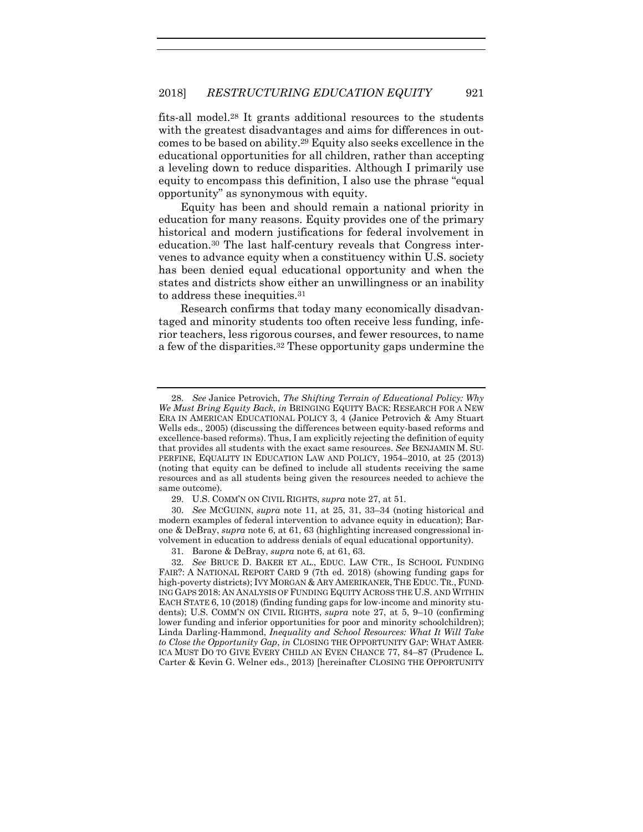fits-all model.<sup>28</sup> It grants additional resources to the students with the greatest disadvantages and aims for differences in outcomes to be based on ability. <sup>29</sup> Equity also seeks excellence in the educational opportunities for all children, rather than accepting a leveling down to reduce disparities. Although I primarily use equity to encompass this definition, I also use the phrase "equal opportunity" as synonymous with equity.

Equity has been and should remain a national priority in education for many reasons. Equity provides one of the primary historical and modern justifications for federal involvement in education.<sup>30</sup> The last half-century reveals that Congress intervenes to advance equity when a constituency within U.S. society has been denied equal educational opportunity and when the states and districts show either an unwillingness or an inability to address these inequities.<sup>31</sup>

<span id="page-7-0"></span>Research confirms that today many economically disadvantaged and minority students too often receive less funding, inferior teachers, less rigorous courses, and fewer resources, to name a few of the disparities.<sup>32</sup> These opportunity gaps undermine the

<sup>28.</sup> *See* Janice Petrovich, *The Shifting Terrain of Educational Policy: Why We Must Bring Equity Back*, *in* BRINGING EQUITY BACK: RESEARCH FOR A NEW ERA IN AMERICAN EDUCATIONAL POLICY 3, 4 (Janice Petrovich & Amy Stuart Wells eds., 2005) (discussing the differences between equity-based reforms and excellence-based reforms). Thus, I am explicitly rejecting the definition of equity that provides all students with the exact same resources. *See* BENJAMIN M. SU-PERFINE, EQUALITY IN EDUCATION LAW AND POLICY, 1954–2010, at 25 (2013) (noting that equity can be defined to include all students receiving the same resources and as all students being given the resources needed to achieve the same outcome).

<sup>29.</sup> U.S. COMM'N ON CIVIL RIGHTS, *supra* not[e 27,](#page-6-0) at 51.

<sup>30.</sup> *See* MCGUINN, *supra* note [11,](#page-4-0) at 25, 31, 33–34 (noting historical and modern examples of federal intervention to advance equity in education); Barone & DeBray, *supra* not[e 6,](#page-3-2) at 61, 63 (highlighting increased congressional involvement in education to address denials of equal educational opportunity).

<sup>31.</sup> Barone & DeBray, *supra* note [6,](#page-3-2) at 61, 63.

<sup>32.</sup> *See* BRUCE D. BAKER ET AL., EDUC. LAW CTR., IS SCHOOL FUNDING FAIR?: A NATIONAL REPORT CARD 9 (7th ed. 2018) (showing funding gaps for high-poverty districts); IVY MORGAN & ARY AMERIKANER, THE EDUC.TR., FUND-ING GAPS 2018: AN ANALYSIS OF FUNDING EQUITY ACROSS THE U.S. AND WITHIN EACH STATE 6, 10 (2018) (finding funding gaps for low-income and minority students); U.S. COMM'N ON CIVIL RIGHTS, *supra* note [27,](#page-6-0) at 5, 9-10 (confirming lower funding and inferior opportunities for poor and minority schoolchildren); Linda Darling-Hammond, *Inequality and School Resources: What It Will Take to Close the Opportunity Gap*, *in* CLOSING THE OPPORTUNITY GAP: WHAT AMER-ICA MUST DO TO GIVE EVERY CHILD AN EVEN CHANCE 77, 84–87 (Prudence L. Carter & Kevin G. Welner eds., 2013) [hereinafter CLOSING THE OPPORTUNITY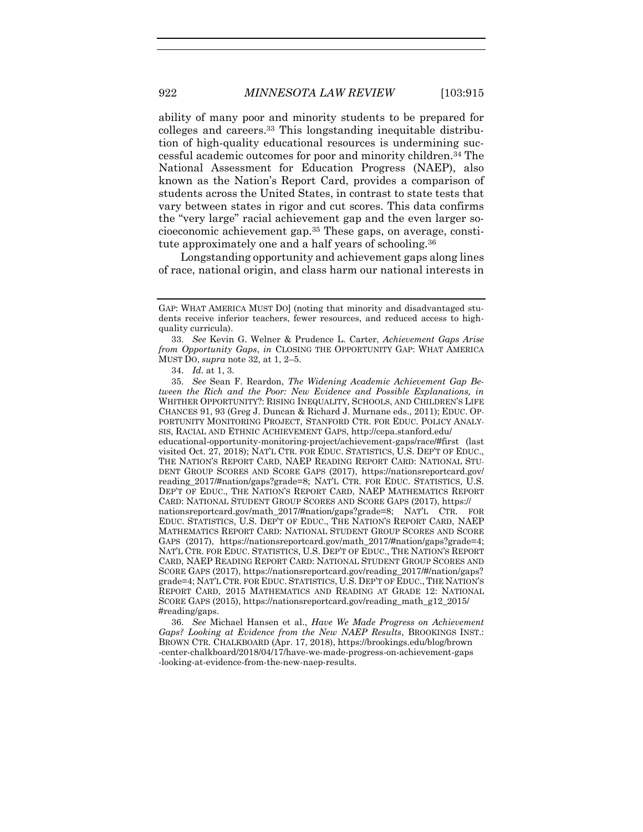ability of many poor and minority students to be prepared for colleges and careers. <sup>33</sup> This longstanding inequitable distribution of high-quality educational resources is undermining successful academic outcomes for poor and minority children.<sup>34</sup> The National Assessment for Education Progress (NAEP), also known as the Nation's Report Card, provides a comparison of students across the United States, in contrast to state tests that vary between states in rigor and cut scores. This data confirms the "very large" racial achievement gap and the even larger socioeconomic achievement gap.<sup>35</sup> These gaps, on average, constitute approximately one and a half years of schooling.<sup>36</sup>

Longstanding opportunity and achievement gaps along lines of race, national origin, and class harm our national interests in

36. *See* Michael Hansen et al., *Have We Made Progress on Achievement Gaps? Looking at Evidence from the New NAEP Results*, BROOKINGS INST.: BROWN CTR. CHALKBOARD (Apr. 17, 2018), https://brookings.edu/blog/brown -center-chalkboard/2018/04/17/have-we-made-progress-on-achievement-gaps -looking-at-evidence-from-the-new-naep-results.

GAP: WHAT AMERICA MUST DO] (noting that minority and disadvantaged students receive inferior teachers, fewer resources, and reduced access to highquality curricula).

<sup>33.</sup> *See* Kevin G. Welner & Prudence L. Carter, *Achievement Gaps Arise from Opportunity Gaps*, *in* CLOSING THE OPPORTUNITY GAP: WHAT AMERICA MUST DO, *supra* not[e 32,](#page-7-0) at 1, 2–5.

<sup>34.</sup> *Id.* at 1, 3.

<sup>35.</sup> *See* Sean F. Reardon, *The Widening Academic Achievement Gap Between the Rich and the Poor: New Evidence and Possible Explanations, in*  WHITHER OPPORTUNITY?: RISING INEQUALITY, SCHOOLS, AND CHILDREN'S LIFE CHANCES 91, 93 (Greg J. Duncan & Richard J. Murnane eds., 2011); EDUC. OP-PORTUNITY MONITORING PROJECT, STANFORD CTR. FOR EDUC. POLICY ANALY-SIS, RACIAL AND ETHNIC ACHIEVEMENT GAPS, http://cepa.stanford.edu/ educational-opportunity-monitoring-project/achievement-gaps/race/#first (last visited Oct. 27, 2018); NAT'L CTR. FOR EDUC. STATISTICS, U.S. DEP'T OF EDUC., THE NATION'S REPORT CARD, NAEP READING REPORT CARD: NATIONAL STU-DENT GROUP SCORES AND SCORE GAPS (2017), https://nationsreportcard.gov/ reading\_2017/#nation/gaps?grade=8; NAT'L CTR. FOR EDUC. STATISTICS, U.S. DEP'T OF EDUC., THE NATION'S REPORT CARD, NAEP MATHEMATICS REPORT CARD: NATIONAL STUDENT GROUP SCORES AND SCORE GAPS (2017), https:// nationsreportcard.gov/math\_2017/#nation/gaps?grade=8; NAT'L CTR. FOR EDUC. STATISTICS, U.S. DEP'T OF EDUC., THE NATION'S REPORT CARD, NAEP MATHEMATICS REPORT CARD: NATIONAL STUDENT GROUP SCORES AND SCORE GAPS (2017), https://nationsreportcard.gov/math\_2017/#nation/gaps?grade=4; NAT'L CTR. FOR EDUC. STATISTICS, U.S. DEP'T OF EDUC., THE NATION'S REPORT CARD, NAEP READING REPORT CARD: NATIONAL STUDENT GROUP SCORES AND SCORE GAPS (2017), https://nationsreportcard.gov/reading\_2017/#/nation/gaps? grade=4; NAT'L CTR. FOR EDUC. STATISTICS, U.S. DEP'T OF EDUC., THE NATION'S REPORT CARD, 2015 MATHEMATICS AND READING AT GRADE 12: NATIONAL SCORE GAPS (2015), https://nationsreportcard.gov/reading\_math\_g12\_2015/ #reading/gaps.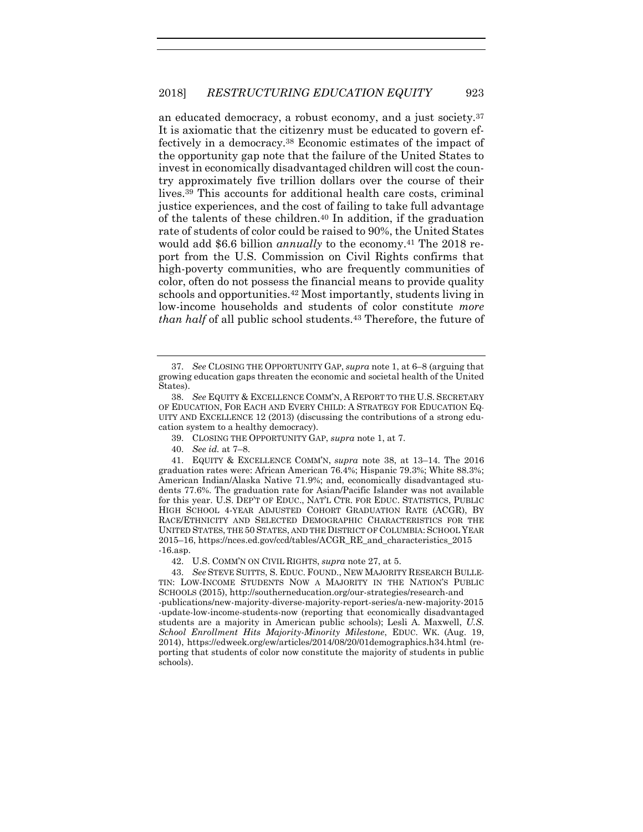<span id="page-9-0"></span>an educated democracy, a robust economy, and a just society.<sup>37</sup> It is axiomatic that the citizenry must be educated to govern effectively in a democracy.<sup>38</sup> Economic estimates of the impact of the opportunity gap note that the failure of the United States to invest in economically disadvantaged children will cost the country approximately five trillion dollars over the course of their lives. <sup>39</sup> This accounts for additional health care costs, criminal justice experiences, and the cost of failing to take full advantage of the talents of these children.<sup>40</sup> In addition, if the graduation rate of students of color could be raised to 90%, the United States would add \$6.6 billion *annually* to the economy.<sup>41</sup> The 2018 report from the U.S. Commission on Civil Rights confirms that high-poverty communities, who are frequently communities of color, often do not possess the financial means to provide quality schools and opportunities.<sup>42</sup> Most importantly, students living in low-income households and students of color constitute *more than half* of all public school students.<sup>43</sup> Therefore, the future of

<sup>37.</sup> *See* CLOSING THE OPPORTUNITY GAP, *supra* not[e 1,](#page-2-0) at 6–8 (arguing that growing education gaps threaten the economic and societal health of the United States).

<sup>38.</sup> *See* EQUITY & EXCELLENCE COMM'N, A REPORT TO THE U.S. SECRETARY OF EDUCATION, FOR EACH AND EVERY CHILD: A STRATEGY FOR EDUCATION EQ-UITY AND EXCELLENCE 12 (2013) (discussing the contributions of a strong education system to a healthy democracy).

<sup>39.</sup> CLOSING THE OPPORTUNITY GAP, *supra* not[e 1,](#page-2-0) at 7.

<sup>40.</sup> *See id.* at 7–8.

<sup>41.</sup> EQUITY & EXCELLENCE COMM'N, *supra* note [38,](#page-9-0) at 13–14. The 2016 graduation rates were: African American 76.4%; Hispanic 79.3%; White 88.3%; American Indian/Alaska Native 71.9%; and, economically disadvantaged students 77.6%. The graduation rate for Asian/Pacific Islander was not available for this year. U.S. DEP'T OF EDUC., NAT'L CTR. FOR EDUC. STATISTICS, PUBLIC HIGH SCHOOL 4-YEAR ADJUSTED COHORT GRADUATION RATE (ACGR), BY RACE/ETHNICITY AND SELECTED DEMOGRAPHIC CHARACTERISTICS FOR THE UNITED STATES, THE 50 STATES, AND THE DISTRICT OF COLUMBIA: SCHOOL YEAR 2015–16, https://nces.ed.gov/ccd/tables/ACGR\_RE\_and\_characteristics\_2015 -16.asp.

<sup>42.</sup> U.S. COMM'N ON CIVIL RIGHTS, *supra* not[e 27,](#page-6-0) at 5.

<sup>43.</sup> *See* STEVE SUITTS, S. EDUC. FOUND., NEW MAJORITY RESEARCH BULLE-TIN: LOW-INCOME STUDENTS NOW A MAJORITY IN THE NATION'S PUBLIC SCHOOLS (2015), http://southerneducation.org/our-strategies/research-and -publications/new-majority-diverse-majority-report-series/a-new-majority-2015 -update-low-income-students-now (reporting that economically disadvantaged students are a majority in American public schools); Lesli A. Maxwell, *U.S. School Enrollment Hits Majority-Minority Milestone*, EDUC. WK. (Aug. 19, 2014), https://edweek.org/ew/articles/2014/08/20/01demographics.h34.html (reporting that students of color now constitute the majority of students in public schools).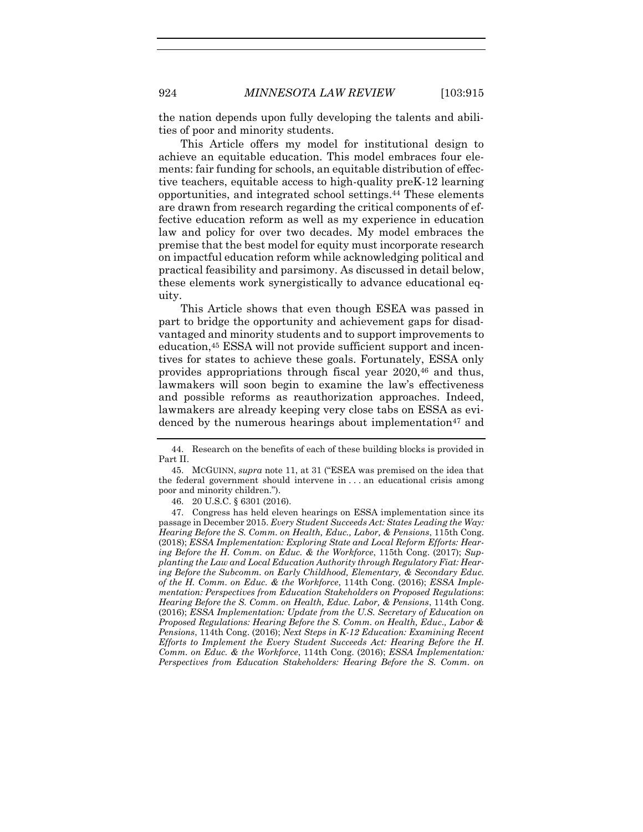the nation depends upon fully developing the talents and abilities of poor and minority students.

This Article offers my model for institutional design to achieve an equitable education. This model embraces four elements: fair funding for schools, an equitable distribution of effective teachers, equitable access to high-quality preK-12 learning opportunities, and integrated school settings. <sup>44</sup> These elements are drawn from research regarding the critical components of effective education reform as well as my experience in education law and policy for over two decades. My model embraces the premise that the best model for equity must incorporate research on impactful education reform while acknowledging political and practical feasibility and parsimony. As discussed in detail below, these elements work synergistically to advance educational equity.

This Article shows that even though ESEA was passed in part to bridge the opportunity and achievement gaps for disadvantaged and minority students and to support improvements to education,<sup>45</sup> ESSA will not provide sufficient support and incentives for states to achieve these goals. Fortunately, ESSA only provides appropriations through fiscal year 2020,<sup>46</sup> and thus, lawmakers will soon begin to examine the law's effectiveness and possible reforms as reauthorization approaches. Indeed, lawmakers are already keeping very close tabs on ESSA as evidenced by the numerous hearings about implementation<sup>47</sup> and

46. 20 U.S.C. § 6301 (2016).

<sup>44.</sup> Research on the benefits of each of these building blocks is provided in Part II.

<sup>45.</sup> MCGUINN, *supra* note [11](#page-4-0), at 31 ("ESEA was premised on the idea that the federal government should intervene in . . . an educational crisis among poor and minority children.").

<sup>47.</sup> Congress has held eleven hearings on ESSA implementation since its passage in December 2015. *Every Student Succeeds Act: States Leading the Way: Hearing Before the S. Comm. on Health, Educ., Labor, & Pensions*, 115th Cong. (2018); *ESSA Implementation: Exploring State and Local Reform Efforts: Hearing Before the H. Comm. on Educ. & the Workforce*, 115th Cong. (2017); *Supplanting the Law and Local Education Authority through Regulatory Fiat: Hearing Before the Subcomm. on Early Childhood, Elementary, & Secondary Educ. of the H. Comm. on Educ. & the Workforce*, 114th Cong. (2016); *ESSA Implementation: Perspectives from Education Stakeholders on Proposed Regulations*: *Hearing Before the S. Comm. on Health, Educ. Labor, & Pensions*, 114th Cong. (2016); *ESSA Implementation: Update from the U.S. Secretary of Education on Proposed Regulations: Hearing Before the S. Comm. on Health, Educ., Labor & Pensions*, 114th Cong. (2016); *Next Steps in K-12 Education: Examining Recent Efforts to Implement the Every Student Succeeds Act: Hearing Before the H. Comm. on Educ. & the Workforce*, 114th Cong. (2016); *ESSA Implementation: Perspectives from Education Stakeholders: Hearing Before the S. Comm. on*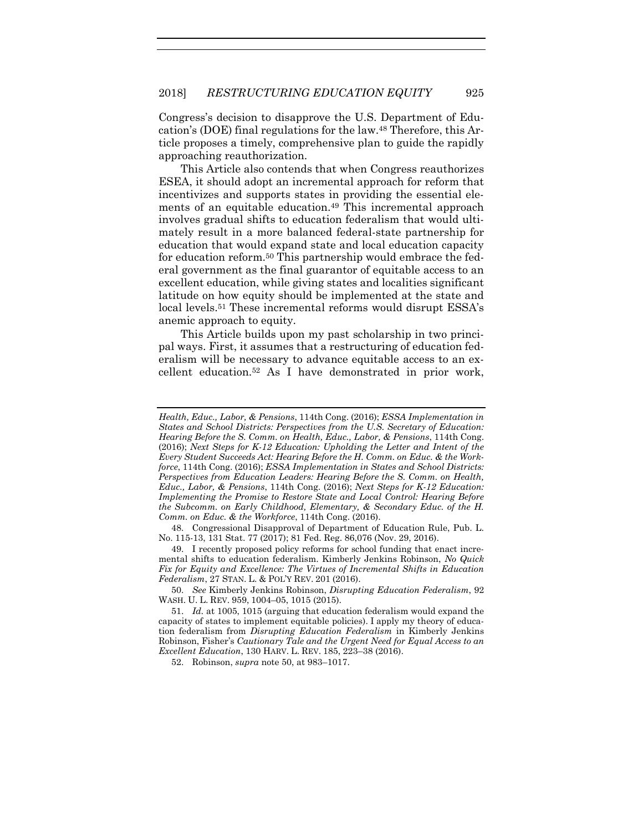Congress's decision to disapprove the U.S. Department of Education's (DOE) final regulations for the law.<sup>48</sup> Therefore, this Article proposes a timely, comprehensive plan to guide the rapidly approaching reauthorization.

<span id="page-11-1"></span>This Article also contends that when Congress reauthorizes ESEA, it should adopt an incremental approach for reform that incentivizes and supports states in providing the essential elements of an equitable education.<sup>49</sup> This incremental approach involves gradual shifts to education federalism that would ultimately result in a more balanced federal-state partnership for education that would expand state and local education capacity for education reform. <sup>50</sup> This partnership would embrace the federal government as the final guarantor of equitable access to an excellent education, while giving states and localities significant latitude on how equity should be implemented at the state and local levels.<sup>51</sup> These incremental reforms would disrupt ESSA's anemic approach to equity.

<span id="page-11-0"></span>This Article builds upon my past scholarship in two principal ways. First, it assumes that a restructuring of education federalism will be necessary to advance equitable access to an excellent education.<sup>52</sup> As I have demonstrated in prior work,

48. Congressional Disapproval of Department of Education Rule, Pub. L. No. 115-13, 131 Stat. 77 (2017); 81 Fed. Reg. 86,076 (Nov. 29, 2016).

49. I recently proposed policy reforms for school funding that enact incremental shifts to education federalism. Kimberly Jenkins Robinson, *No Quick Fix for Equity and Excellence: The Virtues of Incremental Shifts in Education Federalism*, 27 STAN. L. & POL'Y REV. 201 (2016).

50. *See* Kimberly Jenkins Robinson, *Disrupting Education Federalism*, 92 WASH. U. L. REV. 959, 1004–05, 1015 (2015).

51. *Id.* at 1005, 1015 (arguing that education federalism would expand the capacity of states to implement equitable policies). I apply my theory of education federalism from *Disrupting Education Federalism* in Kimberly Jenkins Robinson, Fisher's *Cautionary Tale and the Urgent Need for Equal Access to an Excellent Education*, 130 HARV. L. REV. 185, 223–38 (2016).

52. Robinson, *supra* note [50,](#page-11-0) at 983–1017.

*Health, Educ., Labor, & Pensions*, 114th Cong. (2016); *ESSA Implementation in States and School Districts: Perspectives from the U.S. Secretary of Education: Hearing Before the S. Comm. on Health, Educ., Labor, & Pensions*, 114th Cong. (2016); *Next Steps for K-12 Education: Upholding the Letter and Intent of the Every Student Succeeds Act: Hearing Before the H. Comm. on Educ. & the Workforce*, 114th Cong. (2016); *ESSA Implementation in States and School Districts: Perspectives from Education Leaders: Hearing Before the S. Comm. on Health, Educ., Labor, & Pensions*, 114th Cong. (2016); *Next Steps for K-12 Education: Implementing the Promise to Restore State and Local Control: Hearing Before the Subcomm. on Early Childhood, Elementary, & Secondary Educ. of the H. Comm. on Educ. & the Workforce*, 114th Cong. (2016).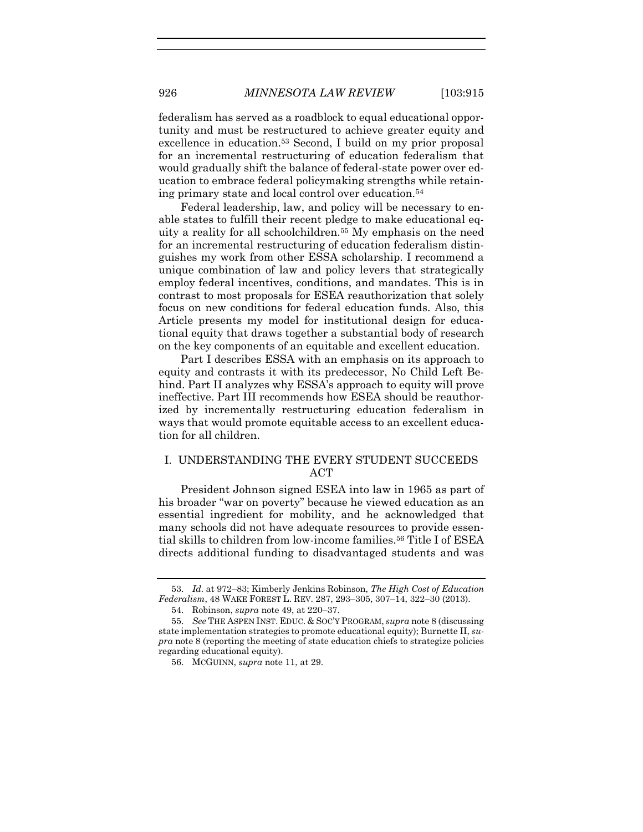federalism has served as a roadblock to equal educational opportunity and must be restructured to achieve greater equity and excellence in education.<sup>53</sup> Second, I build on my prior proposal for an incremental restructuring of education federalism that would gradually shift the balance of federal-state power over education to embrace federal policymaking strengths while retaining primary state and local control over education.<sup>54</sup>

Federal leadership, law, and policy will be necessary to enable states to fulfill their recent pledge to make educational equity a reality for all schoolchildren.<sup>55</sup> My emphasis on the need for an incremental restructuring of education federalism distinguishes my work from other ESSA scholarship. I recommend a unique combination of law and policy levers that strategically employ federal incentives, conditions, and mandates. This is in contrast to most proposals for ESEA reauthorization that solely focus on new conditions for federal education funds. Also, this Article presents my model for institutional design for educational equity that draws together a substantial body of research on the key components of an equitable and excellent education.

Part I describes ESSA with an emphasis on its approach to equity and contrasts it with its predecessor, No Child Left Behind. Part II analyzes why ESSA's approach to equity will prove ineffective. Part III recommends how ESEA should be reauthorized by incrementally restructuring education federalism in ways that would promote equitable access to an excellent education for all children.

#### I. UNDERSTANDING THE EVERY STUDENT SUCCEEDS ACT

President Johnson signed ESEA into law in 1965 as part of his broader "war on poverty" because he viewed education as an essential ingredient for mobility, and he acknowledged that many schools did not have adequate resources to provide essential skills to children from low-income families. <sup>56</sup> Title I of ESEA directs additional funding to disadvantaged students and was

<sup>53.</sup> *Id.* at 972–83; Kimberly Jenkins Robinson, *The High Cost of Education Federalism*, 48 WAKE FOREST L. REV. 287, 293–305, 307–14, 322–30 (2013).

<sup>54.</sup> Robinson, *supra* note [49,](#page-11-1) at 220–37.

<sup>55.</sup> *See* THE ASPEN INST. EDUC. & SOC'Y PROGRAM, *supra* note [8](#page-3-0) (discussing state implementation strategies to promote educational equity); Burnette II, *supra* note [8](#page-3-0) (reporting the meeting of state education chiefs to strategize policies regarding educational equity).

<sup>56.</sup> MCGUINN, *supra* not[e 11,](#page-4-0) at 29.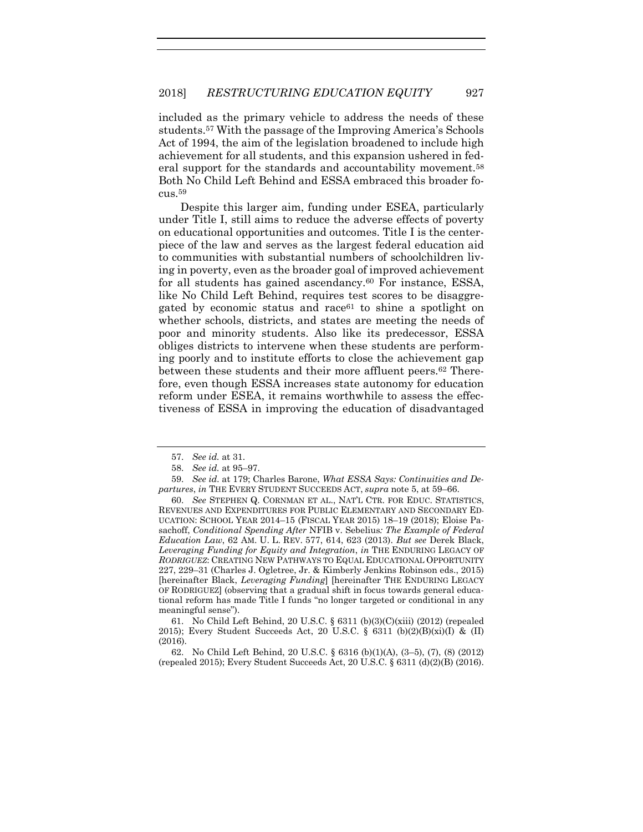included as the primary vehicle to address the needs of these students.<sup>57</sup> With the passage of the Improving America's Schools Act of 1994, the aim of the legislation broadened to include high achievement for all students, and this expansion ushered in federal support for the standards and accountability movement.<sup>58</sup> Both No Child Left Behind and ESSA embraced this broader focus.<sup>59</sup>

<span id="page-13-1"></span><span id="page-13-0"></span>Despite this larger aim, funding under ESEA, particularly under Title I, still aims to reduce the adverse effects of poverty on educational opportunities and outcomes. Title I is the centerpiece of the law and serves as the largest federal education aid to communities with substantial numbers of schoolchildren living in poverty, even as the broader goal of improved achievement for all students has gained ascendancy.<sup>60</sup> For instance, ESSA, like No Child Left Behind, requires test scores to be disaggregated by economic status and race<sup>61</sup> to shine a spotlight on whether schools, districts, and states are meeting the needs of poor and minority students. Also like its predecessor, ESSA obliges districts to intervene when these students are performing poorly and to institute efforts to close the achievement gap between these students and their more affluent peers.<sup>62</sup> Therefore, even though ESSA increases state autonomy for education reform under ESEA, it remains worthwhile to assess the effectiveness of ESSA in improving the education of disadvantaged

<sup>57.</sup> *See id.* at 31.

<sup>58.</sup> *See id.* at 95–97.

<sup>59.</sup> *See id.* at 179; Charles Barone, *What ESSA Says: Continuities and Departures*, *in* THE EVERY STUDENT SUCCEEDS ACT, *supra* note [5,](#page-3-1) at 59–66.

<sup>60.</sup> *See* STEPHEN Q. CORNMAN ET AL., NAT'L CTR. FOR EDUC. STATISTICS, REVENUES AND EXPENDITURES FOR PUBLIC ELEMENTARY AND SECONDARY ED-UCATION: SCHOOL YEAR 2014–15 (FISCAL YEAR 2015) 18–19 (2018); Eloise Pasachoff, *Conditional Spending After* NFIB v. Sebelius*: The Example of Federal Education Law*, 62 AM. U. L. REV. 577, 614, 623 (2013). *But see* Derek Black, *Leveraging Funding for Equity and Integration*, *in* THE ENDURING LEGACY OF *RODRIGUEZ*: CREATING NEW PATHWAYS TO EQUAL EDUCATIONAL OPPORTUNITY 227, 229–31 (Charles J. Ogletree, Jr. & Kimberly Jenkins Robinson eds., 2015) [hereinafter Black, *Leveraging Funding*] [hereinafter THE ENDURING LEGACY OF RODRIGUEZ] (observing that a gradual shift in focus towards general educational reform has made Title I funds "no longer targeted or conditional in any meaningful sense").

<sup>61.</sup> No Child Left Behind, 20 U.S.C. § 6311 (b)(3)(C)(xiii) (2012) (repealed 2015); Every Student Succeeds Act, 20 U.S.C.  $\S$  6311 (b)(2)(B)(xi)(I) & (II) (2016).

<sup>62.</sup> No Child Left Behind, 20 U.S.C. § 6316 (b)(1)(A), (3–5), (7), (8) (2012) (repealed 2015); Every Student Succeeds Act, 20 U.S.C. § 6311 (d)(2)(B) (2016).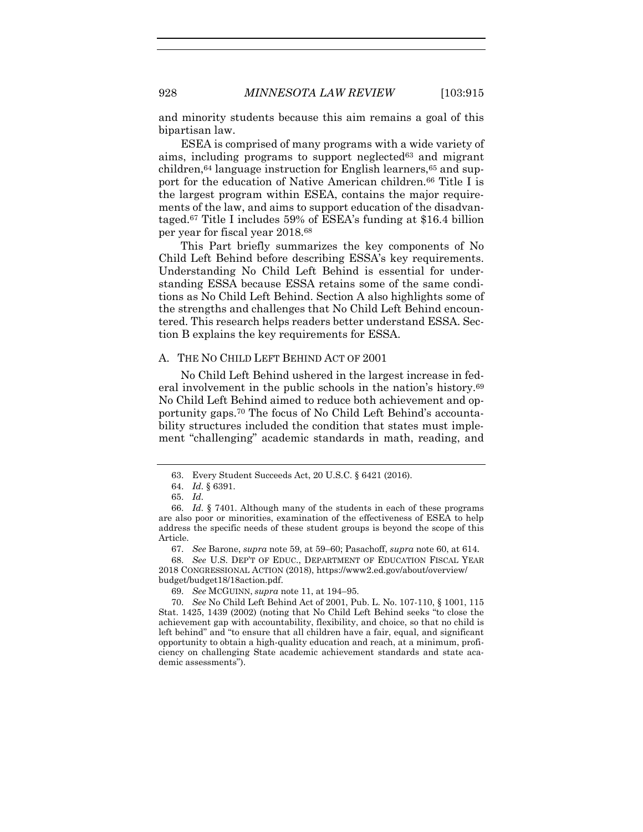and minority students because this aim remains a goal of this bipartisan law.

ESEA is comprised of many programs with a wide variety of aims, including programs to support neglected<sup>63</sup> and migrant children, $64$  language instruction for English learners, $65$  and support for the education of Native American children.<sup>66</sup> Title I is the largest program within ESEA, contains the major requirements of the law, and aims to support education of the disadvantaged.<sup>67</sup> Title I includes 59% of ESEA's funding at \$16.4 billion per year for fiscal year 2018.<sup>68</sup>

This Part briefly summarizes the key components of No Child Left Behind before describing ESSA's key requirements. Understanding No Child Left Behind is essential for understanding ESSA because ESSA retains some of the same conditions as No Child Left Behind. Section A also highlights some of the strengths and challenges that No Child Left Behind encountered. This research helps readers better understand ESSA. Section B explains the key requirements for ESSA.

#### A. THE NO CHILD LEFT BEHIND ACT OF 2001

No Child Left Behind ushered in the largest increase in federal involvement in the public schools in the nation's history.<sup>69</sup> No Child Left Behind aimed to reduce both achievement and opportunity gaps. <sup>70</sup> The focus of No Child Left Behind's accountability structures included the condition that states must implement "challenging" academic standards in math, reading, and

<sup>63.</sup> Every Student Succeeds Act, 20 U.S.C. § 6421 (2016).

<sup>64.</sup> *Id.* § 6391.

<sup>65.</sup> *Id.*

<sup>66.</sup> *Id.* § 7401. Although many of the students in each of these programs are also poor or minorities, examination of the effectiveness of ESEA to help address the specific needs of these student groups is beyond the scope of this Article.

<sup>67.</sup> *See* Barone, *supra* note [59,](#page-13-0) at 59–60; Pasachoff, *supra* not[e 60,](#page-13-1) at 614.

<sup>68.</sup> *See* U.S. DEP'T OF EDUC., DEPARTMENT OF EDUCATION FISCAL YEAR 2018 CONGRESSIONAL ACTION (2018), https://www2.ed.gov/about/overview/ budget/budget18/18action.pdf.

<sup>69.</sup> *See* MCGUINN, *supra* note [11,](#page-4-0) at 194–95.

<sup>70.</sup> *See* No Child Left Behind Act of 2001, Pub. L. No. 107-110, § 1001, 115 Stat. 1425, 1439 (2002) (noting that No Child Left Behind seeks "to close the achievement gap with accountability, flexibility, and choice, so that no child is left behind" and "to ensure that all children have a fair, equal, and significant opportunity to obtain a high-quality education and reach, at a minimum, proficiency on challenging State academic achievement standards and state academic assessments").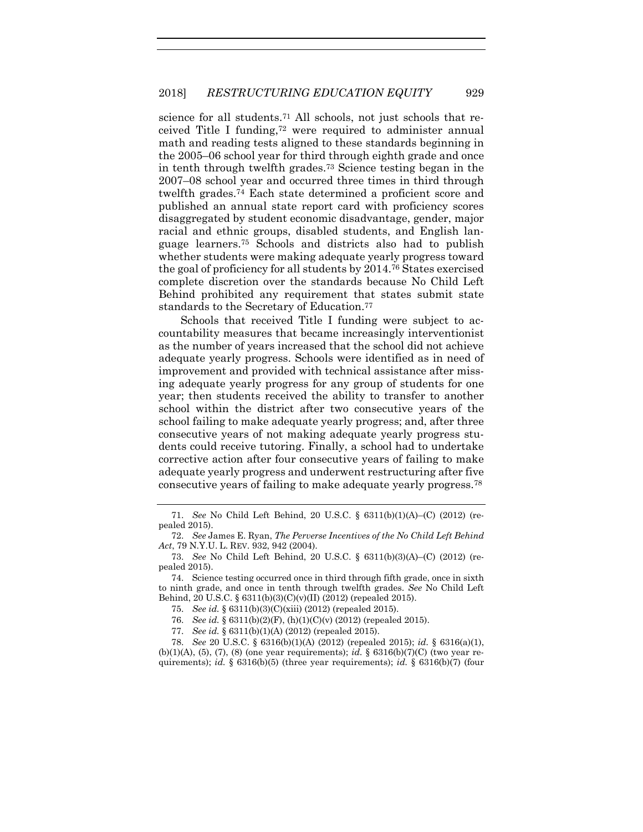<span id="page-15-0"></span>science for all students.<sup>71</sup> All schools, not just schools that received Title I funding,<sup>72</sup> were required to administer annual math and reading tests aligned to these standards beginning in the 2005–06 school year for third through eighth grade and once in tenth through twelfth grades.<sup>73</sup> Science testing began in the 2007–08 school year and occurred three times in third through twelfth grades.<sup>74</sup> Each state determined a proficient score and published an annual state report card with proficiency scores disaggregated by student economic disadvantage, gender, major racial and ethnic groups, disabled students, and English language learners. <sup>75</sup> Schools and districts also had to publish whether students were making adequate yearly progress toward the goal of proficiency for all students by 2014. <sup>76</sup> States exercised complete discretion over the standards because No Child Left Behind prohibited any requirement that states submit state standards to the Secretary of Education. 77

Schools that received Title I funding were subject to accountability measures that became increasingly interventionist as the number of years increased that the school did not achieve adequate yearly progress. Schools were identified as in need of improvement and provided with technical assistance after missing adequate yearly progress for any group of students for one year; then students received the ability to transfer to another school within the district after two consecutive years of the school failing to make adequate yearly progress; and, after three consecutive years of not making adequate yearly progress students could receive tutoring. Finally, a school had to undertake corrective action after four consecutive years of failing to make adequate yearly progress and underwent restructuring after five consecutive years of failing to make adequate yearly progress.<sup>78</sup>

<sup>71.</sup> *See* No Child Left Behind, 20 U.S.C. § 6311(b)(1)(A)–(C) (2012) (repealed 2015).

<sup>72.</sup> *See* James E. Ryan, *The Perverse Incentives of the No Child Left Behind Act*, 79 N.Y.U. L. REV. 932, 942 (2004).

<sup>73.</sup> *See* No Child Left Behind, 20 U.S.C. § 6311(b)(3)(A)–(C) (2012) (repealed 2015).

<sup>74.</sup> Science testing occurred once in third through fifth grade, once in sixth to ninth grade, and once in tenth through twelfth grades. *See* No Child Left Behind, 20 U.S.C. § 6311(b)(3)(C)(v)(II) (2012) (repealed 2015).

<sup>75.</sup> *See id.* § 6311(b)(3)(C)(xiii) (2012) (repealed 2015).

<sup>76.</sup> *See id.* § 6311(b)(2)(F), (h)(1)(C)(v) (2012) (repealed 2015).

<sup>77.</sup> *See id.* § 6311(b)(1)(A) (2012) (repealed 2015).

<sup>78.</sup> *See* 20 U.S.C. § 6316(b)(1)(A) (2012) (repealed 2015); *id.* § 6316(a)(1), (b)(1)(A), (5), (7), (8) (one year requirements); *id.* § 6316(b)(7)(C) (two year requirements); *id.* § 6316(b)(5) (three year requirements); *id.* § 6316(b)(7) (four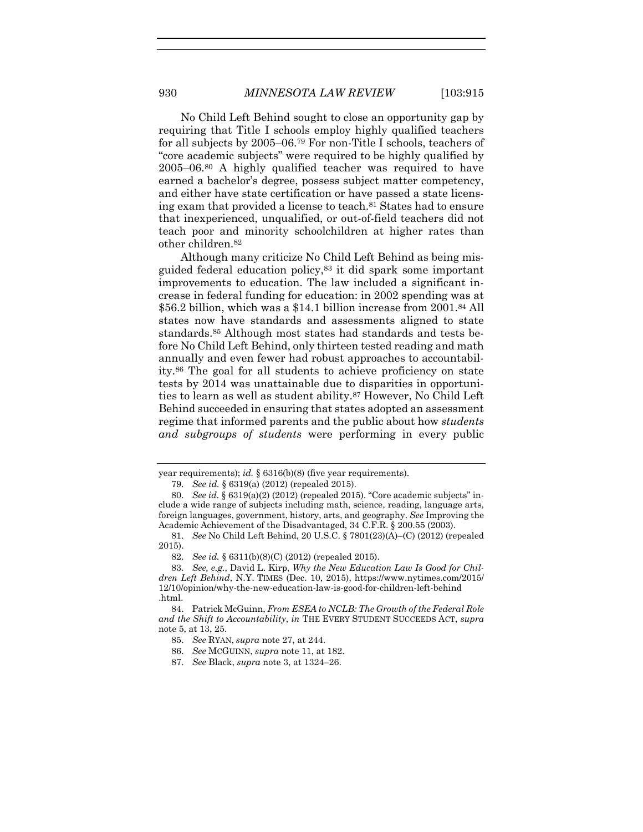No Child Left Behind sought to close an opportunity gap by requiring that Title I schools employ highly qualified teachers for all subjects by 2005–06.<sup>79</sup> For non-Title I schools, teachers of "core academic subjects" were required to be highly qualified by 2005–06.<sup>80</sup> A highly qualified teacher was required to have earned a bachelor's degree, possess subject matter competency, and either have state certification or have passed a state licensing exam that provided a license to teach. <sup>81</sup> States had to ensure that inexperienced, unqualified, or out-of-field teachers did not teach poor and minority schoolchildren at higher rates than other children.<sup>82</sup>

Although many criticize No Child Left Behind as being misguided federal education policy,<sup>83</sup> it did spark some important improvements to education. The law included a significant increase in federal funding for education: in 2002 spending was at \$56.2 billion, which was a \$14.1 billion increase from 2001.<sup>84</sup> All states now have standards and assessments aligned to state standards.<sup>85</sup> Although most states had standards and tests before No Child Left Behind, only thirteen tested reading and math annually and even fewer had robust approaches to accountability.<sup>86</sup> The goal for all students to achieve proficiency on state tests by 2014 was unattainable due to disparities in opportunities to learn as well as student ability. <sup>87</sup> However, No Child Left Behind succeeded in ensuring that states adopted an assessment regime that informed parents and the public about how *students and subgroups of students* were performing in every public

year requirements); *id.* § 6316(b)(8) (five year requirements).

<sup>79.</sup> *See id.* § 6319(a) (2012) (repealed 2015).

<sup>80.</sup> *See id.* § 6319(a)(2) (2012) (repealed 2015). "Core academic subjects" include a wide range of subjects including math, science, reading, language arts, foreign languages, government, history, arts, and geography. *See* Improving the Academic Achievement of the Disadvantaged, 34 C.F.R. § 200.55 (2003).

<sup>81.</sup> *See* No Child Left Behind, 20 U.S.C. § 7801(23)(A)–(C) (2012) (repealed 2015).

<sup>82.</sup> *See id.* § 6311(b)(8)(C) (2012) (repealed 2015).

<sup>83.</sup> *See, e.g.*, David L. Kirp, *Why the New Education Law Is Good for Children Left Behind*, N.Y. TIMES (Dec. 10, 2015), https://www.nytimes.com/2015/ 12/10/opinion/why-the-new-education-law-is-good-for-children-left-behind .html.

<sup>84.</sup> Patrick McGuinn, *From ESEA to NCLB: The Growth of the Federal Role and the Shift to Accountability*, *in* THE EVERY STUDENT SUCCEEDS ACT, *supra* not[e 5,](#page-3-1) at 13, 25.

<sup>85.</sup> *See* RYAN, *supra* note [27,](#page-6-0) at 244.

<sup>86.</sup> *See* MCGUINN, *supra* note [11,](#page-4-0) at 182.

<sup>87.</sup> *See* Black, *supra* note [3,](#page-2-1) at 1324–26.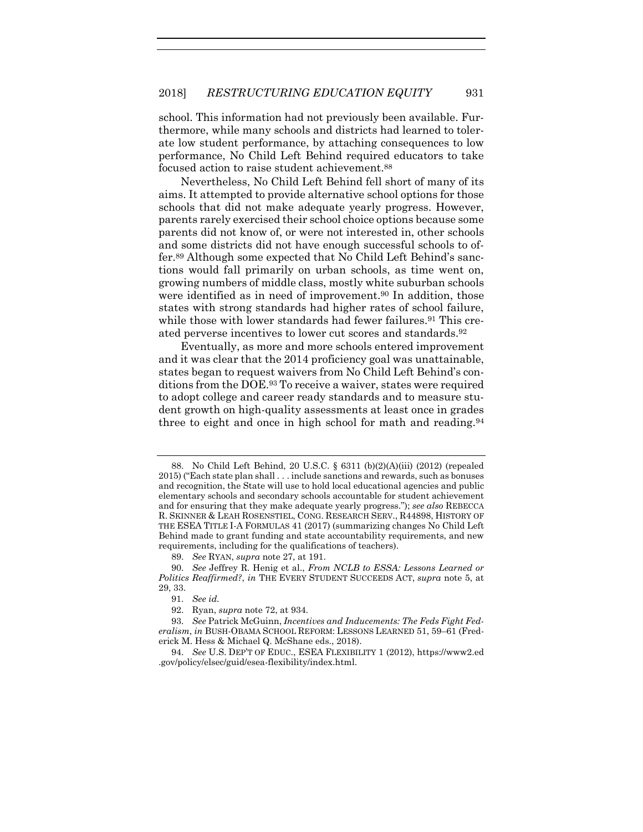school. This information had not previously been available. Furthermore, while many schools and districts had learned to tolerate low student performance, by attaching consequences to low performance, No Child Left Behind required educators to take focused action to raise student achievement.<sup>88</sup>

<span id="page-17-1"></span>Nevertheless, No Child Left Behind fell short of many of its aims. It attempted to provide alternative school options for those schools that did not make adequate yearly progress. However, parents rarely exercised their school choice options because some parents did not know of, or were not interested in, other schools and some districts did not have enough successful schools to offer.<sup>89</sup> Although some expected that No Child Left Behind's sanctions would fall primarily on urban schools, as time went on, growing numbers of middle class, mostly white suburban schools were identified as in need of improvement.<sup>90</sup> In addition, those states with strong standards had higher rates of school failure, while those with lower standards had fewer failures.<sup>91</sup> This created perverse incentives to lower cut scores and standards.<sup>92</sup>

<span id="page-17-0"></span>Eventually, as more and more schools entered improvement and it was clear that the 2014 proficiency goal was unattainable, states began to request waivers from No Child Left Behind's conditions from the DOE. <sup>93</sup> To receive a waiver, states were required to adopt college and career ready standards and to measure student growth on high-quality assessments at least once in grades three to eight and once in high school for math and reading.<sup>94</sup>

<sup>88.</sup> No Child Left Behind, 20 U.S.C. § 6311 (b)(2)(A)(iii) (2012) (repealed 2015) ("Each state plan shall . . . include sanctions and rewards, such as bonuses and recognition, the State will use to hold local educational agencies and public elementary schools and secondary schools accountable for student achievement and for ensuring that they make adequate yearly progress."); *see also* REBECCA R. SKINNER & LEAH ROSENSTIEL, CONG. RESEARCH SERV., R44898, HISTORY OF THE ESEA TITLE I-A FORMULAS 41 (2017) (summarizing changes No Child Left Behind made to grant funding and state accountability requirements, and new requirements, including for the qualifications of teachers).

<sup>89.</sup> *See* RYAN, *supra* not[e 27,](#page-6-0) at 191.

<sup>90.</sup> *See* Jeffrey R. Henig et al., *From NCLB to ESSA: Lessons Learned or Politics Reaffirmed?*, *in* THE EVERY STUDENT SUCCEEDS ACT, *supra* note [5,](#page-3-1) at 29, 33.

<sup>91.</sup> *See id.*

<sup>92.</sup> Ryan, *supra* not[e 72,](#page-15-0) at 934.

<sup>93.</sup> *See* Patrick McGuinn, *Incentives and Inducements: The Feds Fight Federalism*, *in* BUSH-OBAMA SCHOOL REFORM: LESSONS LEARNED 51, 59–61 (Frederick M. Hess & Michael Q. McShane eds., 2018).

<sup>94.</sup> *See* U.S. DEP'T OF EDUC., ESEA FLEXIBILITY 1 (2012), https://www2.ed .gov/policy/elsec/guid/esea-flexibility/index.html.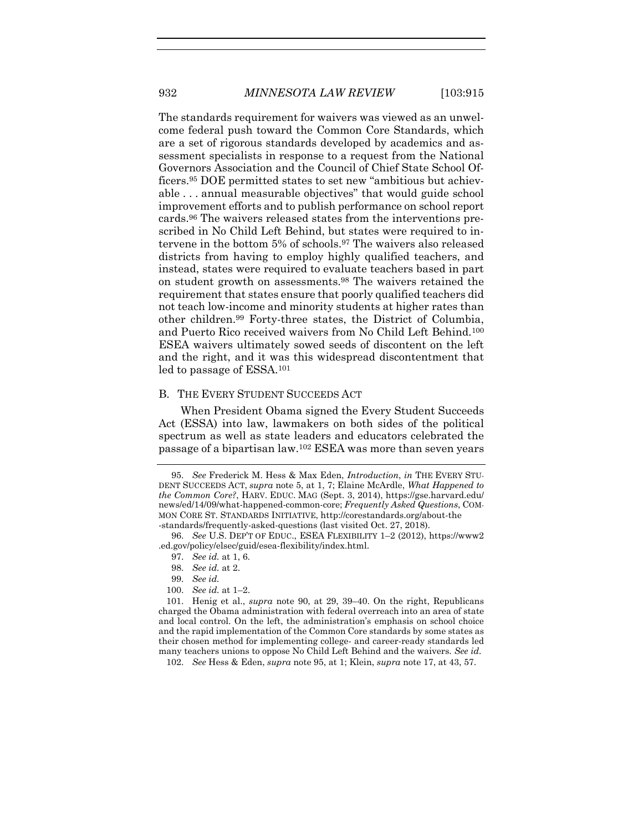<span id="page-18-0"></span>The standards requirement for waivers was viewed as an unwelcome federal push toward the Common Core Standards, which are a set of rigorous standards developed by academics and assessment specialists in response to a request from the National Governors Association and the Council of Chief State School Officers.<sup>95</sup> DOE permitted states to set new "ambitious but achievable . . . annual measurable objectives" that would guide school improvement efforts and to publish performance on school report cards.<sup>96</sup> The waivers released states from the interventions prescribed in No Child Left Behind, but states were required to intervene in the bottom 5% of schools.<sup>97</sup> The waivers also released districts from having to employ highly qualified teachers, and instead, states were required to evaluate teachers based in part on student growth on assessments. <sup>98</sup> The waivers retained the requirement that states ensure that poorly qualified teachers did not teach low-income and minority students at higher rates than other children. <sup>99</sup> Forty-three states, the District of Columbia, and Puerto Rico received waivers from No Child Left Behind.<sup>100</sup> ESEA waivers ultimately sowed seeds of discontent on the left and the right, and it was this widespread discontentment that led to passage of ESSA.<sup>101</sup>

#### B. THE EVERY STUDENT SUCCEEDS ACT

When President Obama signed the Every Student Succeeds Act (ESSA) into law, lawmakers on both sides of the political spectrum as well as state leaders and educators celebrated the passage of a bipartisan law.<sup>102</sup> ESEA was more than seven years

- 97. *See id.* at 1, 6.
- 98. *See id.* at 2.
- 99. *See id.*
- 100. *See id.* at 1–2.

101. Henig et al., *supra* note [90,](#page-17-0) at 29, 39–40. On the right, Republicans charged the Obama administration with federal overreach into an area of state and local control. On the left, the administration's emphasis on school choice and the rapid implementation of the Common Core standards by some states as their chosen method for implementing college- and career-ready standards led many teachers unions to oppose No Child Left Behind and the waivers. *See id.*

102. *See* Hess & Eden, *supra* note [95,](#page-18-0) at 1; Klein, *supra* note [17,](#page-4-2) at 43, 57.

<sup>95.</sup> *See* Frederick M. Hess & Max Eden, *Introduction*, *in* THE EVERY STU-DENT SUCCEEDS ACT, *supra* note [5,](#page-3-1) at 1, 7; Elaine McArdle, *What Happened to the Common Core?*, HARV. EDUC. MAG (Sept. 3, 2014), https://gse.harvard.edu/ news/ed/14/09/what-happened-common-core; *Frequently Asked Questions*, COM-MON CORE ST. STANDARDS INITIATIVE, http://corestandards.org/about-the -standards/frequently-asked-questions (last visited Oct. 27, 2018).

<sup>96.</sup> *See* U.S. DEP'T OF EDUC., ESEA FLEXIBILITY 1–2 (2012), https://www2 .ed.gov/policy/elsec/guid/esea-flexibility/index.html.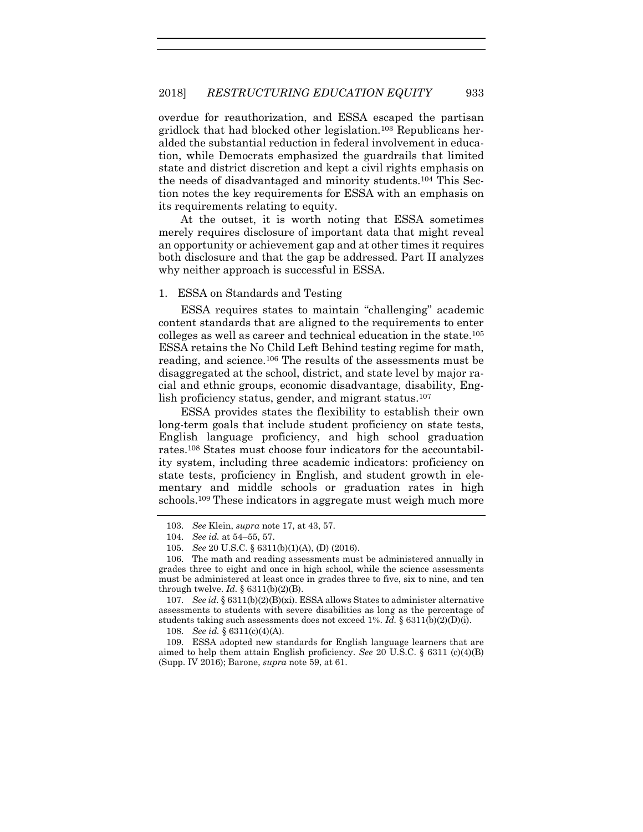overdue for reauthorization, and ESSA escaped the partisan gridlock that had blocked other legislation.<sup>103</sup> Republicans heralded the substantial reduction in federal involvement in education, while Democrats emphasized the guardrails that limited state and district discretion and kept a civil rights emphasis on the needs of disadvantaged and minority students.<sup>104</sup> This Section notes the key requirements for ESSA with an emphasis on its requirements relating to equity.

At the outset, it is worth noting that ESSA sometimes merely requires disclosure of important data that might reveal an opportunity or achievement gap and at other times it requires both disclosure and that the gap be addressed. Part II analyzes why neither approach is successful in ESSA.

#### 1. ESSA on Standards and Testing

ESSA requires states to maintain "challenging" academic content standards that are aligned to the requirements to enter colleges as well as career and technical education in the state.<sup>105</sup> ESSA retains the No Child Left Behind testing regime for math, reading, and science.<sup>106</sup> The results of the assessments must be disaggregated at the school, district, and state level by major racial and ethnic groups, economic disadvantage, disability, English proficiency status, gender, and migrant status.<sup>107</sup>

ESSA provides states the flexibility to establish their own long-term goals that include student proficiency on state tests, English language proficiency, and high school graduation rates.<sup>108</sup> States must choose four indicators for the accountability system, including three academic indicators: proficiency on state tests, proficiency in English, and student growth in elementary and middle schools or graduation rates in high schools.<sup>109</sup> These indicators in aggregate must weigh much more

<sup>103.</sup> *See* Klein, *supra* note [17,](#page-4-2) at 43, 57.

<sup>104.</sup> *See id.* at 54–55, 57.

<sup>105.</sup> *See* 20 U.S.C. § 6311(b)(1)(A), (D) (2016).

<sup>106.</sup> The math and reading assessments must be administered annually in grades three to eight and once in high school, while the science assessments must be administered at least once in grades three to five, six to nine, and ten through twelve.  $Id. \S 6311(b)(2)(B)$ .

<sup>107.</sup> *See id.* § 6311(b)(2)(B)(xi). ESSA allows States to administer alternative assessments to students with severe disabilities as long as the percentage of students taking such assessments does not exceed 1%. *Id.* § 6311(b)(2)(D)(i).

<sup>108.</sup> *See id.* § 6311(c)(4)(A).

<sup>109.</sup> ESSA adopted new standards for English language learners that are aimed to help them attain English proficiency. *See* 20 U.S.C. § 6311 (c)(4)(B) (Supp. IV 2016); Barone, *supra* not[e 59,](#page-13-0) at 61.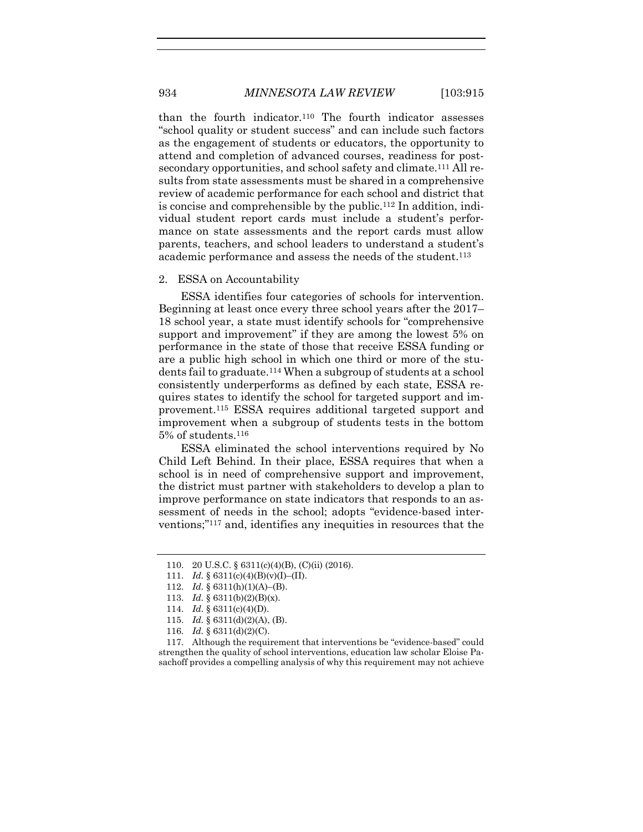than the fourth indicator.<sup>110</sup> The fourth indicator assesses "school quality or student success" and can include such factors as the engagement of students or educators, the opportunity to attend and completion of advanced courses, readiness for postsecondary opportunities, and school safety and climate.<sup>111</sup> All results from state assessments must be shared in a comprehensive review of academic performance for each school and district that is concise and comprehensible by the public.<sup>112</sup> In addition, individual student report cards must include a student's performance on state assessments and the report cards must allow parents, teachers, and school leaders to understand a student's academic performance and assess the needs of the student. 113

#### 2. ESSA on Accountability

ESSA identifies four categories of schools for intervention. Beginning at least once every three school years after the 2017– 18 school year, a state must identify schools for "comprehensive support and improvement" if they are among the lowest 5% on performance in the state of those that receive ESSA funding or are a public high school in which one third or more of the students fail to graduate. <sup>114</sup> When a subgroup of students at a school consistently underperforms as defined by each state, ESSA requires states to identify the school for targeted support and improvement. <sup>115</sup> ESSA requires additional targeted support and improvement when a subgroup of students tests in the bottom 5% of students.<sup>116</sup>

ESSA eliminated the school interventions required by No Child Left Behind. In their place, ESSA requires that when a school is in need of comprehensive support and improvement, the district must partner with stakeholders to develop a plan to improve performance on state indicators that responds to an assessment of needs in the school; adopts "evidence-based interventions;" <sup>117</sup> and, identifies any inequities in resources that the

117. Although the requirement that interventions be "evidence-based" could strengthen the quality of school interventions, education law scholar Eloise Pasachoff provides a compelling analysis of why this requirement may not achieve

<sup>110.</sup> 20 U.S.C. § 6311(c)(4)(B), (C)(ii) (2016).

<sup>111.</sup> *Id.*  $§ 6311(c)(4)(B)(v)(I) - (II).$ 

<sup>112.</sup> *Id.* § 6311(h)(1)(A)–(B).

<sup>113.</sup> *Id.* § 6311(b)(2)(B)(x).

<sup>114.</sup> *Id.* § 6311(c)(4)(D).

<sup>115.</sup> *Id.* § 6311(d)(2)(A), (B).

<sup>116.</sup> *Id.* § 6311(d)(2)(C).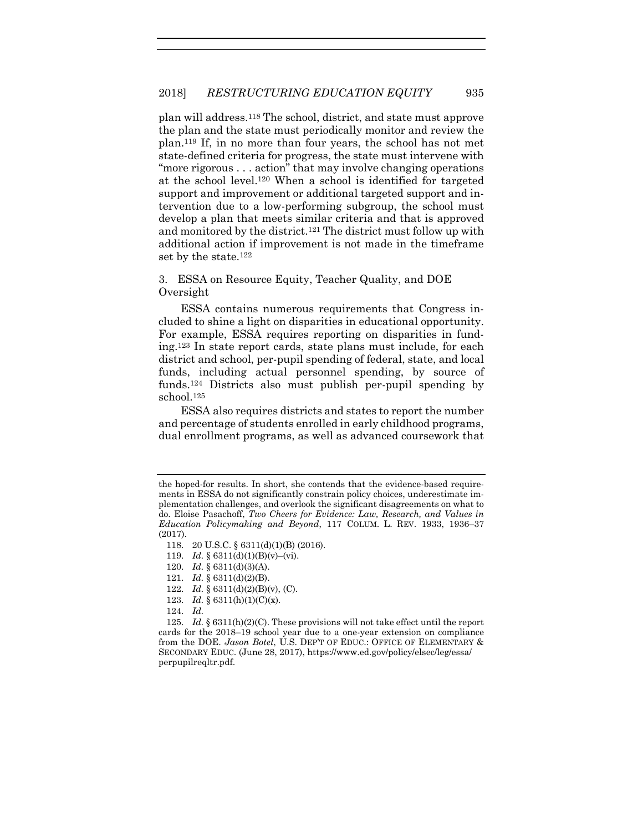plan will address.<sup>118</sup> The school, district, and state must approve the plan and the state must periodically monitor and review the plan.<sup>119</sup> If, in no more than four years, the school has not met state-defined criteria for progress, the state must intervene with "more rigorous . . . action" that may involve changing operations at the school level. <sup>120</sup> When a school is identified for targeted support and improvement or additional targeted support and intervention due to a low-performing subgroup, the school must develop a plan that meets similar criteria and that is approved and monitored by the district.<sup>121</sup> The district must follow up with additional action if improvement is not made in the timeframe set by the state.<sup>122</sup>

3. ESSA on Resource Equity, Teacher Quality, and DOE Oversight

ESSA contains numerous requirements that Congress included to shine a light on disparities in educational opportunity. For example, ESSA requires reporting on disparities in funding.<sup>123</sup> In state report cards, state plans must include, for each district and school, per-pupil spending of federal, state, and local funds, including actual personnel spending, by source of funds.<sup>124</sup> Districts also must publish per-pupil spending by school.<sup>125</sup>

ESSA also requires districts and states to report the number and percentage of students enrolled in early childhood programs, dual enrollment programs, as well as advanced coursework that

- 120. *Id.* § 6311(d)(3)(A).
- 121. *Id.* § 6311(d)(2)(B).
- 122. *Id.* § 6311(d)(2)(B)(v), (C).
- 123. *Id.* § 6311(h)(1)(C)(x).
- 124. *Id.*

125. *Id.* § 6311(h)(2)(C). These provisions will not take effect until the report cards for the 2018–19 school year due to a one-year extension on compliance from the DOE. *Jason Botel*, U.S. DEP'T OF EDUC.: OFFICE OF ELEMENTARY & SECONDARY EDUC. (June 28, 2017), https://www.ed.gov/policy/elsec/leg/essa/ perpupilreqltr.pdf.

the hoped-for results. In short, she contends that the evidence-based requirements in ESSA do not significantly constrain policy choices, underestimate implementation challenges, and overlook the significant disagreements on what to do. Eloise Pasachoff, *Two Cheers for Evidence: Law, Research, and Values in Education Policymaking and Beyond*, 117 COLUM. L. REV. 1933, 1936–37 (2017).

<sup>118.</sup> 20 U.S.C. § 6311(d)(1)(B) (2016).

<sup>119.</sup> *Id.* § 6311(d)(1)(B)(v)–(vi).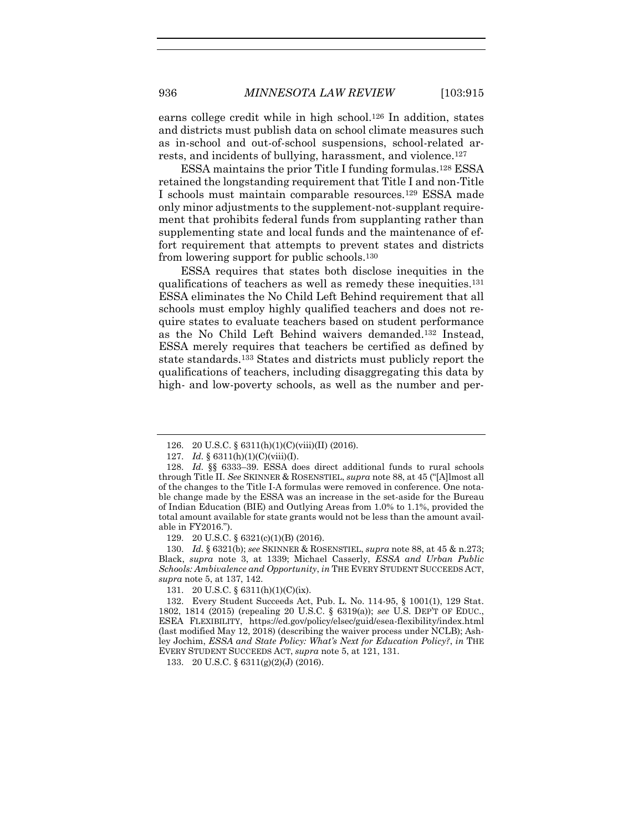earns college credit while in high school. <sup>126</sup> In addition, states and districts must publish data on school climate measures such as in-school and out-of-school suspensions, school-related arrests, and incidents of bullying, harassment, and violence.<sup>127</sup>

ESSA maintains the prior Title I funding formulas.<sup>128</sup> ESSA retained the longstanding requirement that Title I and non-Title I schools must maintain comparable resources.<sup>129</sup> ESSA made only minor adjustments to the supplement-not-supplant requirement that prohibits federal funds from supplanting rather than supplementing state and local funds and the maintenance of effort requirement that attempts to prevent states and districts from lowering support for public schools.<sup>130</sup>

ESSA requires that states both disclose inequities in the qualifications of teachers as well as remedy these inequities. 131 ESSA eliminates the No Child Left Behind requirement that all schools must employ highly qualified teachers and does not require states to evaluate teachers based on student performance as the No Child Left Behind waivers demanded. <sup>132</sup> Instead, ESSA merely requires that teachers be certified as defined by state standards.<sup>133</sup> States and districts must publicly report the qualifications of teachers, including disaggregating this data by high- and low-poverty schools, as well as the number and per-

129. 20 U.S.C. § 6321(c)(1)(B) (2016).

130. *Id.* § 6321(b); *see* SKINNER & ROSENSTIEL, *supra* not[e 88,](#page-17-1) at 45 & n.273; Black, *supra* note [3,](#page-2-1) at 1339; Michael Casserly, *ESSA and Urban Public Schools: Ambivalence and Opportunity*, *in* THE EVERY STUDENT SUCCEEDS ACT, *supra* note [5,](#page-3-1) at 137, 142.

131. 20 U.S.C. § 6311(h)(1)(C)(ix).

133. 20 U.S.C. § 6311(g)(2)(J) (2016).

<sup>126.</sup> 20 U.S.C. § 6311(h)(1)(C)(viii)(II) (2016).

<sup>127.</sup> *Id.* § 6311(h)(1)(C)(viii)(I).

<sup>128.</sup> *Id.* §§ 6333–39. ESSA does direct additional funds to rural schools through Title II. *See* SKINNER & ROSENSTIEL, *supra* not[e 88](#page-17-1), at 45 ("[A]lmost all of the changes to the Title I-A formulas were removed in conference. One notable change made by the ESSA was an increase in the set-aside for the Bureau of Indian Education (BIE) and Outlying Areas from 1.0% to 1.1%, provided the total amount available for state grants would not be less than the amount available in FY2016.").

<sup>132.</sup> Every Student Succeeds Act, Pub. L. No. 114-95, § 1001(1), 129 Stat. 1802, 1814 (2015) (repealing 20 U.S.C. § 6319(a)); *see* U.S. DEP'T OF EDUC., ESEA FLEXIBILITY, [https://ed.gov/policy/elsec/guid/esea-flexibility/index.html](https://www2.ed.gov/policy/elsec/guid/esea-flexibility/index.html) (last modified May 12, 2018) (describing the waiver process under NCLB); Ashley Jochim, *ESSA and State Policy: What's Next for Education Policy?*, *in* THE EVERY STUDENT SUCCEEDS ACT, *supra* note [5,](#page-3-1) at 121, 131.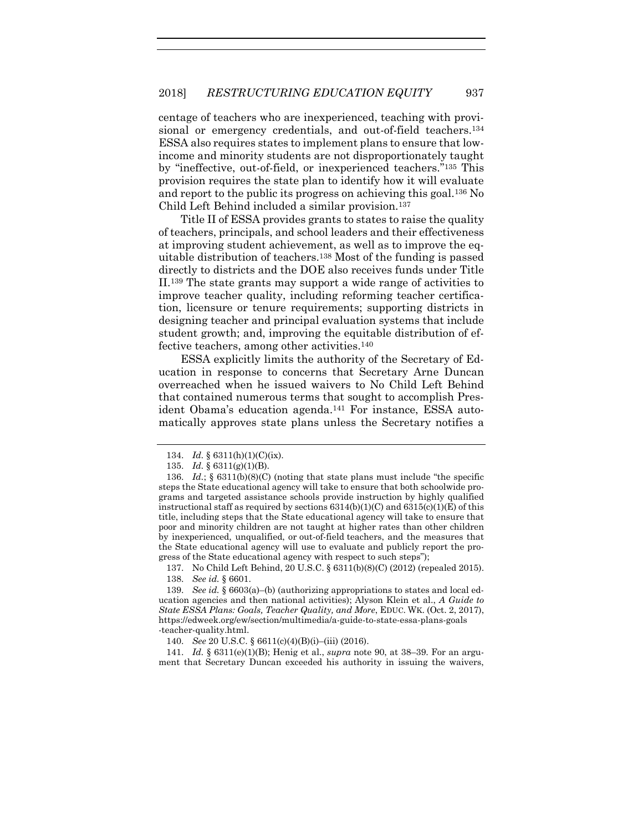centage of teachers who are inexperienced, teaching with provisional or emergency credentials, and out-of-field teachers.<sup>134</sup> ESSA also requires states to implement plans to ensure that lowincome and minority students are not disproportionately taught by "ineffective, out-of-field, or inexperienced teachers." <sup>135</sup> This provision requires the state plan to identify how it will evaluate and report to the public its progress on achieving this goal.<sup>136</sup> No Child Left Behind included a similar provision.<sup>137</sup>

Title II of ESSA provides grants to states to raise the quality of teachers, principals, and school leaders and their effectiveness at improving student achievement, as well as to improve the equitable distribution of teachers.<sup>138</sup> Most of the funding is passed directly to districts and the DOE also receives funds under Title II.<sup>139</sup> The state grants may support a wide range of activities to improve teacher quality, including reforming teacher certification, licensure or tenure requirements; supporting districts in designing teacher and principal evaluation systems that include student growth; and, improving the equitable distribution of effective teachers, among other activities.<sup>140</sup>

ESSA explicitly limits the authority of the Secretary of Education in response to concerns that Secretary Arne Duncan overreached when he issued waivers to No Child Left Behind that contained numerous terms that sought to accomplish President Obama's education agenda.<sup>141</sup> For instance, ESSA automatically approves state plans unless the Secretary notifies a

137. No Child Left Behind, 20 U.S.C. § 6311(b)(8)(C) (2012) (repealed 2015). 138. *See id.* § 6601.

141. *Id.* § 6311(e)(1)(B); Henig et al., *supra* note [90,](#page-17-0) at 38–39. For an argument that Secretary Duncan exceeded his authority in issuing the waivers,

<sup>134.</sup> *Id.* § 6311(h)(1)(C)(ix).

<sup>135.</sup> *Id.* § 6311(g)(1)(B).

<sup>136.</sup> *Id.*; § 6311(b)(8)(C) (noting that state plans must include "the specific steps the State educational agency will take to ensure that both schoolwide programs and targeted assistance schools provide instruction by highly qualified instructional staff as required by sections  $6314(b)(1)(C)$  and  $6315(c)(1)(E)$  of this title, including steps that the State educational agency will take to ensure that poor and minority children are not taught at higher rates than other children by inexperienced, unqualified, or out-of-field teachers, and the measures that the State educational agency will use to evaluate and publicly report the progress of the State educational agency with respect to such steps");

<sup>139.</sup> *See id.* § 6603(a)–(b) (authorizing appropriations to states and local education agencies and then national activities); Alyson Klein et al., *A Guide to State ESSA Plans: Goals, Teacher Quality, and More*, EDUC. WK. (Oct. 2, 2017), https://edweek.org/ew/section/multimedia/a-guide-to-state-essa-plans-goals -teacher-quality.html.

<sup>140.</sup> *See* 20 U.S.C. § 6611(c)(4)(B)(i)–(iii) (2016).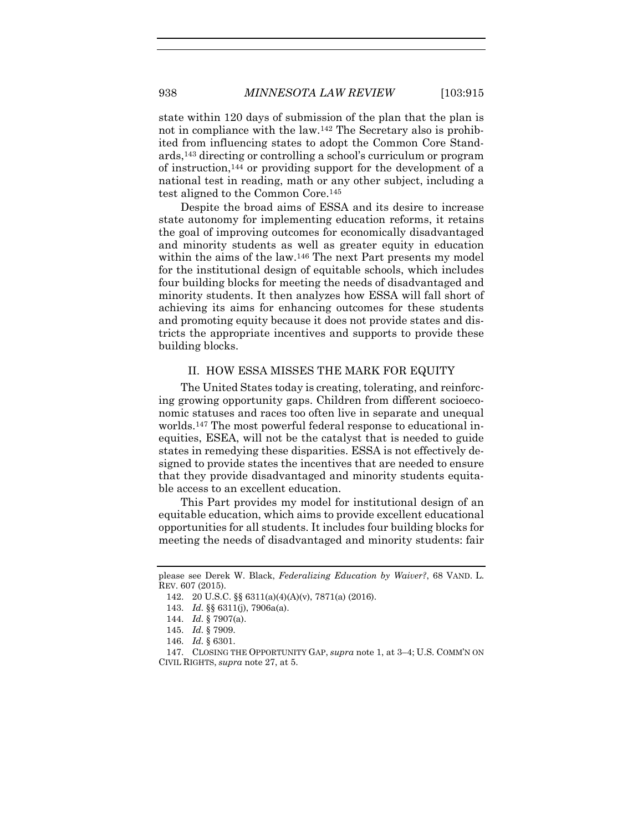state within 120 days of submission of the plan that the plan is not in compliance with the law.<sup>142</sup> The Secretary also is prohibited from influencing states to adopt the Common Core Standards,<sup>143</sup> directing or controlling a school's curriculum or program of instruction,<sup>144</sup> or providing support for the development of a national test in reading, math or any other subject, including a test aligned to the Common Core.<sup>145</sup>

Despite the broad aims of ESSA and its desire to increase state autonomy for implementing education reforms, it retains the goal of improving outcomes for economically disadvantaged and minority students as well as greater equity in education within the aims of the law.<sup>146</sup> The next Part presents my model for the institutional design of equitable schools, which includes four building blocks for meeting the needs of disadvantaged and minority students. It then analyzes how ESSA will fall short of achieving its aims for enhancing outcomes for these students and promoting equity because it does not provide states and districts the appropriate incentives and supports to provide these building blocks.

#### II. HOW ESSA MISSES THE MARK FOR EQUITY

The United States today is creating, tolerating, and reinforcing growing opportunity gaps. Children from different socioeconomic statuses and races too often live in separate and unequal worlds.<sup>147</sup> The most powerful federal response to educational inequities, ESEA, will not be the catalyst that is needed to guide states in remedying these disparities. ESSA is not effectively designed to provide states the incentives that are needed to ensure that they provide disadvantaged and minority students equitable access to an excellent education.

This Part provides my model for institutional design of an equitable education, which aims to provide excellent educational opportunities for all students. It includes four building blocks for meeting the needs of disadvantaged and minority students: fair

please see Derek W. Black, *Federalizing Education by Waiver?*, 68 VAND. L. REV. 607 (2015).

<sup>142.</sup> 20 U.S.C. §§ 6311(a)(4)(A)(v), 7871(a) (2016).

<sup>143.</sup> *Id.* §§ 6311(j), 7906a(a).

<sup>144.</sup> *Id.* § 7907(a).

<sup>145.</sup> *Id.* § 7909.

<sup>146.</sup> *Id.* § 6301.

<sup>147.</sup> CLOSING THE OPPORTUNITY GAP, *supra* not[e 1,](#page-2-0) at 3–4; U.S. COMM'N ON CIVIL RIGHTS, *supra* not[e 27,](#page-6-0) at 5.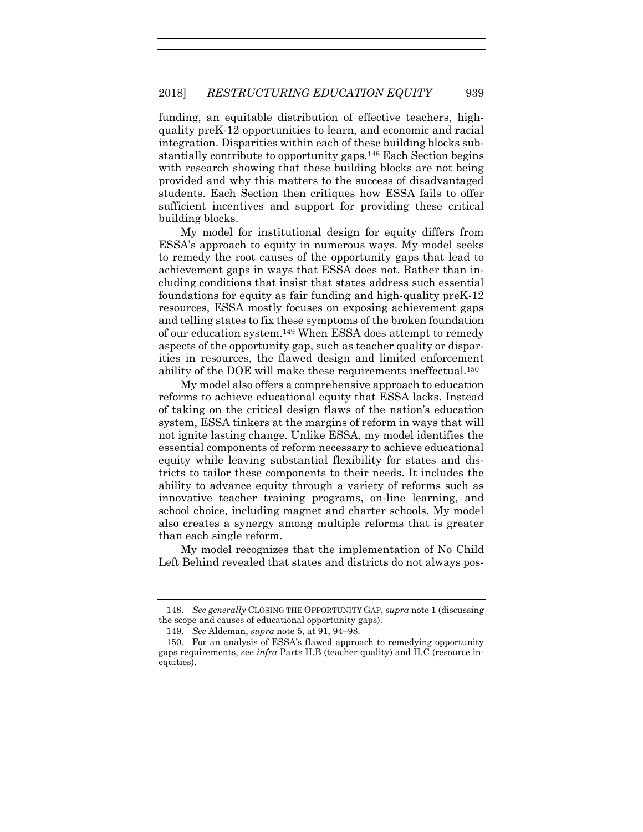funding, an equitable distribution of effective teachers, highquality preK-12 opportunities to learn, and economic and racial integration. Disparities within each of these building blocks substantially contribute to opportunity gaps.<sup>148</sup> Each Section begins with research showing that these building blocks are not being provided and why this matters to the success of disadvantaged students. Each Section then critiques how ESSA fails to offer sufficient incentives and support for providing these critical building blocks.

My model for institutional design for equity differs from ESSA's approach to equity in numerous ways. My model seeks to remedy the root causes of the opportunity gaps that lead to achievement gaps in ways that ESSA does not. Rather than including conditions that insist that states address such essential foundations for equity as fair funding and high-quality preK-12 resources, ESSA mostly focuses on exposing achievement gaps and telling states to fix these symptoms of the broken foundation of our education system. <sup>149</sup> When ESSA does attempt to remedy aspects of the opportunity gap, such as teacher quality or disparities in resources, the flawed design and limited enforcement ability of the DOE will make these requirements ineffectual. 150

My model also offers a comprehensive approach to education reforms to achieve educational equity that ESSA lacks. Instead of taking on the critical design flaws of the nation's education system, ESSA tinkers at the margins of reform in ways that will not ignite lasting change. Unlike ESSA, my model identifies the essential components of reform necessary to achieve educational equity while leaving substantial flexibility for states and districts to tailor these components to their needs. It includes the ability to advance equity through a variety of reforms such as innovative teacher training programs, on-line learning, and school choice, including magnet and charter schools. My model also creates a synergy among multiple reforms that is greater than each single reform.

My model recognizes that the implementation of No Child Left Behind revealed that states and districts do not always pos-

<sup>148.</sup> *See generally* CLOSING THE OPPORTUNITY GAP, *supra* not[e 1](#page-2-0) (discussing the scope and causes of educational opportunity gaps).

<sup>149.</sup> *See* Aldeman, *supra* note [5,](#page-3-1) at 91, 94–98.

<sup>150.</sup> For an analysis of ESSA's flawed approach to remedying opportunity gaps requirements, see *infra* Parts II.B (teacher quality) and II.C (resource inequities).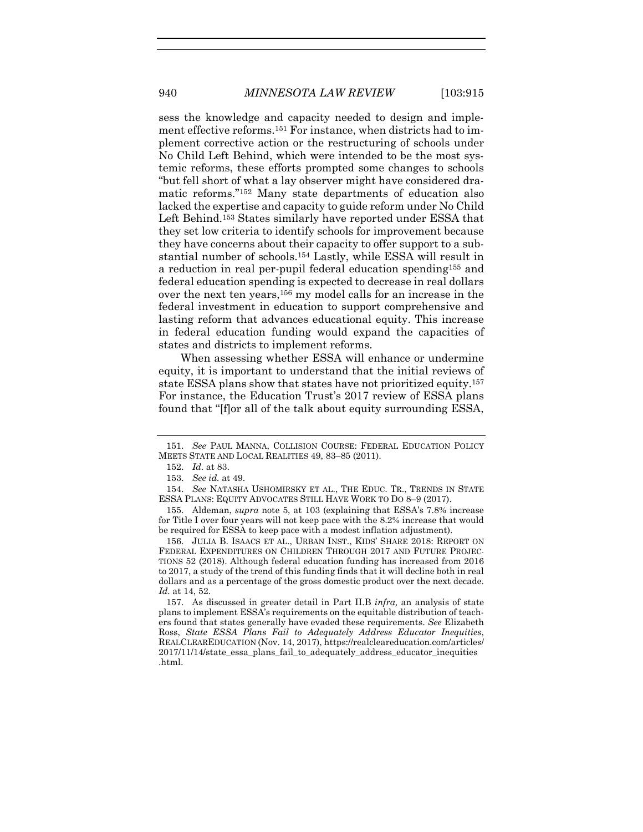sess the knowledge and capacity needed to design and implement effective reforms.<sup>151</sup> For instance, when districts had to implement corrective action or the restructuring of schools under No Child Left Behind, which were intended to be the most systemic reforms, these efforts prompted some changes to schools "but fell short of what a lay observer might have considered dramatic reforms."<sup>152</sup> Many state departments of education also lacked the expertise and capacity to guide reform under No Child Left Behind.<sup>153</sup> States similarly have reported under ESSA that they set low criteria to identify schools for improvement because they have concerns about their capacity to offer support to a substantial number of schools.<sup>154</sup> Lastly, while ESSA will result in a reduction in real per-pupil federal education spending<sup>155</sup> and federal education spending is expected to decrease in real dollars over the next ten years,<sup>156</sup> my model calls for an increase in the federal investment in education to support comprehensive and lasting reform that advances educational equity. This increase in federal education funding would expand the capacities of states and districts to implement reforms.

<span id="page-26-0"></span>When assessing whether ESSA will enhance or undermine equity, it is important to understand that the initial reviews of state ESSA plans show that states have not prioritized equity.<sup>157</sup> For instance, the Education Trust's 2017 review of ESSA plans found that "[f]or all of the talk about equity surrounding ESSA,

156. JULIA B. ISAACS ET AL., URBAN INST., KIDS' SHARE 2018: REPORT ON FEDERAL EXPENDITURES ON CHILDREN THROUGH 2017 AND FUTURE PROJEC-TIONS 52 (2018). Although federal education funding has increased from 2016 to 2017, a study of the trend of this funding finds that it will decline both in real dollars and as a percentage of the gross domestic product over the next decade. *Id.* at 14, 52.

157. As discussed in greater detail in Part II.B *infra,* an analysis of state plans to implement ESSA's requirements on the equitable distribution of teachers found that states generally have evaded these requirements. *See* Elizabeth Ross, *State ESSA Plans Fail to Adequately Address Educator Inequities*, REALCLEAREDUCATION (Nov. 14, 2017), https://realcleareducation.com/articles/ 2017/11/14/state\_essa\_plans\_fail\_to\_adequately\_address\_educator\_inequities .html.

<sup>151.</sup> *See* PAUL MANNA, COLLISION COURSE: FEDERAL EDUCATION POLICY MEETS STATE AND LOCAL REALITIES 49, 83–85 (2011).

<sup>152.</sup> *Id.* at 83.

<sup>153.</sup> *See id.* at 49.

<sup>154.</sup> *See* NATASHA USHOMIRSKY ET AL., THE EDUC. TR., TRENDS IN STATE ESSA PLANS: EQUITY ADVOCATES STILL HAVE WORK TO DO 8–9 (2017).

<sup>155.</sup> Aldeman, *supra* note [5](#page-3-1), at 103 (explaining that ESSA's 7.8% increase for Title I over four years will not keep pace with the 8.2% increase that would be required for ESSA to keep pace with a modest inflation adjustment).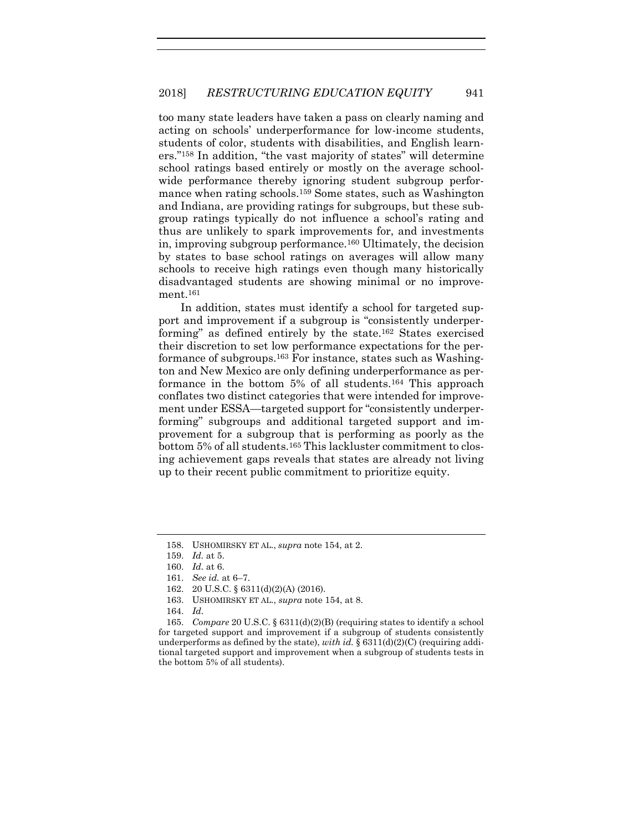too many state leaders have taken a pass on clearly naming and acting on schools' underperformance for low-income students, students of color, students with disabilities, and English learners."<sup>158</sup> In addition, "the vast majority of states" will determine school ratings based entirely or mostly on the average schoolwide performance thereby ignoring student subgroup performance when rating schools.<sup>159</sup> Some states, such as Washington and Indiana, are providing ratings for subgroups, but these subgroup ratings typically do not influence a school's rating and thus are unlikely to spark improvements for, and investments in, improving subgroup performance.<sup>160</sup> Ultimately, the decision by states to base school ratings on averages will allow many schools to receive high ratings even though many historically disadvantaged students are showing minimal or no improvement.<sup>161</sup>

In addition, states must identify a school for targeted support and improvement if a subgroup is "consistently underperforming" as defined entirely by the state. <sup>162</sup> States exercised their discretion to set low performance expectations for the performance of subgroups.<sup>163</sup> For instance, states such as Washington and New Mexico are only defining underperformance as performance in the bottom 5% of all students.<sup>164</sup> This approach conflates two distinct categories that were intended for improvement under ESSA—targeted support for "consistently underperforming" subgroups and additional targeted support and improvement for a subgroup that is performing as poorly as the bottom 5% of all students.<sup>165</sup> This lackluster commitment to closing achievement gaps reveals that states are already not living up to their recent public commitment to prioritize equity.

<sup>158.</sup> USHOMIRSKY ET AL., *supra* note [154,](#page-26-0) at 2.

<sup>159.</sup> *Id.* at 5.

<sup>160.</sup> *Id.* at 6.

<sup>161.</sup> *See id.* at 6–7.

<sup>162.</sup> 20 U.S.C. § 6311(d)(2)(A) (2016).

<sup>163.</sup> USHOMIRSKY ET AL., *supra* not[e 154,](#page-26-0) at 8.

<sup>164.</sup> *Id.* 

<sup>165.</sup> *Compare* 20 U.S.C. § 6311(d)(2)(B) (requiring states to identify a school for targeted support and improvement if a subgroup of students consistently underperforms as defined by the state), *with id.*  $\S 6311(d)(2)(C)$  (requiring additional targeted support and improvement when a subgroup of students tests in the bottom 5% of all students).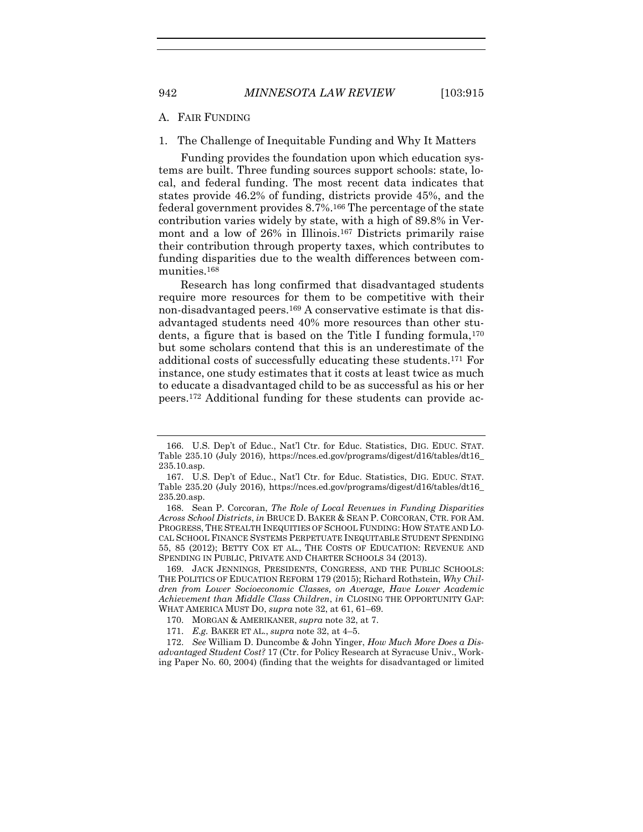#### A. FAIR FUNDING

1. The Challenge of Inequitable Funding and Why It Matters

Funding provides the foundation upon which education systems are built. Three funding sources support schools: state, local, and federal funding. The most recent data indicates that states provide 46.2% of funding, districts provide 45%, and the federal government provides 8.7%. <sup>166</sup> The percentage of the state contribution varies widely by state, with a high of 89.8% in Vermont and a low of 26% in Illinois.<sup>167</sup> Districts primarily raise their contribution through property taxes, which contributes to funding disparities due to the wealth differences between communities.<sup>168</sup>

<span id="page-28-0"></span>Research has long confirmed that disadvantaged students require more resources for them to be competitive with their non-disadvantaged peers.<sup>169</sup> A conservative estimate is that disadvantaged students need 40% more resources than other students, a figure that is based on the Title I funding formula,<sup>170</sup> but some scholars contend that this is an underestimate of the additional costs of successfully educating these students.<sup>171</sup> For instance, one study estimates that it costs at least twice as much to educate a disadvantaged child to be as successful as his or her peers.<sup>172</sup> Additional funding for these students can provide ac-

<sup>166.</sup> U.S. Dep't of Educ., Nat'l Ctr. for Educ. Statistics, DIG. EDUC. STAT. Table 235.10 (July 2016), https://nces.ed.gov/programs/digest/d16/tables/dt16\_ 235.10.asp.

<sup>167.</sup> U.S. Dep't of Educ., Nat'l Ctr. for Educ. Statistics, DIG. EDUC. STAT. Table 235.20 (July 2016), https://nces.ed.gov/programs/digest/d16/tables/dt16\_ 235.20.asp.

<sup>168.</sup> Sean P. Corcoran, *The Role of Local Revenues in Funding Disparities Across School Districts*, *in* BRUCE D. BAKER & SEAN P. CORCORAN, CTR. FOR AM. PROGRESS, THE STEALTH INEQUITIES OF SCHOOL FUNDING: HOW STATE AND LO-CAL SCHOOL FINANCE SYSTEMS PERPETUATE INEQUITABLE STUDENT SPENDING 55, 85 (2012); BETTY COX ET AL., THE COSTS OF EDUCATION: REVENUE AND SPENDING IN PUBLIC, PRIVATE AND CHARTER SCHOOLS 34 (2013).

<sup>169.</sup> JACK JENNINGS, PRESIDENTS, CONGRESS, AND THE PUBLIC SCHOOLS: THE POLITICS OF EDUCATION REFORM 179 (2015); Richard Rothstein, *Why Children from Lower Socioeconomic Classes, on Average, Have Lower Academic Achievement than Middle Class Children*, *in* CLOSING THE OPPORTUNITY GAP: WHAT AMERICA MUST DO, *supra* not[e 32,](#page-7-0) at 61, 61–69.

<sup>170.</sup> MORGAN & AMERIKANER, *supra* note [32,](#page-7-0) at 7.

<sup>171.</sup> *E.g.* BAKER ET AL., *supra* note [32,](#page-7-0) at 4–5.

<sup>172.</sup> *See* William D. Duncombe & John Yinger, *How Much More Does a Disadvantaged Student Cost?* 17 (Ctr. for Policy Research at Syracuse Univ., Working Paper No. 60, 2004) (finding that the weights for disadvantaged or limited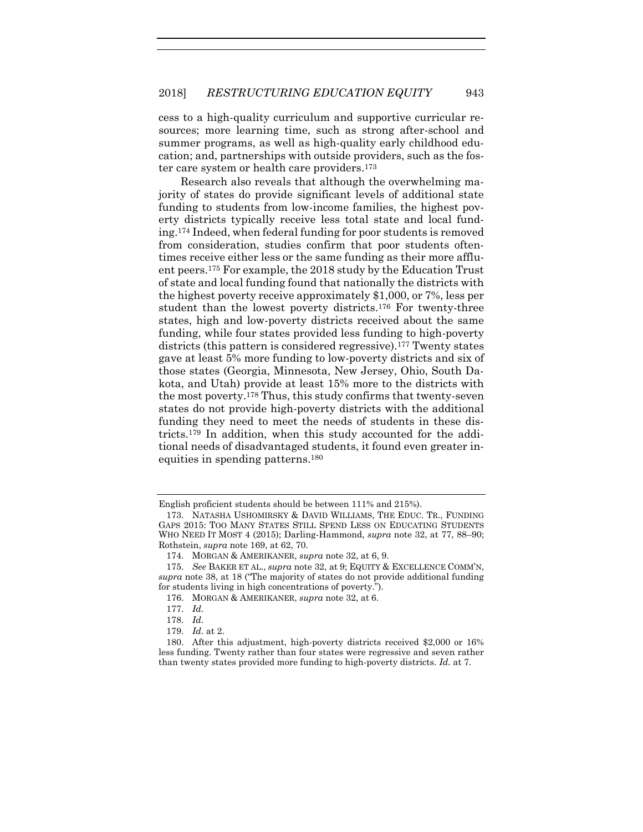cess to a high-quality curriculum and supportive curricular resources; more learning time, such as strong after-school and summer programs, as well as high-quality early childhood education; and, partnerships with outside providers, such as the foster care system or health care providers. 173

<span id="page-29-0"></span>Research also reveals that although the overwhelming majority of states do provide significant levels of additional state funding to students from low-income families, the highest poverty districts typically receive less total state and local funding. <sup>174</sup> Indeed, when federal funding for poor students is removed from consideration, studies confirm that poor students oftentimes receive either less or the same funding as their more affluent peers.<sup>175</sup> For example, the 2018 study by the Education Trust of state and local funding found that nationally the districts with the highest poverty receive approximately \$1,000, or 7%, less per student than the lowest poverty districts.<sup>176</sup> For twenty-three states, high and low-poverty districts received about the same funding, while four states provided less funding to high-poverty districts (this pattern is considered regressive).<sup>177</sup> Twenty states gave at least 5% more funding to low-poverty districts and six of those states (Georgia, Minnesota, New Jersey, Ohio, South Dakota, and Utah) provide at least 15% more to the districts with the most poverty.<sup>178</sup> Thus, this study confirms that twenty-seven states do not provide high-poverty districts with the additional funding they need to meet the needs of students in these districts.<sup>179</sup> In addition, when this study accounted for the additional needs of disadvantaged students, it found even greater inequities in spending patterns. 180

English proficient students should be between 111% and 215%).

<sup>173.</sup> NATASHA USHOMIRSKY & DAVID WILLIAMS, THE EDUC. TR., FUNDING GAPS 2015: TOO MANY STATES STILL SPEND LESS ON EDUCATING STUDENTS WHO NEED IT MOST 4 (2015); Darling-Hammond, *supra* note [32,](#page-7-0) at 77, 88–90; Rothstein, *supra* note [169,](#page-28-0) at 62, 70.

<sup>174.</sup> MORGAN & AMERIKANER, *supra* not[e 32,](#page-7-0) at 6, 9.

<sup>175.</sup> *See* BAKER ET AL., *supra* not[e 32,](#page-7-0) at 9; EQUITY & EXCELLENCE COMM'N, *supra* note [38](#page-9-0), at 18 ("The majority of states do not provide additional funding for students living in high concentrations of poverty.").

<sup>176.</sup> MORGAN & AMERIKANER, *supra* not[e 32,](#page-7-0) at 6.

<sup>177.</sup> *Id.*

<sup>178.</sup> *Id.*

<sup>179.</sup> *Id.* at 2.

<sup>180.</sup> After this adjustment, high-poverty districts received \$2,000 or 16% less funding. Twenty rather than four states were regressive and seven rather than twenty states provided more funding to high-poverty districts. *Id.* at 7.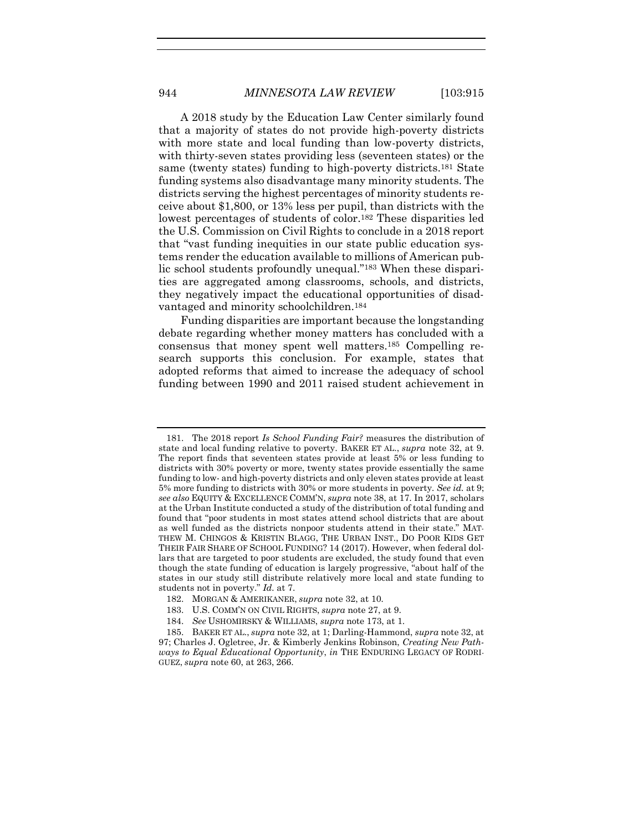A 2018 study by the Education Law Center similarly found that a majority of states do not provide high-poverty districts with more state and local funding than low-poverty districts, with thirty-seven states providing less (seventeen states) or the same (twenty states) funding to high-poverty districts. <sup>181</sup> State funding systems also disadvantage many minority students. The districts serving the highest percentages of minority students receive about \$1,800, or 13% less per pupil, than districts with the lowest percentages of students of color. <sup>182</sup> These disparities led the U.S. Commission on Civil Rights to conclude in a 2018 report that "vast funding inequities in our state public education systems render the education available to millions of American public school students profoundly unequal."<sup>183</sup> When these disparities are aggregated among classrooms, schools, and districts, they negatively impact the educational opportunities of disadvantaged and minority schoolchildren.<sup>184</sup>

<span id="page-30-0"></span>Funding disparities are important because the longstanding debate regarding whether money matters has concluded with a consensus that money spent well matters. <sup>185</sup> Compelling research supports this conclusion. For example, states that adopted reforms that aimed to increase the adequacy of school funding between 1990 and 2011 raised student achievement in

<sup>181.</sup> The 2018 report *Is School Funding Fair?* measures the distribution of state and local funding relative to poverty. BAKER ET AL., *supra* note [32,](#page-7-0) at 9. The report finds that seventeen states provide at least 5% or less funding to districts with 30% poverty or more, twenty states provide essentially the same funding to low- and high-poverty districts and only eleven states provide at least 5% more funding to districts with 30% or more students in poverty*. See id.* at 9; *see also* EQUITY & EXCELLENCE COMM'N, *supra* note [38,](#page-9-0) at 17. In 2017, scholars at the Urban Institute conducted a study of the distribution of total funding and found that "poor students in most states attend school districts that are about as well funded as the districts nonpoor students attend in their state." MAT-THEW M. CHINGOS & KRISTIN BLAGG, THE URBAN INST., DO POOR KIDS GET THEIR FAIR SHARE OF SCHOOL FUNDING? 14 (2017). However, when federal dollars that are targeted to poor students are excluded, the study found that even though the state funding of education is largely progressive, "about half of the states in our study still distribute relatively more local and state funding to students not in poverty." *Id.* at 7.

<sup>182.</sup> MORGAN & AMERIKANER, *supra* note [32,](#page-7-0) at 10*.*

<sup>183.</sup> U.S. COMM'N ON CIVIL RIGHTS, *supra* not[e 27,](#page-6-0) at 9.

<sup>184.</sup> *See* USHOMIRSKY & WILLIAMS, *supra* not[e 173,](#page-29-0) at 1.

<sup>185.</sup> BAKER ET AL., *supra* note [32,](#page-7-0) at 1; Darling-Hammond, *supra* note [32,](#page-7-0) at 97; Charles J. Ogletree, Jr. & Kimberly Jenkins Robinson, *Creating New Pathways to Equal Educational Opportunity*, *in* THE ENDURING LEGACY OF RODRI-GUEZ, *supra* note [60,](#page-13-1) at 263, 266.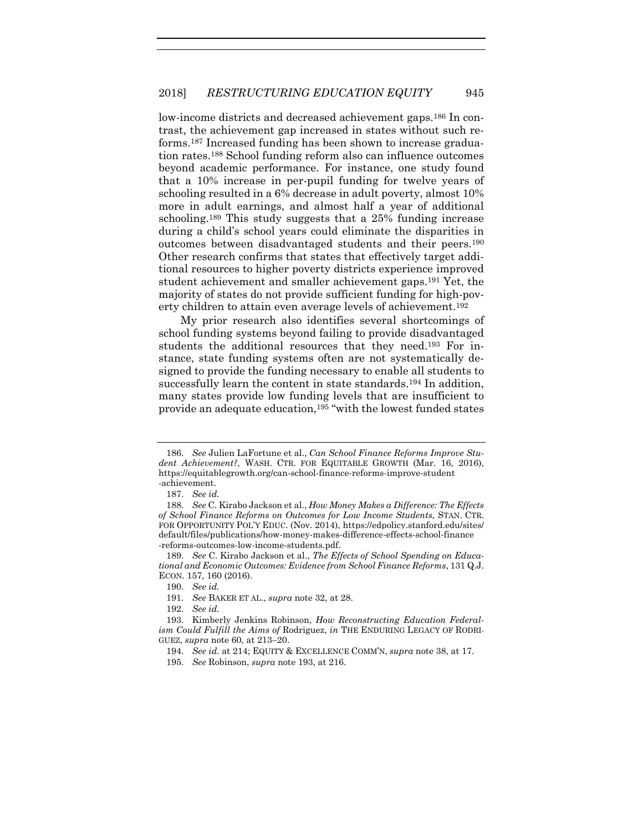low-income districts and decreased achievement gaps.<sup>186</sup> In contrast, the achievement gap increased in states without such reforms.<sup>187</sup> Increased funding has been shown to increase graduation rates.<sup>188</sup> School funding reform also can influence outcomes beyond academic performance. For instance, one study found that a 10% increase in per-pupil funding for twelve years of schooling resulted in a 6% decrease in adult poverty, almost 10% more in adult earnings, and almost half a year of additional schooling. <sup>189</sup> This study suggests that a 25% funding increase during a child's school years could eliminate the disparities in outcomes between disadvantaged students and their peers.<sup>190</sup> Other research confirms that states that effectively target additional resources to higher poverty districts experience improved student achievement and smaller achievement gaps.<sup>191</sup> Yet, the majority of states do not provide sufficient funding for high-poverty children to attain even average levels of achievement.<sup>192</sup>

<span id="page-31-0"></span>My prior research also identifies several shortcomings of school funding systems beyond failing to provide disadvantaged students the additional resources that they need.<sup>193</sup> For instance, state funding systems often are not systematically designed to provide the funding necessary to enable all students to successfully learn the content in state standards.<sup>194</sup> In addition, many states provide low funding levels that are insufficient to provide an adequate education,<sup>195</sup> "with the lowest funded states

<sup>186.</sup> *See* Julien LaFortune et al., *Can School Finance Reforms Improve Student Achievement?*, WASH. CTR. FOR EQUITABLE GROWTH (Mar. 16, 2016), https://equitablegrowth.org/can-school-finance-reforms-improve-student -achievement.

<sup>187.</sup> *See id.*

<sup>188.</sup> *See* C. Kirabo Jackson et al., *How Money Makes a Difference: The Effects of School Finance Reforms on Outcomes for Low Income Students,* STAN. CTR. FOR OPPORTUNITY POL'Y EDUC. (Nov. 2014), https://edpolicy.stanford.edu/sites/ default/files/publications/how-money-makes-difference-effects-school-finance -reforms-outcomes-low-income-students.pdf.

<sup>189.</sup> *See* C. Kirabo Jackson et al., *The Effects of School Spending on Educational and Economic Outcomes: Evidence from School Finance Reforms*, 131 Q.J. ECON. 157, 160 (2016).

<sup>190.</sup> *See id.* 

<sup>191.</sup> *See* BAKER ET AL., *supra* note [32,](#page-7-0) at 28.

<sup>192.</sup> *See id.* 

<sup>193.</sup> Kimberly Jenkins Robinson, *How Reconstructing Education Federalism Could Fulfill the Aims of* Rodriguez, *in* THE ENDURING LEGACY OF RODRI-GUEZ, *supra* not[e 60,](#page-13-1) at 213–20.

<sup>194.</sup> *See id.* at 214; EQUITY & EXCELLENCE COMM'N, *supra* not[e 38,](#page-9-0) at 17.

<sup>195.</sup> *See* Robinson, *supra* note [193,](#page-31-0) at 216.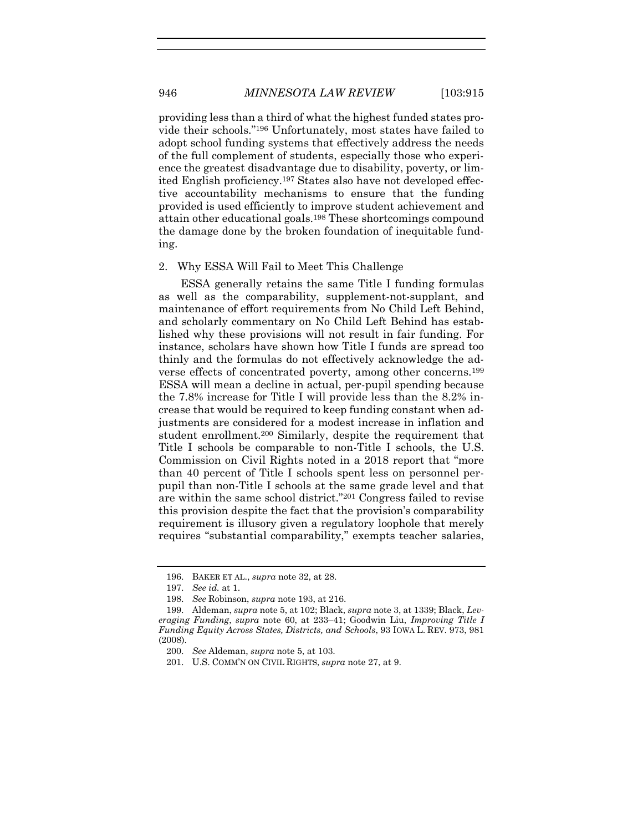providing less than a third of what the highest funded states provide their schools."<sup>196</sup> Unfortunately, most states have failed to adopt school funding systems that effectively address the needs of the full complement of students, especially those who experience the greatest disadvantage due to disability, poverty, or limited English proficiency.<sup>197</sup> States also have not developed effective accountability mechanisms to ensure that the funding provided is used efficiently to improve student achievement and attain other educational goals. <sup>198</sup> These shortcomings compound the damage done by the broken foundation of inequitable funding.

#### 2. Why ESSA Will Fail to Meet This Challenge

ESSA generally retains the same Title I funding formulas as well as the comparability, supplement-not-supplant, and maintenance of effort requirements from No Child Left Behind, and scholarly commentary on No Child Left Behind has established why these provisions will not result in fair funding. For instance, scholars have shown how Title I funds are spread too thinly and the formulas do not effectively acknowledge the adverse effects of concentrated poverty, among other concerns.<sup>199</sup> ESSA will mean a decline in actual, per-pupil spending because the 7.8% increase for Title I will provide less than the 8.2% increase that would be required to keep funding constant when adjustments are considered for a modest increase in inflation and student enrollment.<sup>200</sup> Similarly, despite the requirement that Title I schools be comparable to non-Title I schools, the U.S. Commission on Civil Rights noted in a 2018 report that "more than 40 percent of Title I schools spent less on personnel perpupil than non-Title I schools at the same grade level and that are within the same school district."<sup>201</sup> Congress failed to revise this provision despite the fact that the provision's comparability requirement is illusory given a regulatory loophole that merely requires "substantial comparability," exempts teacher salaries,

<sup>196.</sup> BAKER ET AL., *supra* not[e 32,](#page-7-0) at 28.

<sup>197.</sup> *See id.* at 1.

<sup>198.</sup> *See* Robinson, *supra* note [193,](#page-31-0) at 216.

<sup>199.</sup> Aldeman, *supra* not[e 5,](#page-3-1) at 102; Black, *supra* note [3,](#page-2-1) at 1339; Black, *Leveraging Funding*, *supra* note [60,](#page-13-1) at 233–41; Goodwin Liu, *Improving Title I Funding Equity Across States, Districts, and Schools*, 93 IOWA L. REV. 973, 981 (2008).

<sup>200.</sup> *See* Aldeman, *supra* note [5,](#page-3-1) at 103.

<sup>201.</sup> U.S. COMM'N ON CIVIL RIGHTS, *supra* not[e 27,](#page-6-0) at 9.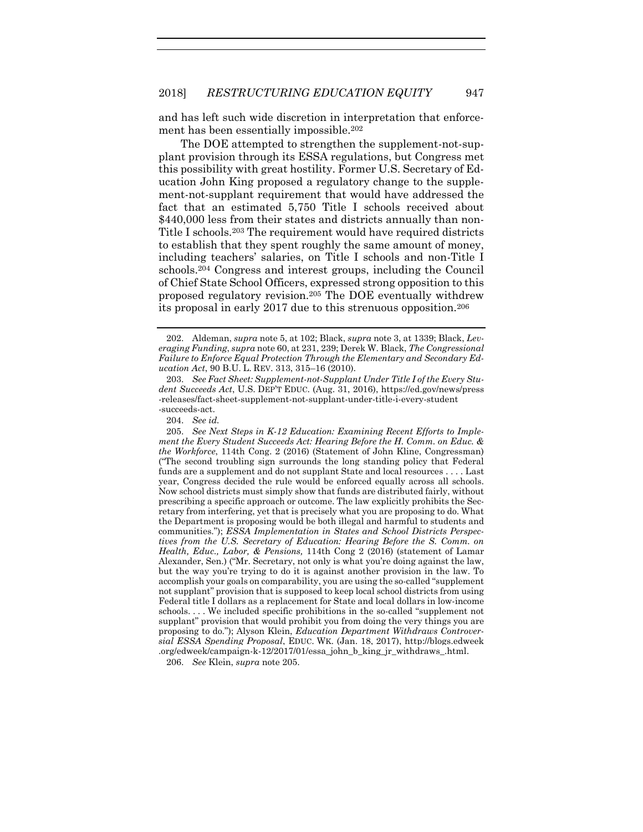and has left such wide discretion in interpretation that enforcement has been essentially impossible.<sup>202</sup>

The DOE attempted to strengthen the supplement-not-supplant provision through its ESSA regulations, but Congress met this possibility with great hostility. Former U.S. Secretary of Education John King proposed a regulatory change to the supplement-not-supplant requirement that would have addressed the fact that an estimated 5,750 Title I schools received about \$440,000 less from their states and districts annually than non-Title I schools. <sup>203</sup> The requirement would have required districts to establish that they spent roughly the same amount of money, including teachers' salaries, on Title I schools and non-Title I schools.<sup>204</sup> Congress and interest groups, including the Council of Chief State School Officers, expressed strong opposition to this proposed regulatory revision.<sup>205</sup> The DOE eventually withdrew its proposal in early 2017 due to this strenuous opposition.<sup>206</sup>

206. *See* Klein, *supra* note [205.](#page-33-0)

<span id="page-33-0"></span><sup>202.</sup> Aldeman, *supra* not[e 5,](#page-3-1) at 102; Black, *supra* note [3,](#page-2-1) at 1339; Black, *Leveraging Funding*, *supra* note [60,](#page-13-1) at 231, 239; Derek W. Black, *The Congressional Failure to Enforce Equal Protection Through the Elementary and Secondary Education Act*, 90 B.U. L. REV. 313, 315–16 (2010).

<sup>203.</sup> *See Fact Sheet: Supplement-not-Supplant Under Title I of the Every Student Succeeds Act*, U.S. DEP'T EDUC. (Aug. 31, 2016), https://ed.gov/news/press -releases/fact-sheet-supplement-not-supplant-under-title-i-every-student -succeeds-act.

<sup>204.</sup> *See id.*

<sup>205.</sup> *See Next Steps in K-12 Education: Examining Recent Efforts to Implement the Every Student Succeeds Act: Hearing Before the H. Comm. on Educ. & the Workforce*, 114th Cong. 2 (2016) (Statement of John Kline, Congressman) ("The second troubling sign surrounds the long standing policy that Federal funds are a supplement and do not supplant State and local resources . . . . Last year, Congress decided the rule would be enforced equally across all schools. Now school districts must simply show that funds are distributed fairly, without prescribing a specific approach or outcome. The law explicitly prohibits the Secretary from interfering, yet that is precisely what you are proposing to do. What the Department is proposing would be both illegal and harmful to students and communities."); *ESSA Implementation in States and School Districts Perspectives from the U.S. Secretary of Education: Hearing Before the S. Comm. on Health, Educ., Labor, & Pensions,* 114th Cong 2 (2016) (statement of Lamar Alexander, Sen.) ("Mr. Secretary, not only is what you're doing against the law, but the way you're trying to do it is against another provision in the law. To accomplish your goals on comparability, you are using the so-called "supplement not supplant" provision that is supposed to keep local school districts from using Federal title I dollars as a replacement for State and local dollars in low-income schools. . . . We included specific prohibitions in the so-called "supplement not supplant" provision that would prohibit you from doing the very things you are proposing to do."); Alyson Klein, *Education Department Withdraws Controversial ESSA Spending Proposal*, EDUC. WK. (Jan. 18, 2017), http://blogs.edweek .org/edweek/campaign-k-12/2017/01/essa\_john\_b\_king\_jr\_withdraws\_.html.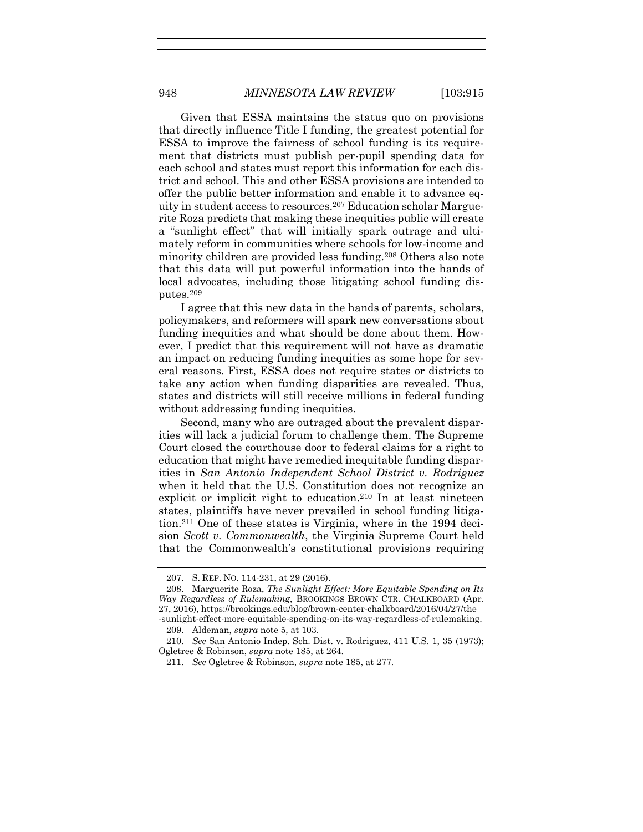Given that ESSA maintains the status quo on provisions that directly influence Title I funding, the greatest potential for ESSA to improve the fairness of school funding is its requirement that districts must publish per-pupil spending data for each school and states must report this information for each district and school. This and other ESSA provisions are intended to offer the public better information and enable it to advance equity in student access to resources. <sup>207</sup> Education scholar Marguerite Roza predicts that making these inequities public will create a "sunlight effect" that will initially spark outrage and ultimately reform in communities where schools for low-income and minority children are provided less funding.<sup>208</sup> Others also note that this data will put powerful information into the hands of local advocates, including those litigating school funding disputes.<sup>209</sup>

I agree that this new data in the hands of parents, scholars, policymakers, and reformers will spark new conversations about funding inequities and what should be done about them. However, I predict that this requirement will not have as dramatic an impact on reducing funding inequities as some hope for several reasons. First, ESSA does not require states or districts to take any action when funding disparities are revealed. Thus, states and districts will still receive millions in federal funding without addressing funding inequities.

Second, many who are outraged about the prevalent disparities will lack a judicial forum to challenge them. The Supreme Court closed the courthouse door to federal claims for a right to education that might have remedied inequitable funding disparities in *San Antonio Independent School District v. Rodriguez* when it held that the U.S. Constitution does not recognize an explicit or implicit right to education.<sup>210</sup> In at least nineteen states, plaintiffs have never prevailed in school funding litigation.<sup>211</sup> One of these states is Virginia, where in the 1994 decision *Scott v. Commonwealth*, the Virginia Supreme Court held that the Commonwealth's constitutional provisions requiring

<sup>207.</sup> S. REP. NO. 114-231, at 29 (2016).

<sup>208.</sup> Marguerite Roza, *The Sunlight Effect: More Equitable Spending on Its Way Regardless of Rulemaking*, BROOKINGS BROWN CTR. CHALKBOARD (Apr. 27, 2016), https://brookings.edu/blog/brown-center-chalkboard/2016/04/27/the -sunlight-effect-more-equitable-spending-on-its-way-regardless-of-rulemaking.

<sup>209.</sup> Aldeman, *supra* not[e 5,](#page-3-1) at 103.

<sup>210.</sup> *See* San Antonio Indep. Sch. Dist. v. Rodriguez, 411 U.S. 1, 35 (1973); Ogletree & Robinson, *supra* not[e 185,](#page-30-0) at 264.

<sup>211.</sup> *See* Ogletree & Robinson, *supra* note [185,](#page-30-0) at 277.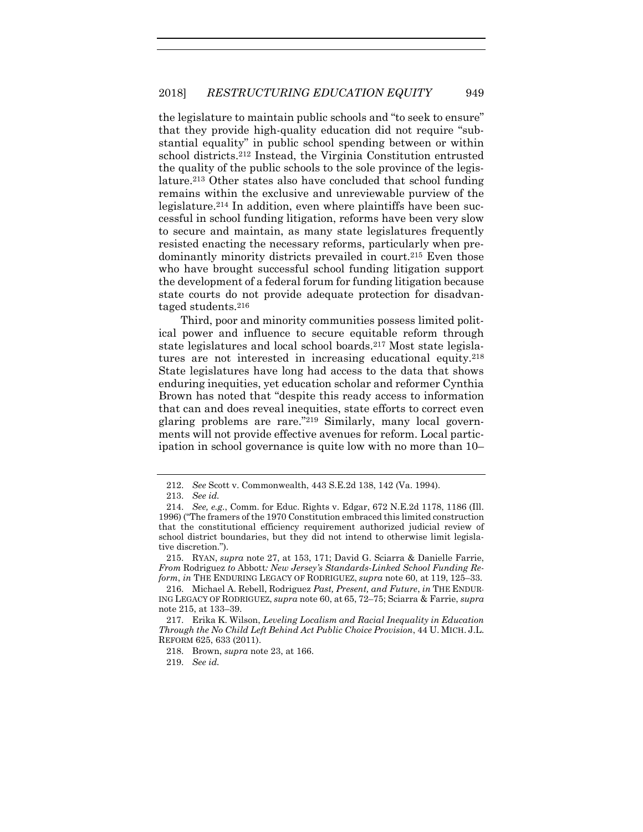the legislature to maintain public schools and "to seek to ensure" that they provide high-quality education did not require "substantial equality" in public school spending between or within school districts.<sup>212</sup> Instead, the Virginia Constitution entrusted the quality of the public schools to the sole province of the legislature.<sup>213</sup> Other states also have concluded that school funding remains within the exclusive and unreviewable purview of the legislature.<sup>214</sup> In addition, even where plaintiffs have been successful in school funding litigation, reforms have been very slow to secure and maintain, as many state legislatures frequently resisted enacting the necessary reforms, particularly when predominantly minority districts prevailed in court. <sup>215</sup> Even those who have brought successful school funding litigation support the development of a federal forum for funding litigation because state courts do not provide adequate protection for disadvantaged students. 216

<span id="page-35-0"></span>Third, poor and minority communities possess limited political power and influence to secure equitable reform through state legislatures and local school boards.<sup>217</sup> Most state legislatures are not interested in increasing educational equity.<sup>218</sup> State legislatures have long had access to the data that shows enduring inequities, yet education scholar and reformer Cynthia Brown has noted that "despite this ready access to information that can and does reveal inequities, state efforts to correct even glaring problems are rare."<sup>219</sup> Similarly, many local governments will not provide effective avenues for reform. Local participation in school governance is quite low with no more than 10–

215. RYAN, *supra* note [27,](#page-6-0) at 153, 171; David G. Sciarra & Danielle Farrie, *From* Rodriguez *to* Abbott*: New Jersey's Standards-Linked School Funding Reform*, *in* THE ENDURING LEGACY OF RODRIGUEZ, *supra* note [60,](#page-13-1) at 119, 125–33.

219. *See id.*

<sup>212.</sup> *See* Scott v. Commonwealth, 443 S.E.2d 138, 142 (Va. 1994).

<sup>213.</sup> *See id.*

<sup>214.</sup> *See, e.g.*, Comm. for Educ. Rights v. Edgar, 672 N.E.2d 1178, 1186 (Ill. 1996) ("The framers of the 1970 Constitution embraced this limited construction that the constitutional efficiency requirement authorized judicial review of school district boundaries, but they did not intend to otherwise limit legislative discretion.").

<sup>216.</sup> Michael A. Rebell, Rodriguez *Past, Present, and Future*, *in* THE ENDUR-ING LEGACY OF RODRIGUEZ, *supra* not[e 60,](#page-13-1) at 65, 72–75; Sciarra & Farrie, *supra* not[e 215,](#page-35-0) at 133–39.

<sup>217.</sup> Erika K. Wilson, *Leveling Localism and Racial Inequality in Education Through the No Child Left Behind Act Public Choice Provision*, 44 U. MICH. J.L. REFORM 625, 633 (2011).

<sup>218.</sup> Brown, *supra* note [23,](#page-5-0) at 166.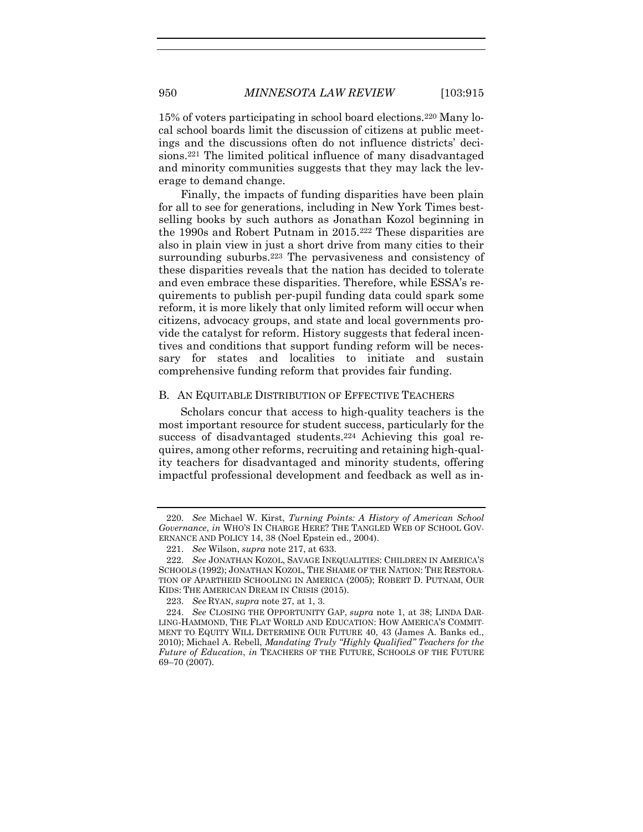15% of voters participating in school board elections.<sup>220</sup> Many local school boards limit the discussion of citizens at public meetings and the discussions often do not influence districts' decisions. <sup>221</sup> The limited political influence of many disadvantaged and minority communities suggests that they may lack the leverage to demand change.

<span id="page-36-1"></span>Finally, the impacts of funding disparities have been plain for all to see for generations, including in New York Times bestselling books by such authors as Jonathan Kozol beginning in the 1990s and Robert Putnam in 2015.<sup>222</sup> These disparities are also in plain view in just a short drive from many cities to their surrounding suburbs.<sup>223</sup> The pervasiveness and consistency of these disparities reveals that the nation has decided to tolerate and even embrace these disparities. Therefore, while ESSA's requirements to publish per-pupil funding data could spark some reform, it is more likely that only limited reform will occur when citizens, advocacy groups, and state and local governments provide the catalyst for reform. History suggests that federal incentives and conditions that support funding reform will be necessary for states and localities to initiate and sustain comprehensive funding reform that provides fair funding.

### B. AN EQUITABLE DISTRIBUTION OF EFFECTIVE TEACHERS

<span id="page-36-0"></span>Scholars concur that access to high-quality teachers is the most important resource for student success, particularly for the success of disadvantaged students.<sup>224</sup> Achieving this goal requires, among other reforms, recruiting and retaining high-quality teachers for disadvantaged and minority students, offering impactful professional development and feedback as well as in-

<sup>220.</sup> *See* Michael W. Kirst, *Turning Points: A History of American School Governance*, *in* WHO'S IN CHARGE HERE? THE TANGLED WEB OF SCHOOL GOV-ERNANCE AND POLICY 14, 38 (Noel Epstein ed., 2004).

<sup>221.</sup> *See* Wilson, *supra* not[e 217,](#page-35-0) at 633.

<sup>222.</sup> *See* JONATHAN KOZOL, SAVAGE INEQUALITIES: CHILDREN IN AMERICA'S SCHOOLS (1992); JONATHAN KOZOL, THE SHAME OF THE NATION: THE RESTORA-TION OF APARTHEID SCHOOLING IN AMERICA (2005); ROBERT D. PUTNAM, OUR KIDS: THE AMERICAN DREAM IN CRISIS (2015).

<sup>223.</sup> *See* RYAN, *supra* not[e 27,](#page-6-0) at 1, 3.

<sup>224.</sup> *See* CLOSING THE OPPORTUNITY GAP, *supra* note [1,](#page-2-0) at 38; LINDA DAR-LING-HAMMOND, THE FLAT WORLD AND EDUCATION: HOW AMERICA'S COMMIT-MENT TO EQUITY WILL DETERMINE OUR FUTURE 40, 43 (James A. Banks ed., 2010); Michael A. Rebell, *Mandating Truly "Highly Qualified" Teachers for the Future of Education*, *in* TEACHERS OF THE FUTURE, SCHOOLS OF THE FUTURE 69–70 (2007).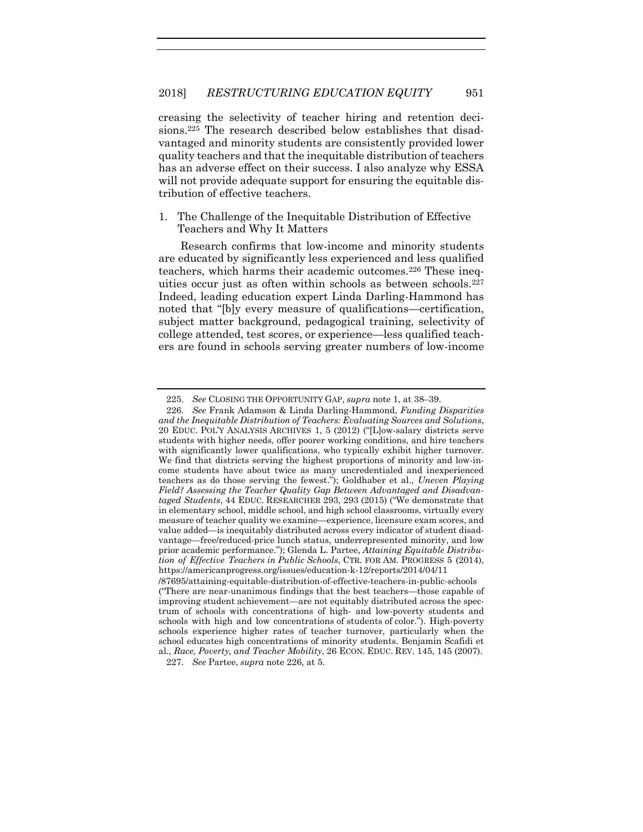creasing the selectivity of teacher hiring and retention decisions. <sup>225</sup> The research described below establishes that disadvantaged and minority students are consistently provided lower quality teachers and that the inequitable distribution of teachers has an adverse effect on their success. I also analyze why ESSA will not provide adequate support for ensuring the equitable distribution of effective teachers.

# 1. The Challenge of the Inequitable Distribution of Effective Teachers and Why It Matters

<span id="page-37-0"></span>Research confirms that low-income and minority students are educated by significantly less experienced and less qualified teachers, which harms their academic outcomes.<sup>226</sup> These inequities occur just as often within schools as between schools.<sup>227</sup> Indeed, leading education expert Linda Darling-Hammond has noted that "[b]y every measure of qualifications—certification, subject matter background, pedagogical training, selectivity of college attended, test scores, or experience—less qualified teachers are found in schools serving greater numbers of low-income

<sup>225.</sup> *See* CLOSING THE OPPORTUNITY GAP, *supra* not[e 1,](#page-2-0) at 38–39.

<sup>226.</sup> *See* Frank Adamson & Linda Darling-Hammond, *Funding Disparities and the Inequitable Distribution of Teachers: Evaluating Sources and Solutions*, 20 EDUC. POL'Y ANALYSIS ARCHIVES 1, 5 (2012) ("[L]ow-salary districts serve students with higher needs, offer poorer working conditions, and hire teachers with significantly lower qualifications, who typically exhibit higher turnover. We find that districts serving the highest proportions of minority and low-income students have about twice as many uncredentialed and inexperienced teachers as do those serving the fewest."); Goldhaber et al., *Uneven Playing Field? Assessing the Teacher Quality Gap Between Advantaged and Disadvantaged Students*, 44 EDUC. RESEARCHER 293, 293 (2015) ("We demonstrate that in elementary school, middle school, and high school classrooms, virtually every measure of teacher quality we examine—experience, licensure exam scores, and value added—is inequitably distributed across every indicator of student disadvantage—free/reduced-price lunch status, underrepresented minority, and low prior academic performance."); Glenda L. Partee, *Attaining Equitable Distribution of Effective Teachers in Public Schools*, CTR. FOR AM. PROGRESS 5 (2014), https://americanprogress.org/issues/education-k-12/reports/2014/04/11

<sup>/87695/</sup>attaining-equitable-distribution-of-effective-teachers-in-public-schools ("There are near-unanimous findings that the best teachers—those capable of improving student achievement—are not equitably distributed across the spectrum of schools with concentrations of high- and low-poverty students and schools with high and low concentrations of students of color."). High-poverty schools experience higher rates of teacher turnover, particularly when the school educates high concentrations of minority students. Benjamin Scafidi et al., *Race, Poverty, and Teacher Mobility*, 26 ECON. EDUC. REV. 145, 145 (2007).

<sup>227.</sup> *See* Partee, *supra* note [226,](#page-37-0) at 5.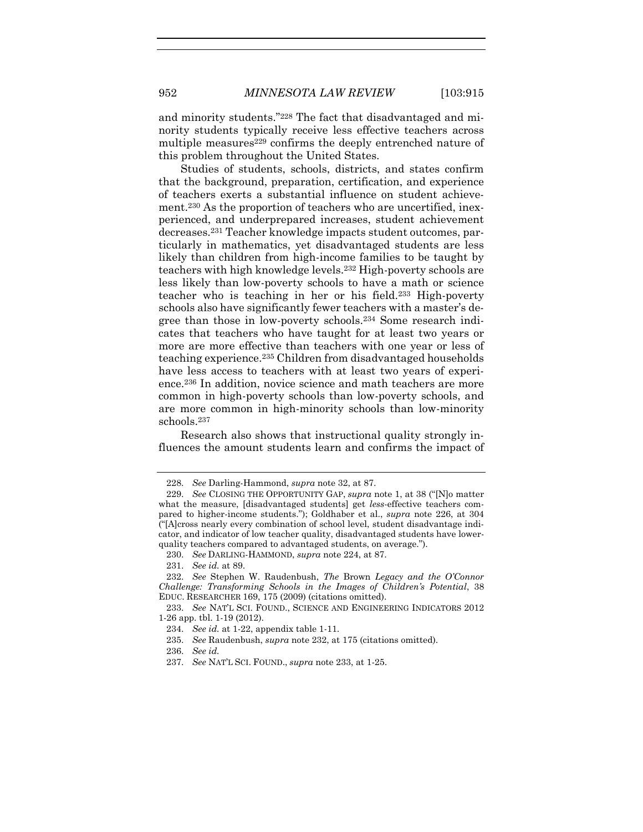and minority students."<sup>228</sup> The fact that disadvantaged and minority students typically receive less effective teachers across multiple measures<sup>229</sup> confirms the deeply entrenched nature of this problem throughout the United States.

<span id="page-38-1"></span><span id="page-38-0"></span>Studies of students, schools, districts, and states confirm that the background, preparation, certification, and experience of teachers exerts a substantial influence on student achievement.<sup>230</sup> As the proportion of teachers who are uncertified, inexperienced, and underprepared increases, student achievement decreases.<sup>231</sup> Teacher knowledge impacts student outcomes, particularly in mathematics, yet disadvantaged students are less likely than children from high-income families to be taught by teachers with high knowledge levels.<sup>232</sup> High-poverty schools are less likely than low-poverty schools to have a math or science teacher who is teaching in her or his field.<sup>233</sup> High-poverty schools also have significantly fewer teachers with a master's degree than those in low-poverty schools.<sup>234</sup> Some research indicates that teachers who have taught for at least two years or more are more effective than teachers with one year or less of teaching experience.<sup>235</sup> Children from disadvantaged households have less access to teachers with at least two years of experience.<sup>236</sup> In addition, novice science and math teachers are more common in high-poverty schools than low-poverty schools, and are more common in high-minority schools than low-minority schools.<sup>237</sup>

Research also shows that instructional quality strongly influences the amount students learn and confirms the impact of

<sup>228.</sup> *See* Darling-Hammond, *supra* note [32,](#page-7-0) at 87.

<sup>229.</sup> *See* CLOSING THE OPPORTUNITY GAP, *supra* note [1](#page-2-0), at 38 ("[N]o matter what the measure, [disadvantaged students] get *less*-effective teachers compared to higher-income students."); Goldhaber et al., *supra* note [226,](#page-37-0) at 304 ("[A]cross nearly every combination of school level, student disadvantage indicator, and indicator of low teacher quality, disadvantaged students have lowerquality teachers compared to advantaged students, on average.").

<sup>230.</sup> *See* DARLING-HAMMOND, *supra* note [224,](#page-36-0) at 87.

<sup>231.</sup> *See id.* at 89.

<sup>232.</sup> *See* Stephen W. Raudenbush, *The* Brown *Legacy and the O'Connor Challenge: Transforming Schools in the Images of Children's Potential*, 38 EDUC. RESEARCHER 169, 175 (2009) (citations omitted).

<sup>233.</sup> *See* NAT'L SCI. FOUND., SCIENCE AND ENGINEERING INDICATORS 2012 1-26 app. tbl. 1-19 (2012).

<sup>234.</sup> *See id.* at 1-22, appendix table 1-11.

<sup>235.</sup> *See* Raudenbush, *supra* note [232,](#page-38-0) at 175 (citations omitted).

<sup>236.</sup> *See id.*

<sup>237.</sup> *See* NAT'L SCI. FOUND., *supra* note [233,](#page-38-1) at 1-25.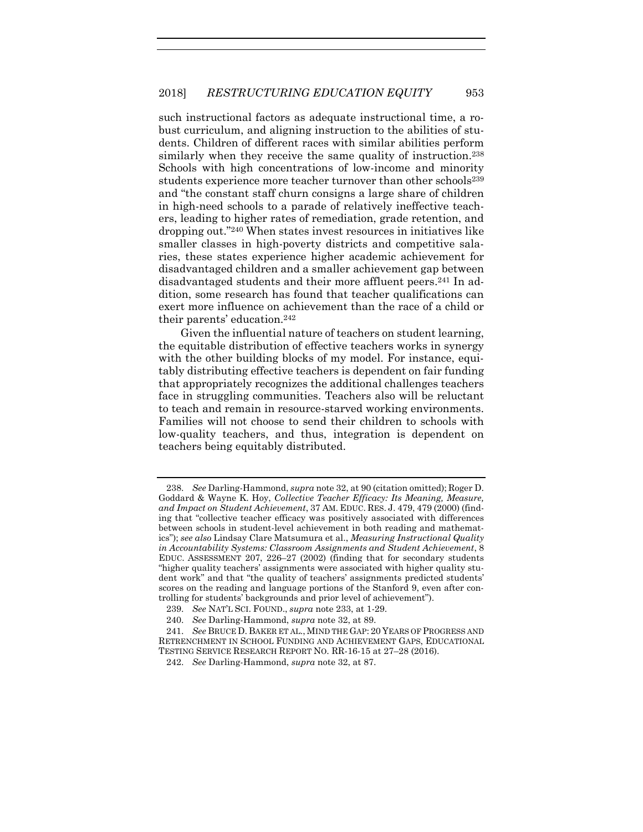such instructional factors as adequate instructional time, a robust curriculum, and aligning instruction to the abilities of students. Children of different races with similar abilities perform similarly when they receive the same quality of instruction. 238 Schools with high concentrations of low-income and minority students experience more teacher turnover than other schools<sup>239</sup> and "the constant staff churn consigns a large share of children in high-need schools to a parade of relatively ineffective teachers, leading to higher rates of remediation, grade retention, and dropping out."<sup>240</sup> When states invest resources in initiatives like smaller classes in high-poverty districts and competitive salaries, these states experience higher academic achievement for disadvantaged children and a smaller achievement gap between disadvantaged students and their more affluent peers. <sup>241</sup> In addition, some research has found that teacher qualifications can exert more influence on achievement than the race of a child or their parents' education.<sup>242</sup>

Given the influential nature of teachers on student learning, the equitable distribution of effective teachers works in synergy with the other building blocks of my model. For instance, equitably distributing effective teachers is dependent on fair funding that appropriately recognizes the additional challenges teachers face in struggling communities. Teachers also will be reluctant to teach and remain in resource-starved working environments. Families will not choose to send their children to schools with low-quality teachers, and thus, integration is dependent on teachers being equitably distributed.

<sup>238.</sup> *See* Darling-Hammond, *supra* not[e 32,](#page-7-0) at 90 (citation omitted); Roger D. Goddard & Wayne K. Hoy, *Collective Teacher Efficacy: Its Meaning, Measure, and Impact on Student Achievement*, 37 AM. EDUC. RES. J. 479, 479 (2000) (finding that "collective teacher efficacy was positively associated with differences between schools in student-level achievement in both reading and mathematics"); *see also* Lindsay Clare Matsumura et al., *Measuring Instructional Quality in Accountability Systems: Classroom Assignments and Student Achievement*, 8 EDUC. ASSESSMENT 207, 226–27 (2002) (finding that for secondary students "higher quality teachers' assignments were associated with higher quality student work" and that "the quality of teachers' assignments predicted students' scores on the reading and language portions of the Stanford 9, even after controlling for students' backgrounds and prior level of achievement").

<sup>239.</sup> *See* NAT'L SCI. FOUND., *supra* note [233,](#page-38-1) at 1-29.

<sup>240.</sup> *See* Darling-Hammond, *supra* note [32,](#page-7-0) at 89.

<sup>241.</sup> *See* BRUCE D. BAKER ET AL., MIND THE GAP: 20 YEARS OF PROGRESS AND RETRENCHMENT IN SCHOOL FUNDING AND ACHIEVEMENT GAPS, EDUCATIONAL TESTING SERVICE RESEARCH REPORT NO. RR-16-15 at 27–28 (2016).

<sup>242.</sup> *See* Darling-Hammond, *supra* note [32,](#page-7-0) at 87.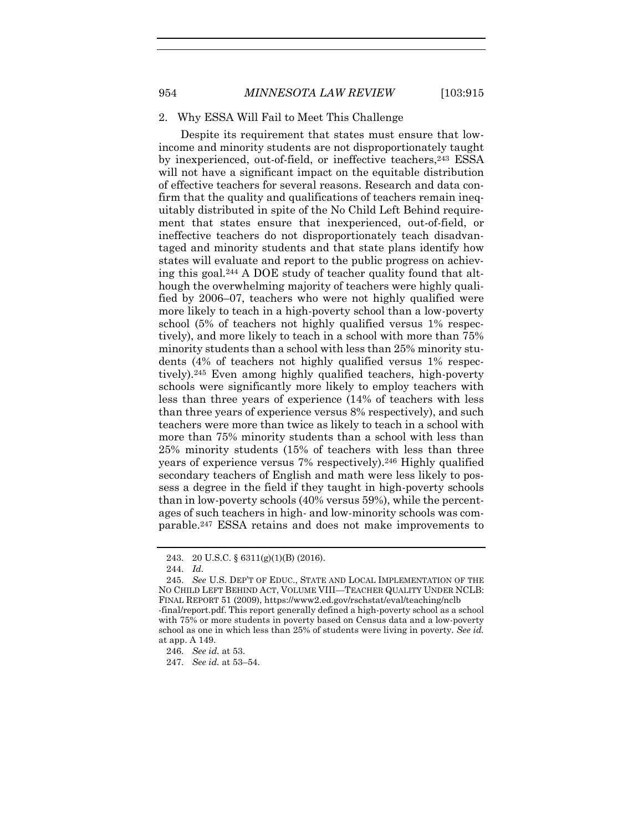### 2. Why ESSA Will Fail to Meet This Challenge

Despite its requirement that states must ensure that lowincome and minority students are not disproportionately taught by inexperienced, out-of-field, or ineffective teachers, 243 ESSA will not have a significant impact on the equitable distribution of effective teachers for several reasons. Research and data confirm that the quality and qualifications of teachers remain inequitably distributed in spite of the No Child Left Behind requirement that states ensure that inexperienced, out-of-field, or ineffective teachers do not disproportionately teach disadvantaged and minority students and that state plans identify how states will evaluate and report to the public progress on achieving this goal. <sup>244</sup> A DOE study of teacher quality found that although the overwhelming majority of teachers were highly qualified by 2006–07, teachers who were not highly qualified were more likely to teach in a high-poverty school than a low-poverty school (5% of teachers not highly qualified versus 1% respectively), and more likely to teach in a school with more than 75% minority students than a school with less than 25% minority students (4% of teachers not highly qualified versus 1% respectively). <sup>245</sup> Even among highly qualified teachers, high-poverty schools were significantly more likely to employ teachers with less than three years of experience (14% of teachers with less than three years of experience versus 8% respectively), and such teachers were more than twice as likely to teach in a school with more than 75% minority students than a school with less than 25% minority students (15% of teachers with less than three years of experience versus 7% respectively). <sup>246</sup> Highly qualified secondary teachers of English and math were less likely to possess a degree in the field if they taught in high-poverty schools than in low-poverty schools (40% versus 59%), while the percentages of such teachers in high- and low-minority schools was comparable. <sup>247</sup> ESSA retains and does not make improvements to

<span id="page-40-0"></span><sup>243.</sup> 20 U.S.C. § 6311(g)(1)(B) (2016).

<sup>244.</sup> *Id.*

<sup>245.</sup> *See* U.S. DEP'T OF EDUC., STATE AND LOCAL IMPLEMENTATION OF THE NO CHILD LEFT BEHIND ACT, VOLUME VIII—TEACHER QUALITY UNDER NCLB: FINAL REPORT 51 (2009), https://www2.ed.gov/rschstat/eval/teaching/nclb -final/report.pdf. This report generally defined a high-poverty school as a school with 75% or more students in poverty based on Census data and a low-poverty school as one in which less than 25% of students were living in poverty. *See id.* at app. A 149.

<sup>246.</sup> *See id.* at 53.

<sup>247.</sup> *See id.* at 53–54.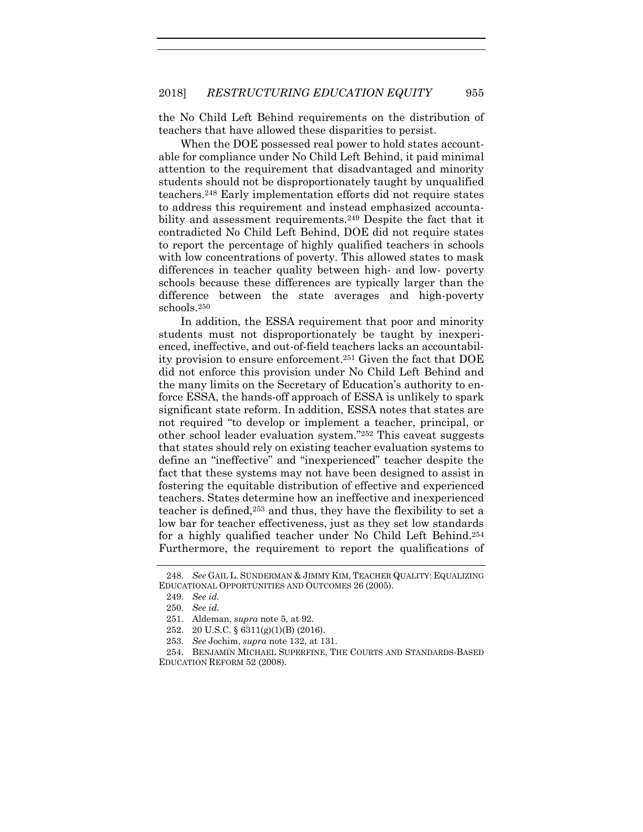the No Child Left Behind requirements on the distribution of teachers that have allowed these disparities to persist.

When the DOE possessed real power to hold states accountable for compliance under No Child Left Behind, it paid minimal attention to the requirement that disadvantaged and minority students should not be disproportionately taught by unqualified teachers.<sup>248</sup> Early implementation efforts did not require states to address this requirement and instead emphasized accountability and assessment requirements.<sup>249</sup> Despite the fact that it contradicted No Child Left Behind, DOE did not require states to report the percentage of highly qualified teachers in schools with low concentrations of poverty. This allowed states to mask differences in teacher quality between high- and low- poverty schools because these differences are typically larger than the difference between the state averages and high-poverty schools. 250

In addition, the ESSA requirement that poor and minority students must not disproportionately be taught by inexperienced, ineffective, and out-of-field teachers lacks an accountability provision to ensure enforcement.<sup>251</sup> Given the fact that DOE did not enforce this provision under No Child Left Behind and the many limits on the Secretary of Education's authority to enforce ESSA, the hands-off approach of ESSA is unlikely to spark significant state reform. In addition, ESSA notes that states are not required "to develop or implement a teacher, principal, or other school leader evaluation system."<sup>252</sup> This caveat suggests that states should rely on existing teacher evaluation systems to define an "ineffective" and "inexperienced" teacher despite the fact that these systems may not have been designed to assist in fostering the equitable distribution of effective and experienced teachers. States determine how an ineffective and inexperienced teacher is defined, <sup>253</sup> and thus, they have the flexibility to set a low bar for teacher effectiveness, just as they set low standards for a highly qualified teacher under No Child Left Behind.<sup>254</sup> Furthermore, the requirement to report the qualifications of

<sup>248.</sup> *See* GAIL L. SUNDERMAN & JIMMY KIM, TEACHER QUALITY: EQUALIZING EDUCATIONAL OPPORTUNITIES AND OUTCOMES 26 (2005).

<sup>249.</sup> *See id.*

<sup>250.</sup> *See id.*

<sup>251.</sup> Aldeman, *supra* not[e 5,](#page-3-0) at 92.

<sup>252.</sup> 20 U.S.C. § 6311(g)(1)(B) (2016).

<sup>253.</sup> *See* Jochim, *supra* not[e 132,](#page-22-0) at 131.

<sup>254.</sup> BENJAMIN MICHAEL SUPERFINE, THE COURTS AND STANDARDS-BASED EDUCATION REFORM 52 (2008).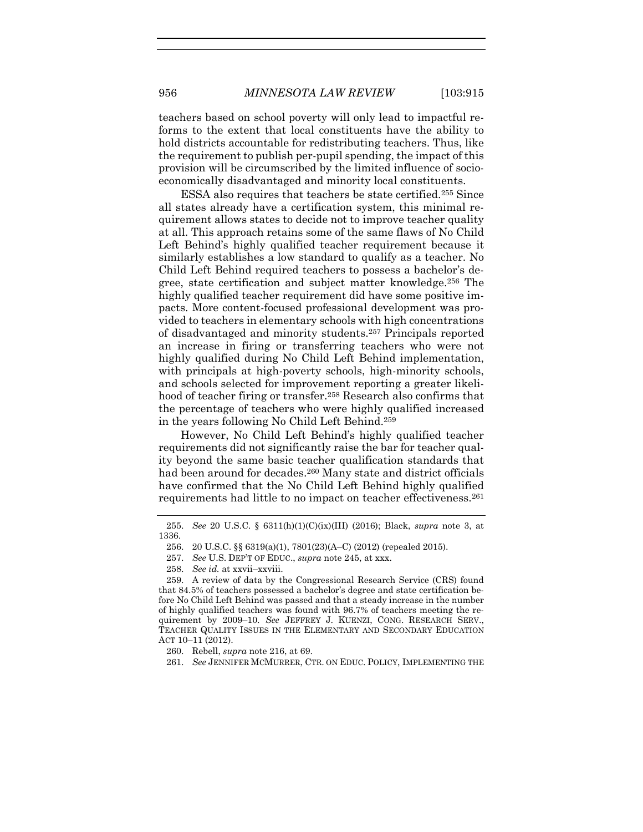teachers based on school poverty will only lead to impactful reforms to the extent that local constituents have the ability to hold districts accountable for redistributing teachers. Thus, like the requirement to publish per-pupil spending, the impact of this provision will be circumscribed by the limited influence of socioeconomically disadvantaged and minority local constituents.

ESSA also requires that teachers be state certified.<sup>255</sup> Since all states already have a certification system, this minimal requirement allows states to decide not to improve teacher quality at all. This approach retains some of the same flaws of No Child Left Behind's highly qualified teacher requirement because it similarly establishes a low standard to qualify as a teacher. No Child Left Behind required teachers to possess a bachelor's degree, state certification and subject matter knowledge. <sup>256</sup> The highly qualified teacher requirement did have some positive impacts. More content-focused professional development was provided to teachers in elementary schools with high concentrations of disadvantaged and minority students. <sup>257</sup> Principals reported an increase in firing or transferring teachers who were not highly qualified during No Child Left Behind implementation, with principals at high-poverty schools, high-minority schools, and schools selected for improvement reporting a greater likelihood of teacher firing or transfer.<sup>258</sup> Research also confirms that the percentage of teachers who were highly qualified increased in the years following No Child Left Behind.<sup>259</sup>

<span id="page-42-0"></span>However, No Child Left Behind's highly qualified teacher requirements did not significantly raise the bar for teacher quality beyond the same basic teacher qualification standards that had been around for decades.<sup>260</sup> Many state and district officials have confirmed that the No Child Left Behind highly qualified requirements had little to no impact on teacher effectiveness.<sup>261</sup>

258. *See id.* at xxvii–xxviii.

<sup>255.</sup> *See* 20 U.S.C. § 6311(h)(1)(C)(ix)(III) (2016); Black, *supra* note [3,](#page-2-1) at 1336.

<sup>256.</sup> 20 U.S.C. §§ 6319(a)(1), 7801(23)(A–C) (2012) (repealed 2015).

<sup>257.</sup> *See* U.S. DEP'T OF EDUC., *supra* note [245,](#page-40-0) at xxx.

<sup>259.</sup> A review of data by the Congressional Research Service (CRS) found that 84.5% of teachers possessed a bachelor's degree and state certification before No Child Left Behind was passed and that a steady increase in the number of highly qualified teachers was found with 96.7% of teachers meeting the requirement by 2009–10. *See* JEFFREY J. KUENZI, CONG. RESEARCH SERV., TEACHER QUALITY ISSUES IN THE ELEMENTARY AND SECONDARY EDUCATION ACT 10–11 (2012).

<sup>260.</sup> Rebell, *supra* not[e 216,](#page-35-1) at 69.

<sup>261.</sup> *See* JENNIFER MCMURRER, CTR. ON EDUC. POLICY, IMPLEMENTING THE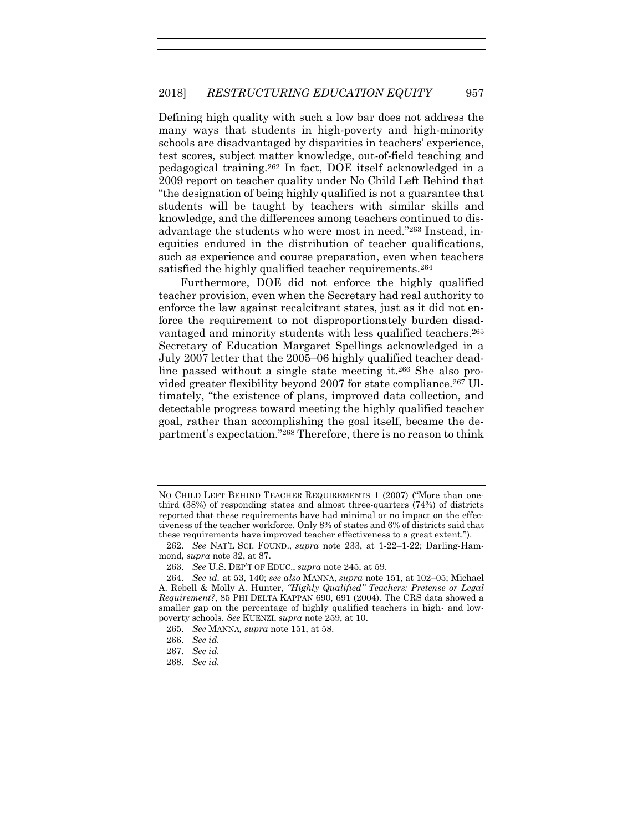Defining high quality with such a low bar does not address the many ways that students in high-poverty and high-minority schools are disadvantaged by disparities in teachers' experience, test scores, subject matter knowledge, out-of-field teaching and pedagogical training. <sup>262</sup> In fact, DOE itself acknowledged in a 2009 report on teacher quality under No Child Left Behind that "the designation of being highly qualified is not a guarantee that students will be taught by teachers with similar skills and knowledge, and the differences among teachers continued to disadvantage the students who were most in need."<sup>263</sup> Instead, inequities endured in the distribution of teacher qualifications, such as experience and course preparation, even when teachers satisfied the highly qualified teacher requirements.<sup>264</sup>

Furthermore, DOE did not enforce the highly qualified teacher provision, even when the Secretary had real authority to enforce the law against recalcitrant states, just as it did not enforce the requirement to not disproportionately burden disadvantaged and minority students with less qualified teachers.<sup>265</sup> Secretary of Education Margaret Spellings acknowledged in a July 2007 letter that the 2005–06 highly qualified teacher deadline passed without a single state meeting it.<sup>266</sup> She also provided greater flexibility beyond 2007 for state compliance.<sup>267</sup> Ultimately, "the existence of plans, improved data collection, and detectable progress toward meeting the highly qualified teacher goal, rather than accomplishing the goal itself, became the department's expectation." <sup>268</sup> Therefore, there is no reason to think

268. *See id.*

NO CHILD LEFT BEHIND TEACHER REQUIREMENTS 1 (2007) ("More than onethird (38%) of responding states and almost three-quarters (74%) of districts reported that these requirements have had minimal or no impact on the effectiveness of the teacher workforce. Only 8% of states and 6% of districts said that these requirements have improved teacher effectiveness to a great extent.").

<sup>262.</sup> *See* NAT'L SCI. FOUND., *supra* note [233,](#page-38-1) at 1-22–1-22; Darling-Hammond, *supra* note [32,](#page-7-0) at 87.

<sup>263.</sup> *See* U.S. DEP'T OF EDUC., *supra* not[e 245,](#page-40-0) at 59.

<sup>264.</sup> *See id.* at 53, 140; *see also* MANNA, *supra* note [151,](#page-26-0) at 102–05; Michael A. Rebell & Molly A. Hunter, *"Highly Qualified" Teachers: Pretense or Legal Requirement?*, 85 PHI DELTA KAPPAN 690, 691 (2004). The CRS data showed a smaller gap on the percentage of highly qualified teachers in high- and lowpoverty schools. *See* KUENZI, *supra* not[e 259,](#page-42-0) at 10.

<sup>265.</sup> *See* MANNA*, supra* note [151,](#page-26-0) at 58.

<sup>266.</sup> *See id.*

<sup>267.</sup> *See id.*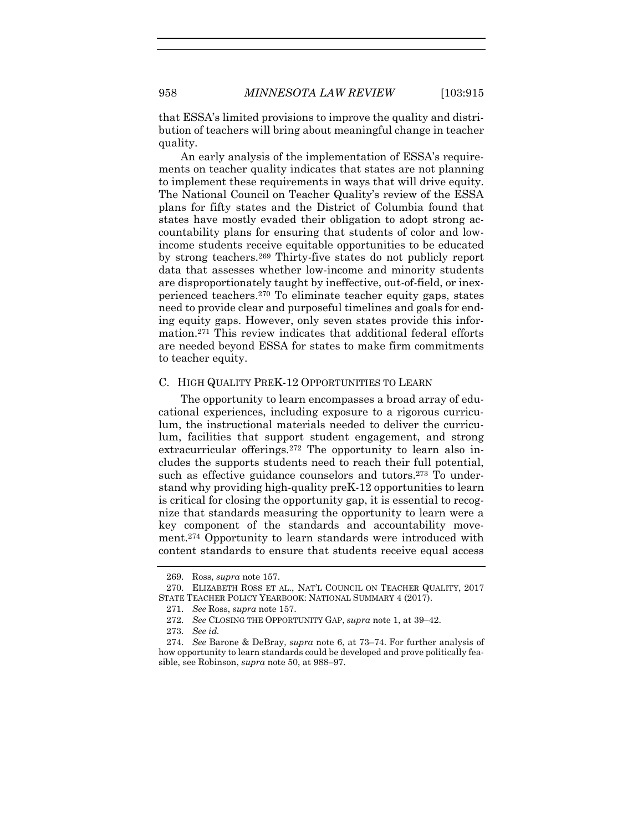that ESSA's limited provisions to improve the quality and distribution of teachers will bring about meaningful change in teacher quality.

An early analysis of the implementation of ESSA's requirements on teacher quality indicates that states are not planning to implement these requirements in ways that will drive equity. The National Council on Teacher Quality's review of the ESSA plans for fifty states and the District of Columbia found that states have mostly evaded their obligation to adopt strong accountability plans for ensuring that students of color and lowincome students receive equitable opportunities to be educated by strong teachers.<sup>269</sup> Thirty-five states do not publicly report data that assesses whether low-income and minority students are disproportionately taught by ineffective, out-of-field, or inexperienced teachers. <sup>270</sup> To eliminate teacher equity gaps, states need to provide clear and purposeful timelines and goals for ending equity gaps. However, only seven states provide this information.<sup>271</sup> This review indicates that additional federal efforts are needed beyond ESSA for states to make firm commitments to teacher equity.

#### C. HIGH QUALITY PREK-12 OPPORTUNITIES TO LEARN

The opportunity to learn encompasses a broad array of educational experiences, including exposure to a rigorous curriculum, the instructional materials needed to deliver the curriculum, facilities that support student engagement, and strong extracurricular offerings.<sup>272</sup> The opportunity to learn also includes the supports students need to reach their full potential, such as effective guidance counselors and tutors. <sup>273</sup> To understand why providing high-quality preK-12 opportunities to learn is critical for closing the opportunity gap, it is essential to recognize that standards measuring the opportunity to learn were a key component of the standards and accountability movement. <sup>274</sup> Opportunity to learn standards were introduced with content standards to ensure that students receive equal access

<sup>269.</sup> Ross, *supra* note [157.](#page-26-1)

<sup>270.</sup> ELIZABETH ROSS ET AL., NAT'L COUNCIL ON TEACHER QUALITY, 2017 STATE TEACHER POLICY YEARBOOK: NATIONAL SUMMARY 4 (2017).

<sup>271.</sup> *See* Ross, *supra* note [157.](#page-26-1)

<sup>272.</sup> *See* CLOSING THE OPPORTUNITY GAP, *supra* not[e 1,](#page-2-0) at 39–42.

<sup>273.</sup> *See id.* 

<sup>274.</sup> *See* Barone & DeBray, *supra* note [6,](#page-3-1) at 73–74. For further analysis of how opportunity to learn standards could be developed and prove politically feasible, see Robinson, *supra* note [50,](#page-11-0) at 988–97.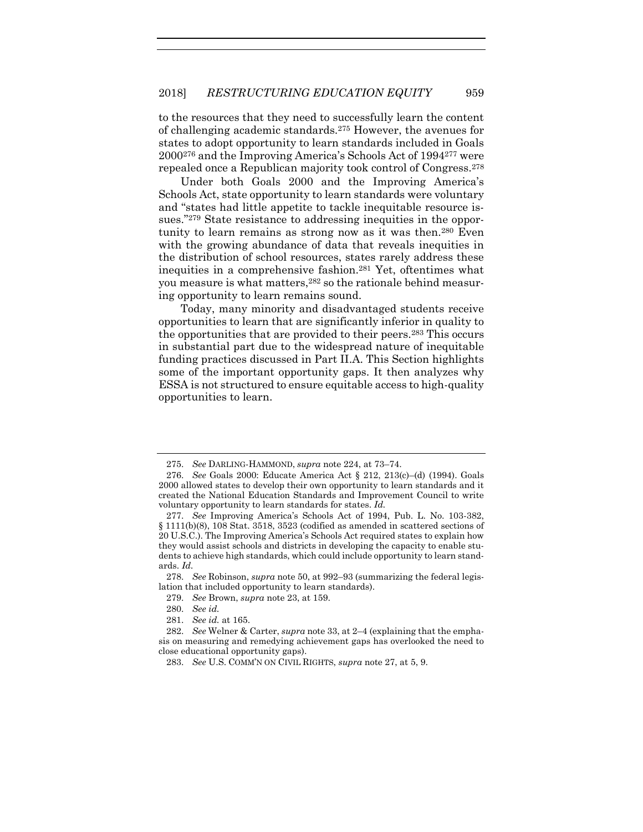to the resources that they need to successfully learn the content of challenging academic standards.<sup>275</sup> However, the avenues for states to adopt opportunity to learn standards included in Goals 2000<sup>276</sup> and the Improving America's Schools Act of 1994<sup>277</sup> were repealed once a Republican majority took control of Congress.<sup>278</sup>

Under both Goals 2000 and the Improving America's Schools Act, state opportunity to learn standards were voluntary and "states had little appetite to tackle inequitable resource issues."<sup>279</sup> State resistance to addressing inequities in the opportunity to learn remains as strong now as it was then.<sup>280</sup> Even with the growing abundance of data that reveals inequities in the distribution of school resources, states rarely address these inequities in a comprehensive fashion.<sup>281</sup> Yet, oftentimes what you measure is what matters, <sup>282</sup> so the rationale behind measuring opportunity to learn remains sound.

Today, many minority and disadvantaged students receive opportunities to learn that are significantly inferior in quality to the opportunities that are provided to their peers.<sup>283</sup> This occurs in substantial part due to the widespread nature of inequitable funding practices discussed in Part II.A. This Section highlights some of the important opportunity gaps. It then analyzes why ESSA is not structured to ensure equitable access to high-quality opportunities to learn.

<sup>275.</sup> *See* DARLING-HAMMOND, *supra* note [224,](#page-36-0) at 73–74.

<sup>276.</sup> *See* Goals 2000: Educate America Act § 212, 213(c)–(d) (1994). Goals 2000 allowed states to develop their own opportunity to learn standards and it created the National Education Standards and Improvement Council to write voluntary opportunity to learn standards for states. *Id.*

<sup>277.</sup> *See* Improving America's Schools Act of 1994, Pub. L. No. 103-382, § 1111(b)(8), 108 Stat. 3518, 3523 (codified as amended in scattered sections of 20 U.S.C.). The Improving America's Schools Act required states to explain how they would assist schools and districts in developing the capacity to enable students to achieve high standards, which could include opportunity to learn standards. *Id.*

<sup>278.</sup> *See* Robinson, *supra* not[e 50,](#page-11-0) at 992–93 (summarizing the federal legislation that included opportunity to learn standards).

<sup>279.</sup> *See* Brown, *supra* not[e 23,](#page-5-0) at 159.

<sup>280.</sup> *See id.*

<sup>281.</sup> *See id.* at 165.

<sup>282.</sup> *See* Welner & Carter, *supra* not[e 33,](#page-8-0) at 2–4 (explaining that the emphasis on measuring and remedying achievement gaps has overlooked the need to close educational opportunity gaps).

<sup>283.</sup> *See* U.S. COMM'N ON CIVIL RIGHTS, *supra* not[e 27,](#page-6-0) at 5, 9.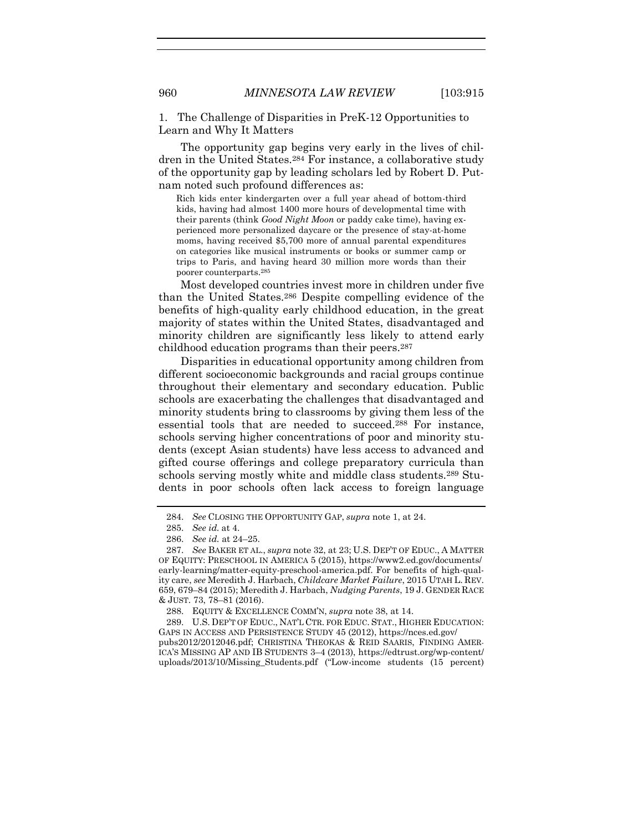1. The Challenge of Disparities in PreK-12 Opportunities to Learn and Why It Matters

The opportunity gap begins very early in the lives of children in the United States.<sup>284</sup> For instance, a collaborative study of the opportunity gap by leading scholars led by Robert D. Putnam noted such profound differences as:

Rich kids enter kindergarten over a full year ahead of bottom-third kids, having had almost 1400 more hours of developmental time with their parents (think *Good Night Moon* or paddy cake time), having experienced more personalized daycare or the presence of stay-at-home moms, having received \$5,700 more of annual parental expenditures on categories like musical instruments or books or summer camp or trips to Paris, and having heard 30 million more words than their poorer counterparts.<sup>285</sup>

Most developed countries invest more in children under five than the United States.<sup>286</sup> Despite compelling evidence of the benefits of high-quality early childhood education, in the great majority of states within the United States, disadvantaged and minority children are significantly less likely to attend early childhood education programs than their peers.<sup>287</sup>

Disparities in educational opportunity among children from different socioeconomic backgrounds and racial groups continue throughout their elementary and secondary education. Public schools are exacerbating the challenges that disadvantaged and minority students bring to classrooms by giving them less of the essential tools that are needed to succeed. <sup>288</sup> For instance, schools serving higher concentrations of poor and minority students (except Asian students) have less access to advanced and gifted course offerings and college preparatory curricula than schools serving mostly white and middle class students.<sup>289</sup> Students in poor schools often lack access to foreign language

<sup>284.</sup> *See* CLOSING THE OPPORTUNITY GAP, *supra* note [1,](#page-2-0) at 24.

<sup>285.</sup> *See id.* at 4.

<sup>286.</sup> *See id.* at 24–25.

<sup>287.</sup> *See* BAKER ET AL., *supra* not[e 32,](#page-7-0) at 23; U.S. DEP'T OF EDUC., A MATTER OF EQUITY: PRESCHOOL IN AMERICA 5 (2015), https://www2.ed.gov/documents/ early-learning/matter-equity-preschool-america.pdf. For benefits of high-quality care, *see* Meredith J. Harbach, *Childcare Market Failure*, 2015 UTAH L. REV. 659, 679–84 (2015); Meredith J. Harbach, *Nudging Parents*, 19 J. GENDER RACE & JUST. 73, 78–81 (2016).

<sup>288.</sup> EQUITY & EXCELLENCE COMM'N, *supra* not[e 38,](#page-9-0) at 14.

<sup>289.</sup> U.S. DEP'T OF EDUC., NAT'L CTR. FOR EDUC. STAT., HIGHER EDUCATION: GAPS IN ACCESS AND PERSISTENCE STUDY 45 (2012), https://nces.ed.gov/ pubs2012/2012046.pdf; CHRISTINA THEOKAS & REID SAARIS, FINDING AMER-ICA'S MISSING AP AND IB STUDENTS 3–4 (2013), [https://edtrust.org/wp-content/](https://edtrust.org/wp-content/uploads/2013/10/Missing_Students.pdf)

[uploads/2013/10/Missing\\_Students.pdf](https://edtrust.org/wp-content/uploads/2013/10/Missing_Students.pdf) ("Low-income students (15 percent)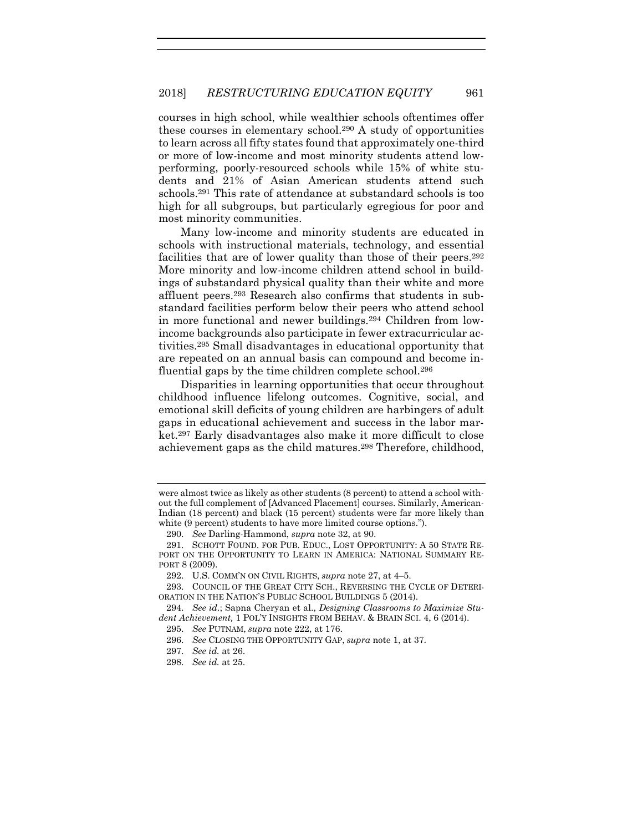courses in high school, while wealthier schools oftentimes offer these courses in elementary school. <sup>290</sup> A study of opportunities to learn across all fifty states found that approximately one-third or more of low-income and most minority students attend lowperforming, poorly-resourced schools while 15% of white students and 21% of Asian American students attend such schools.<sup>291</sup> This rate of attendance at substandard schools is too high for all subgroups, but particularly egregious for poor and most minority communities.

Many low-income and minority students are educated in schools with instructional materials, technology, and essential facilities that are of lower quality than those of their peers.<sup>292</sup> More minority and low-income children attend school in buildings of substandard physical quality than their white and more affluent peers.<sup>293</sup> Research also confirms that students in substandard facilities perform below their peers who attend school in more functional and newer buildings.<sup>294</sup> Children from lowincome backgrounds also participate in fewer extracurricular activities.<sup>295</sup> Small disadvantages in educational opportunity that are repeated on an annual basis can compound and become influential gaps by the time children complete school.<sup>296</sup>

<span id="page-47-0"></span>Disparities in learning opportunities that occur throughout childhood influence lifelong outcomes. Cognitive, social, and emotional skill deficits of young children are harbingers of adult gaps in educational achievement and success in the labor market.<sup>297</sup> Early disadvantages also make it more difficult to close achievement gaps as the child matures.<sup>298</sup> Therefore, childhood,

were almost twice as likely as other students (8 percent) to attend a school without the full complement of [Advanced Placement] courses. Similarly, American-Indian (18 percent) and black (15 percent) students were far more likely than white (9 percent) students to have more limited course options.").

<sup>290.</sup> *See* Darling-Hammond, *supra* note [32,](#page-7-0) at 90.

<sup>291.</sup> SCHOTT FOUND. FOR PUB. EDUC., LOST OPPORTUNITY: A 50 STATE RE-PORT ON THE OPPORTUNITY TO LEARN IN AMERICA: NATIONAL SUMMARY RE-PORT 8 (2009).

<sup>292.</sup> U.S. COMM'N ON CIVIL RIGHTS, *supra* not[e 27,](#page-6-0) at 4–5.

<sup>293.</sup> COUNCIL OF THE GREAT CITY SCH., REVERSING THE CYCLE OF DETERI-ORATION IN THE NATION'S PUBLIC SCHOOL BUILDINGS 5 (2014).

<sup>294.</sup> *See id.*; Sapna Cheryan et al., *Designing Classrooms to Maximize Student Achievement,* 1 POL'Y INSIGHTS FROM BEHAV. & BRAIN SCI. 4, 6 (2014).

<sup>295.</sup> *See* PUTNAM, *supra* not[e 222,](#page-36-1) at 176.

<sup>296.</sup> *See* CLOSING THE OPPORTUNITY GAP, *supra* not[e 1,](#page-2-0) at 37.

<sup>297.</sup> *See id.* at 26.

<sup>298.</sup> *See id.* at 25.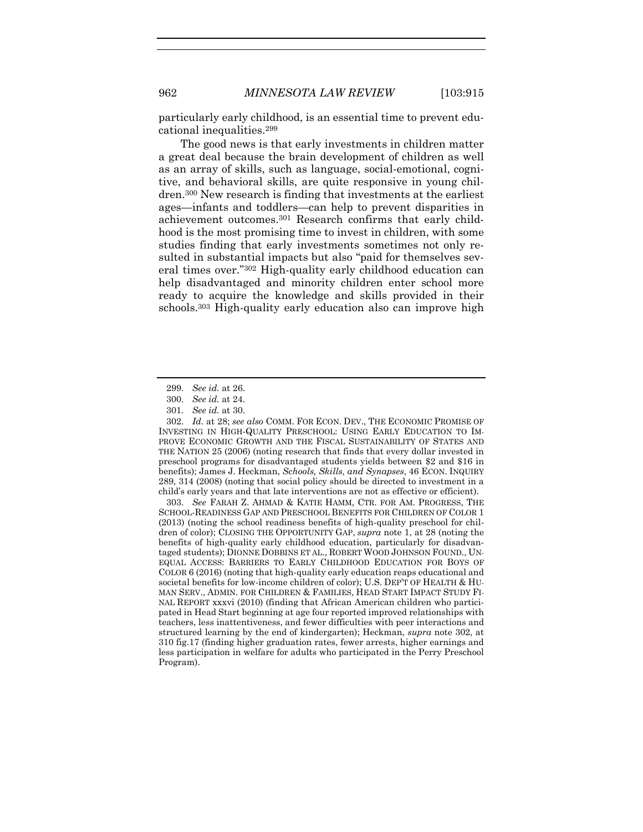particularly early childhood, is an essential time to prevent educational inequalities. 299

The good news is that early investments in children matter a great deal because the brain development of children as well as an array of skills, such as language, social-emotional, cognitive, and behavioral skills, are quite responsive in young children.<sup>300</sup> New research is finding that investments at the earliest ages—infants and toddlers—can help to prevent disparities in achievement outcomes.<sup>301</sup> Research confirms that early childhood is the most promising time to invest in children, with some studies finding that early investments sometimes not only resulted in substantial impacts but also "paid for themselves several times over."<sup>302</sup> High-quality early childhood education can help disadvantaged and minority children enter school more ready to acquire the knowledge and skills provided in their schools. <sup>303</sup> High-quality early education also can improve high

303. *See* FARAH Z. AHMAD & KATIE HAMM, CTR. FOR AM. PROGRESS, THE SCHOOL-READINESS GAP AND PRESCHOOL BENEFITS FOR CHILDREN OF COLOR 1 (2013) (noting the school readiness benefits of high-quality preschool for children of color); CLOSING THE OPPORTUNITY GAP, *supra* note [1,](#page-2-0) at 28 (noting the benefits of high-quality early childhood education, particularly for disadvantaged students); DIONNE DOBBINS ET AL., ROBERT WOOD JOHNSON FOUND., UN-EQUAL ACCESS: BARRIERS TO EARLY CHILDHOOD EDUCATION FOR BOYS OF COLOR 6 (2016) (noting that high-quality early education reaps educational and societal benefits for low-income children of color); U.S. DEP'T OF HEALTH & HU-MAN SERV., ADMIN. FOR CHILDREN & FAMILIES, HEAD START IMPACT STUDY FI-NAL REPORT xxxvi (2010) (finding that African American children who participated in Head Start beginning at age four reported improved relationships with teachers, less inattentiveness, and fewer difficulties with peer interactions and structured learning by the end of kindergarten); Heckman, *supra* note [302,](#page-48-0) at 310 fig.17 (finding higher graduation rates, fewer arrests, higher earnings and less participation in welfare for adults who participated in the Perry Preschool Program).

<span id="page-48-0"></span><sup>299.</sup> *See id.* at 26.

<sup>300.</sup> *See id.* at 24.

<sup>301.</sup> *See id.* at 30.

<sup>302.</sup> *Id.* at 28; *see also* COMM. FOR ECON. DEV., THE ECONOMIC PROMISE OF INVESTING IN HIGH-QUALITY PRESCHOOL: USING EARLY EDUCATION TO IM-PROVE ECONOMIC GROWTH AND THE FISCAL SUSTAINABILITY OF STATES AND THE NATION 25 (2006) (noting research that finds that every dollar invested in preschool programs for disadvantaged students yields between \$2 and \$16 in benefits); James J. Heckman, *Schools, Skills, and Synapses*, 46 ECON. INQUIRY 289, 314 (2008) (noting that social policy should be directed to investment in a child's early years and that late interventions are not as effective or efficient).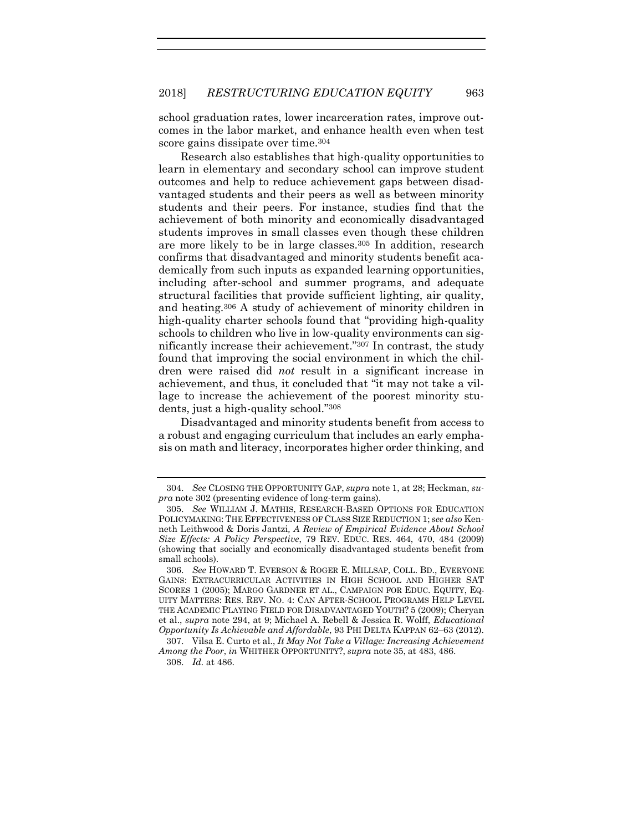school graduation rates, lower incarceration rates, improve outcomes in the labor market, and enhance health even when test score gains dissipate over time. 304

Research also establishes that high-quality opportunities to learn in elementary and secondary school can improve student outcomes and help to reduce achievement gaps between disadvantaged students and their peers as well as between minority students and their peers. For instance, studies find that the achievement of both minority and economically disadvantaged students improves in small classes even though these children are more likely to be in large classes.<sup>305</sup> In addition, research confirms that disadvantaged and minority students benefit academically from such inputs as expanded learning opportunities, including after-school and summer programs, and adequate structural facilities that provide sufficient lighting, air quality, and heating. <sup>306</sup> A study of achievement of minority children in high-quality charter schools found that "providing high-quality schools to children who live in low-quality environments can significantly increase their achievement."<sup>307</sup> In contrast, the study found that improving the social environment in which the children were raised did *not* result in a significant increase in achievement, and thus, it concluded that "it may not take a village to increase the achievement of the poorest minority students, just a high-quality school."<sup>308</sup>

Disadvantaged and minority students benefit from access to a robust and engaging curriculum that includes an early emphasis on math and literacy, incorporates higher order thinking, and

<sup>304.</sup> *See* CLOSING THE OPPORTUNITY GAP, *supra* not[e 1,](#page-2-0) at 28; Heckman, *supra* note [302](#page-48-0) (presenting evidence of long-term gains).

<sup>305.</sup> *See* WILLIAM J. MATHIS, RESEARCH-BASED OPTIONS FOR EDUCATION POLICYMAKING: THE EFFECTIVENESS OF CLASS SIZE REDUCTION 1; *see also* Kenneth Leithwood & Doris Jantzi*, A Review of Empirical Evidence About School Size Effects: A Policy Perspective*, 79 REV. EDUC. RES. 464, 470, 484 (2009) (showing that socially and economically disadvantaged students benefit from small schools).

<sup>306.</sup> *See* HOWARD T. EVERSON & ROGER E. MILLSAP, COLL. BD., EVERYONE GAINS: EXTRACURRICULAR ACTIVITIES IN HIGH SCHOOL AND HIGHER SAT SCORES 1 (2005); MARGO GARDNER ET AL., CAMPAIGN FOR EDUC. EQUITY, EQ-UITY MATTERS: RES. REV. NO. 4: CAN AFTER-SCHOOL PROGRAMS HELP LEVEL THE ACADEMIC PLAYING FIELD FOR DISADVANTAGED YOUTH? 5 (2009); Cheryan et al., *supra* note [294,](#page-47-0) at 9; Michael A. Rebell & Jessica R. Wolff, *Educational Opportunity Is Achievable and Affordable*, 93 PHI DELTA KAPPAN 62–63 (2012).

<sup>307.</sup> Vilsa E. Curto et al., *It May Not Take a Village: Increasing Achievement Among the Poor*, *in* WHITHER OPPORTUNITY?, *supra* note [35,](#page-8-1) at 483, 486. 308. *Id.* at 486.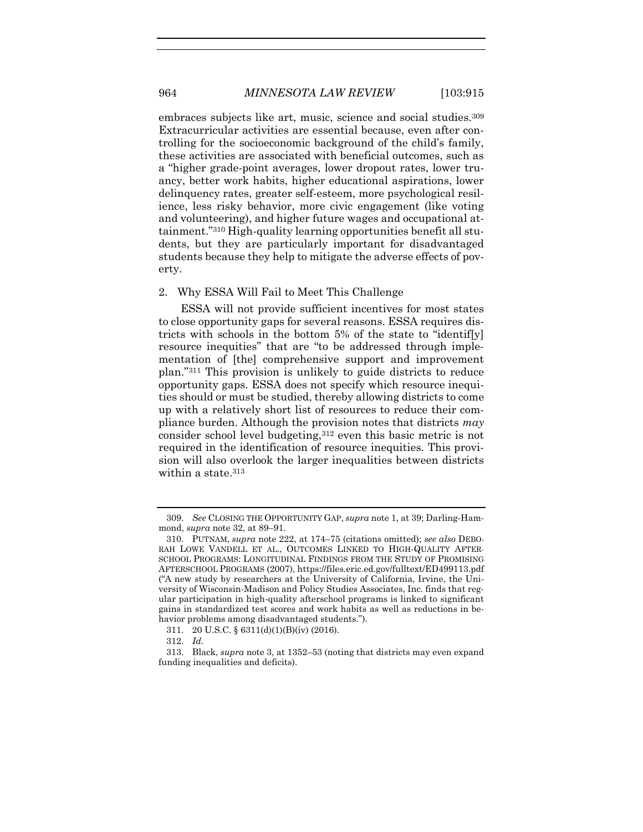embraces subjects like art, music, science and social studies.<sup>309</sup> Extracurricular activities are essential because, even after controlling for the socioeconomic background of the child's family, these activities are associated with beneficial outcomes, such as a "higher grade-point averages, lower dropout rates, lower truancy, better work habits, higher educational aspirations, lower delinquency rates, greater self-esteem, more psychological resilience, less risky behavior, more civic engagement (like voting and volunteering), and higher future wages and occupational attainment."<sup>310</sup> High-quality learning opportunities benefit all students, but they are particularly important for disadvantaged students because they help to mitigate the adverse effects of poverty.

# 2. Why ESSA Will Fail to Meet This Challenge

ESSA will not provide sufficient incentives for most states to close opportunity gaps for several reasons. ESSA requires districts with schools in the bottom 5% of the state to "identif[y] resource inequities" that are "to be addressed through implementation of [the] comprehensive support and improvement plan."<sup>311</sup> This provision is unlikely to guide districts to reduce opportunity gaps. ESSA does not specify which resource inequities should or must be studied, thereby allowing districts to come up with a relatively short list of resources to reduce their compliance burden. Although the provision notes that districts *may* consider school level budgeting,<sup>312</sup> even this basic metric is not required in the identification of resource inequities. This provision will also overlook the larger inequalities between districts within a state.<sup>313</sup>

<sup>309.</sup> *See* CLOSING THE OPPORTUNITY GAP, *supra* not[e 1,](#page-2-0) at 39; Darling-Hammond, *supra* note [32,](#page-7-0) at 89–91.

<sup>310.</sup> PUTNAM, *supra* note [222,](#page-36-1) at 174–75 (citations omitted); *see also* DEBO-RAH LOWE VANDELL ET AL., OUTCOMES LINKED TO HIGH-QUALITY AFTER-SCHOOL PROGRAMS: LONGITUDINAL FINDINGS FROM THE STUDY OF PROMISING AFTERSCHOOL PROGRAMS (2007)[, https://files.eric.ed.gov/fulltext/ED499113.pdf](https://files.eric.ed.gov/fulltext/ED499113.pdf) ("A new study by researchers at the University of California, Irvine, the University of Wisconsin-Madison and Policy Studies Associates, Inc. finds that regular participation in high-quality afterschool programs is linked to significant gains in standardized test scores and work habits as well as reductions in behavior problems among disadvantaged students.").

<sup>311.</sup> 20 U.S.C. § 6311(d)(1)(B)(iv) (2016).

<sup>312.</sup> *Id.*

<sup>313.</sup> Black, *supra* note [3,](#page-2-1) at 1352–53 (noting that districts may even expand funding inequalities and deficits).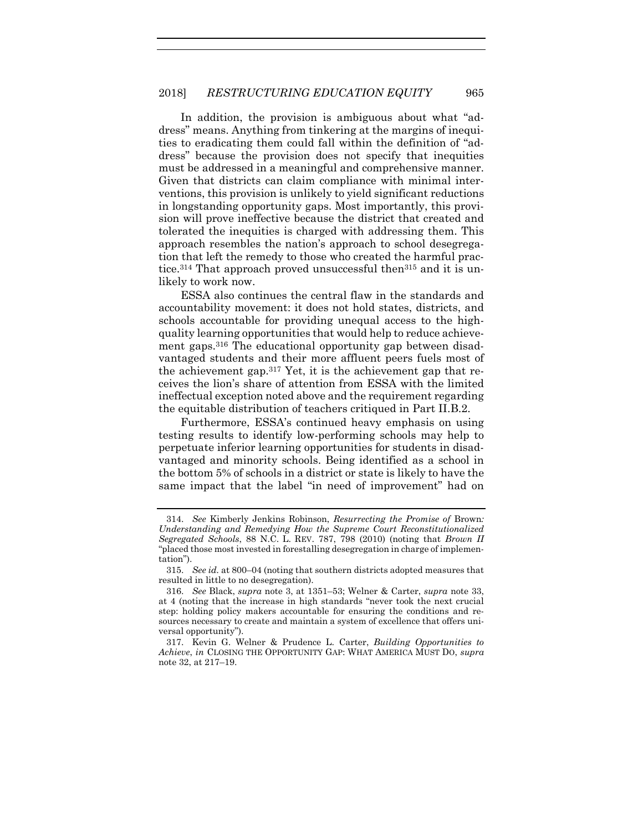In addition, the provision is ambiguous about what "address" means. Anything from tinkering at the margins of inequities to eradicating them could fall within the definition of "address" because the provision does not specify that inequities must be addressed in a meaningful and comprehensive manner. Given that districts can claim compliance with minimal interventions, this provision is unlikely to yield significant reductions in longstanding opportunity gaps. Most importantly, this provision will prove ineffective because the district that created and tolerated the inequities is charged with addressing them. This approach resembles the nation's approach to school desegregation that left the remedy to those who created the harmful practice.<sup>314</sup> That approach proved unsuccessful then<sup>315</sup> and it is unlikely to work now.

ESSA also continues the central flaw in the standards and accountability movement: it does not hold states, districts, and schools accountable for providing unequal access to the highquality learning opportunities that would help to reduce achievement gaps. <sup>316</sup> The educational opportunity gap between disadvantaged students and their more affluent peers fuels most of the achievement gap.<sup>317</sup> Yet, it is the achievement gap that receives the lion's share of attention from ESSA with the limited ineffectual exception noted above and the requirement regarding the equitable distribution of teachers critiqued in Part II.B.2.

Furthermore, ESSA's continued heavy emphasis on using testing results to identify low-performing schools may help to perpetuate inferior learning opportunities for students in disadvantaged and minority schools. Being identified as a school in the bottom 5% of schools in a district or state is likely to have the same impact that the label "in need of improvement" had on

<sup>314.</sup> *See* Kimberly Jenkins Robinson, *Resurrecting the Promise of* Brown*: Understanding and Remedying How the Supreme Court Reconstitutionalized Segregated Schools*, 88 N.C. L. REV. 787, 798 (2010) (noting that *Brown II* "placed those most invested in forestalling desegregation in charge of implementation").

<sup>315.</sup> *See id.* at 800–04 (noting that southern districts adopted measures that resulted in little to no desegregation).

<sup>316.</sup> *See* Black, *supra* note [3,](#page-2-1) at 1351–53; Welner & Carter, *supra* note [33,](#page-8-0) at 4 (noting that the increase in high standards "never took the next crucial step: holding policy makers accountable for ensuring the conditions and resources necessary to create and maintain a system of excellence that offers universal opportunity").

<sup>317.</sup> Kevin G. Welner & Prudence L. Carter, *Building Opportunities to Achieve*, *in* CLOSING THE OPPORTUNITY GAP: WHAT AMERICA MUST DO, *supra* not[e 32,](#page-7-0) at 217–19.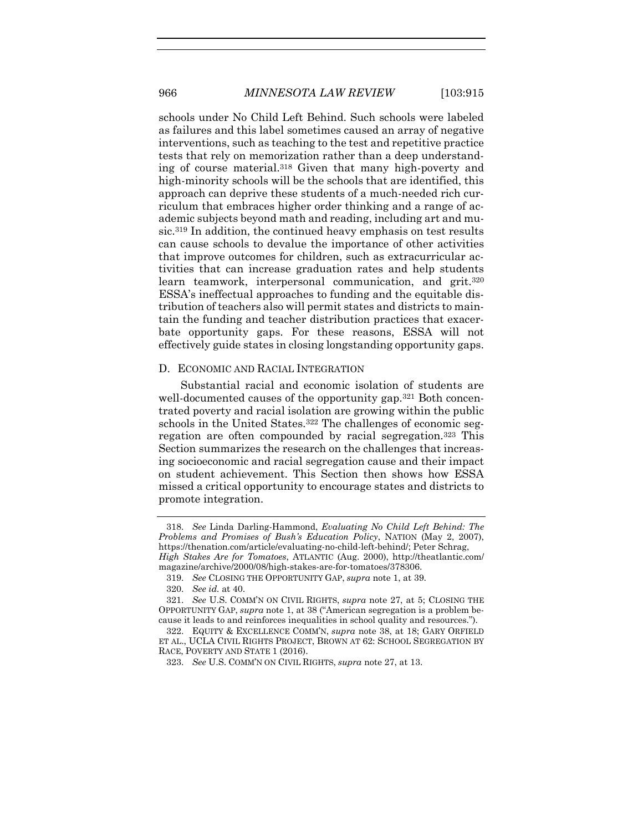schools under No Child Left Behind. Such schools were labeled as failures and this label sometimes caused an array of negative interventions, such as teaching to the test and repetitive practice tests that rely on memorization rather than a deep understanding of course material.<sup>318</sup> Given that many high-poverty and high-minority schools will be the schools that are identified, this approach can deprive these students of a much-needed rich curriculum that embraces higher order thinking and a range of academic subjects beyond math and reading, including art and music. <sup>319</sup> In addition, the continued heavy emphasis on test results can cause schools to devalue the importance of other activities that improve outcomes for children, such as extracurricular activities that can increase graduation rates and help students learn teamwork, interpersonal communication, and grit.<sup>320</sup> ESSA's ineffectual approaches to funding and the equitable distribution of teachers also will permit states and districts to maintain the funding and teacher distribution practices that exacerbate opportunity gaps. For these reasons, ESSA will not effectively guide states in closing longstanding opportunity gaps.

## D. ECONOMIC AND RACIAL INTEGRATION

<span id="page-52-0"></span>Substantial racial and economic isolation of students are well-documented causes of the opportunity gap.<sup>321</sup> Both concentrated poverty and racial isolation are growing within the public schools in the United States.<sup>322</sup> The challenges of economic segregation are often compounded by racial segregation.<sup>323</sup> This Section summarizes the research on the challenges that increasing socioeconomic and racial segregation cause and their impact on student achievement. This Section then shows how ESSA missed a critical opportunity to encourage states and districts to promote integration.

<sup>318.</sup> *See* Linda Darling-Hammond, *Evaluating No Child Left Behind: The Problems and Promises of Bush's Education Policy*, NATION (May 2, 2007), [https://thenation.com/article/evaluating-no-child-left-behind/;](https://www.thenation.com/article/evaluating-no-child-left-behind) Peter Schrag, *High Stakes Are for Tomatoes*, ATLANTIC (Aug. 2000), [http://theatlantic.com/](http://www.theatlantic.com/magazine/archive/2000/08/high-stakes-are-for-tomatoes/378306) [magazine/archive/2000/08/high-stakes-are-for-tomatoes/378306.](http://www.theatlantic.com/magazine/archive/2000/08/high-stakes-are-for-tomatoes/378306)

<sup>319.</sup> *See* CLOSING THE OPPORTUNITY GAP, *supra* not[e 1,](#page-2-0) at 39.

<sup>320.</sup> *See id.* at 40.

<sup>321.</sup> *See* U.S. COMM'N ON CIVIL RIGHTS, *supra* note [27,](#page-6-0) at 5; CLOSING THE OPPORTUNITY GAP, *supra* not[e 1](#page-2-0), at 38 ("American segregation is a problem because it leads to and reinforces inequalities in school quality and resources.").

<sup>322.</sup> EQUITY & EXCELLENCE COMM'N, *supra* note [38,](#page-9-0) at 18; GARY ORFIELD ET AL., UCLA CIVIL RIGHTS PROJECT, BROWN AT 62: SCHOOL SEGREGATION BY RACE, POVERTY AND STATE 1 (2016).

<sup>323.</sup> *See* U.S. COMM'N ON CIVIL RIGHTS, *supra* note [27,](#page-6-0) at 13.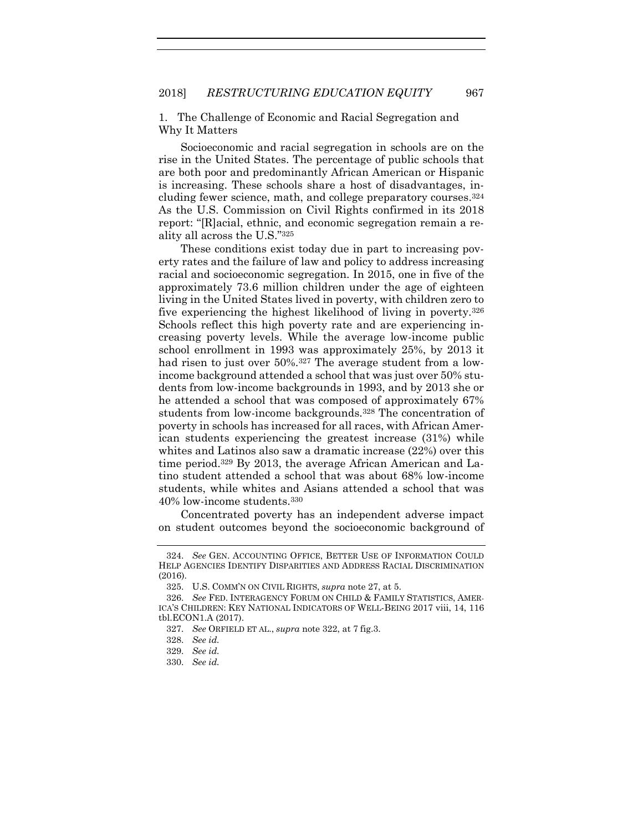1. The Challenge of Economic and Racial Segregation and Why It Matters

Socioeconomic and racial segregation in schools are on the rise in the United States. The percentage of public schools that are both poor and predominantly African American or Hispanic is increasing. These schools share a host of disadvantages, including fewer science, math, and college preparatory courses. 324 As the U.S. Commission on Civil Rights confirmed in its 2018 report: "[R]acial, ethnic, and economic segregation remain a reality all across the U.S."<sup>325</sup>

These conditions exist today due in part to increasing poverty rates and the failure of law and policy to address increasing racial and socioeconomic segregation. In 2015, one in five of the approximately 73.6 million children under the age of eighteen living in the United States lived in poverty, with children zero to five experiencing the highest likelihood of living in poverty.<sup>326</sup> Schools reflect this high poverty rate and are experiencing increasing poverty levels. While the average low-income public school enrollment in 1993 was approximately 25%, by 2013 it had risen to just over 50%.<sup>327</sup> The average student from a lowincome background attended a school that was just over 50% students from low-income backgrounds in 1993, and by 2013 she or he attended a school that was composed of approximately 67% students from low-income backgrounds.<sup>328</sup> The concentration of poverty in schools has increased for all races, with African American students experiencing the greatest increase (31%) while whites and Latinos also saw a dramatic increase (22%) over this time period.<sup>329</sup> By 2013, the average African American and Latino student attended a school that was about 68% low-income students, while whites and Asians attended a school that was 40% low-income students. 330

Concentrated poverty has an independent adverse impact on student outcomes beyond the socioeconomic background of

<sup>324.</sup> *See* GEN. ACCOUNTING OFFICE, BETTER USE OF INFORMATION COULD HELP AGENCIES IDENTIFY DISPARITIES AND ADDRESS RACIAL DISCRIMINATION (2016).

<sup>325.</sup> U.S. COMM'N ON CIVIL RIGHTS, *supra* not[e 27,](#page-6-0) at 5.

<sup>326.</sup> *See* FED. INTERAGENCY FORUM ON CHILD & FAMILY STATISTICS, AMER-ICA'S CHILDREN: KEY NATIONAL INDICATORS OF WELL-BEING 2017 viii, 14, 116 tbl.ECON1.A (2017).

<sup>327.</sup> *See* ORFIELD ET AL., *supra* note [322,](#page-52-0) at 7 fig.3.

<sup>328.</sup> *See id.* 

<sup>329.</sup> *See id.*

<sup>330.</sup> *See id.*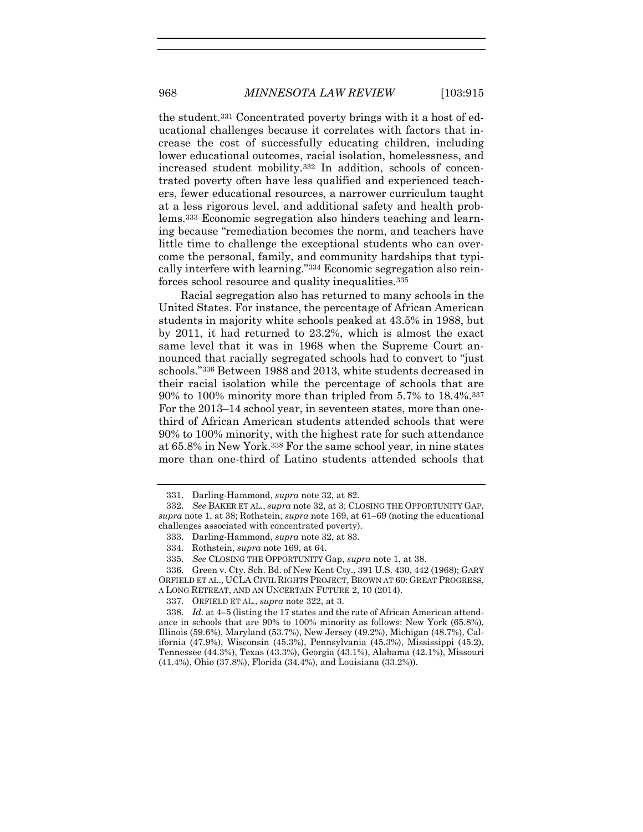the student.<sup>331</sup> Concentrated poverty brings with it a host of educational challenges because it correlates with factors that increase the cost of successfully educating children, including lower educational outcomes, racial isolation, homelessness, and increased student mobility.<sup>332</sup> In addition, schools of concentrated poverty often have less qualified and experienced teachers, fewer educational resources, a narrower curriculum taught at a less rigorous level, and additional safety and health problems.<sup>333</sup> Economic segregation also hinders teaching and learning because "remediation becomes the norm, and teachers have little time to challenge the exceptional students who can overcome the personal, family, and community hardships that typically interfere with learning."<sup>334</sup> Economic segregation also reinforces school resource and quality inequalities.<sup>335</sup>

<span id="page-54-0"></span>Racial segregation also has returned to many schools in the United States. For instance, the percentage of African American students in majority white schools peaked at 43.5% in 1988, but by 2011, it had returned to 23.2%, which is almost the exact same level that it was in 1968 when the Supreme Court announced that racially segregated schools had to convert to "just schools."<sup>336</sup> Between 1988 and 2013, white students decreased in their racial isolation while the percentage of schools that are 90% to 100% minority more than tripled from 5.7% to 18.4%.<sup>337</sup> For the 2013–14 school year, in seventeen states, more than onethird of African American students attended schools that were 90% to 100% minority, with the highest rate for such attendance at 65.8% in New York. <sup>338</sup> For the same school year, in nine states more than one-third of Latino students attended schools that

<sup>331.</sup> Darling-Hammond, *supra* note [32,](#page-7-0) at 82.

<sup>332.</sup> *See* BAKER ET AL., *supra* not[e 32,](#page-7-0) at 3; CLOSING THE OPPORTUNITY GAP, *supra* note [1,](#page-2-0) at 38; Rothstein, *supra* not[e 169,](#page-28-0) at 61–69 (noting the educational challenges associated with concentrated poverty).

<sup>333.</sup> Darling-Hammond, *supra* note [32,](#page-7-0) at 83.

<sup>334.</sup> Rothstein, *supra* note [169,](#page-28-0) at 64.

<sup>335.</sup> *See* CLOSING THE OPPORTUNITY Gap, *supra* note [1,](#page-2-0) at 38.

<sup>336.</sup> Green v. Cty. Sch. Bd. of New Kent Cty., 391 U.S. 430, 442 (1968); GARY ORFIELD ET AL., UCLA CIVIL RIGHTS PROJECT, BROWN AT 60: GREAT PROGRESS, A LONG RETREAT, AND AN UNCERTAIN FUTURE 2, 10 (2014).

<sup>337.</sup> ORFIELD ET AL., *supra* not[e 322,](#page-52-0) at 3.

<sup>338.</sup> *Id.* at 4–5 (listing the 17 states and the rate of African American attendance in schools that are 90% to 100% minority as follows: New York (65.8%), Illinois (59.6%), Maryland (53.7%), New Jersey (49.2%), Michigan (48.7%), California (47.9%), Wisconsin (45.3%), Pennsylvania (45.3%), Mississippi (45.2), Tennessee (44.3%), Texas (43.3%), Georgia (43.1%), Alabama (42.1%), Missouri (41.4%), Ohio (37.8%), Florida (34.4%), and Louisiana (33.2%)).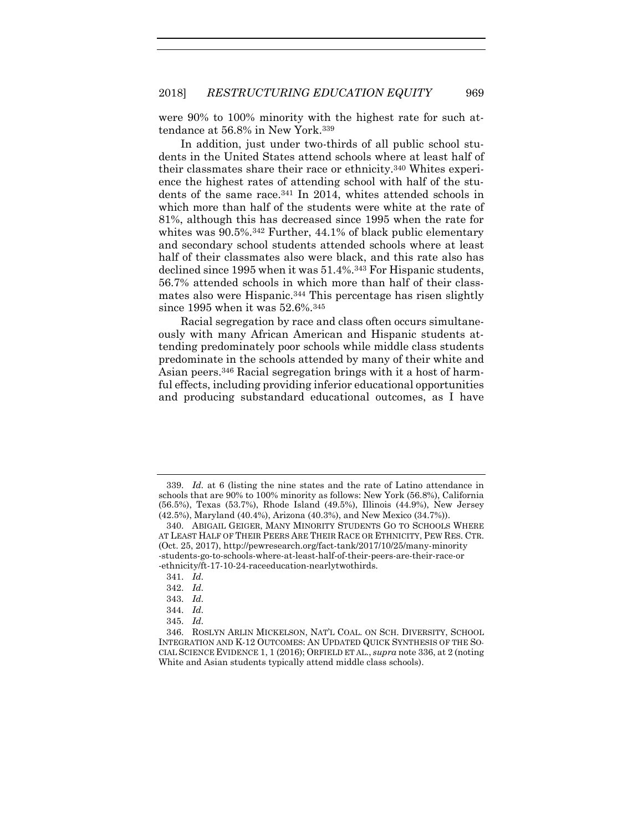were 90% to 100% minority with the highest rate for such attendance at 56.8% in New York. 339

In addition, just under two-thirds of all public school students in the United States attend schools where at least half of their classmates share their race or ethnicity.<sup>340</sup> Whites experience the highest rates of attending school with half of the students of the same race.<sup>341</sup> In 2014, whites attended schools in which more than half of the students were white at the rate of 81%, although this has decreased since 1995 when the rate for whites was 90.5%.<sup>342</sup> Further, 44.1% of black public elementary and secondary school students attended schools where at least half of their classmates also were black, and this rate also has declined since 1995 when it was 51.4%.<sup>343</sup> For Hispanic students, 56.7% attended schools in which more than half of their classmates also were Hispanic.<sup>344</sup> This percentage has risen slightly since 1995 when it was 52.6%.<sup>345</sup>

<span id="page-55-0"></span>Racial segregation by race and class often occurs simultaneously with many African American and Hispanic students attending predominately poor schools while middle class students predominate in the schools attended by many of their white and Asian peers.<sup>346</sup> Racial segregation brings with it a host of harmful effects, including providing inferior educational opportunities and producing substandard educational outcomes, as I have

<sup>339.</sup> *Id.* at 6 (listing the nine states and the rate of Latino attendance in schools that are 90% to 100% minority as follows: New York (56.8%), California (56.5%), Texas (53.7%), Rhode Island (49.5%), Illinois (44.9%), New Jersey (42.5%), Maryland (40.4%), Arizona (40.3%), and New Mexico (34.7%)).

<sup>340.</sup> ABIGAIL GEIGER, MANY MINORITY STUDENTS GO TO SCHOOLS WHERE AT LEAST HALF OF THEIR PEERS ARE THEIR RACE OR ETHNICITY, PEW RES. CTR. (Oct. 25, 2017), http://pewresearch.org/fact-tank/2017/10/25/many-minority -students-go-to-schools-where-at-least-half-of-their-peers-are-their-race-or -ethnicity/ft-17-10-24-raceeducation-nearlytwothirds.

<sup>341.</sup> *Id.*

<sup>342.</sup> *Id.*

<sup>343.</sup> *Id.*

<sup>344.</sup> *Id.*

<sup>345.</sup> *Id.*

<sup>346.</sup> ROSLYN ARLIN MICKELSON, NAT'L COAL. ON SCH. DIVERSITY, SCHOOL INTEGRATION AND K-12 OUTCOMES: AN UPDATED QUICK SYNTHESIS OF THE SO-CIAL SCIENCE EVIDENCE 1, 1 (2016); ORFIELD ET AL., *supra* not[e 336,](#page-54-0) at 2 (noting White and Asian students typically attend middle class schools).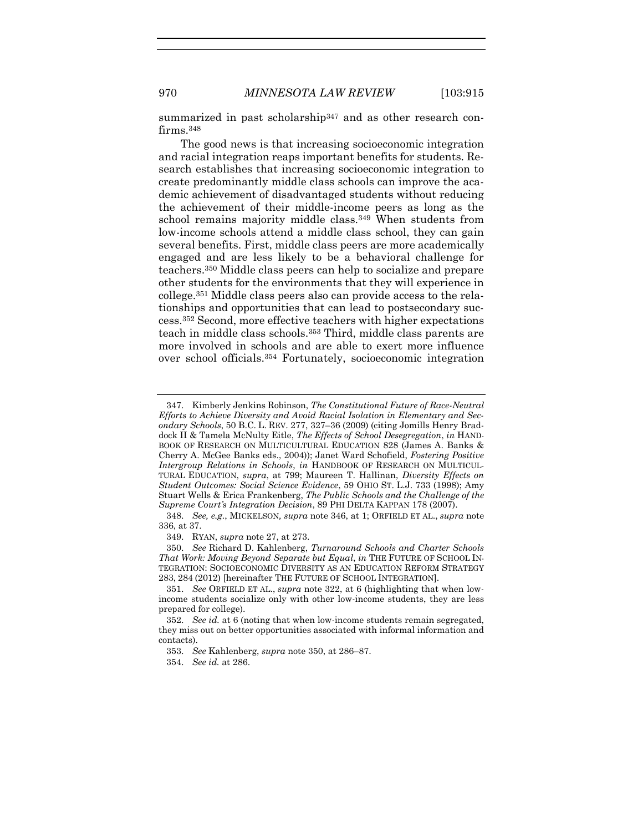summarized in past scholarship<sup>347</sup> and as other research confirms.<sup>348</sup>

<span id="page-56-0"></span>The good news is that increasing socioeconomic integration and racial integration reaps important benefits for students. Research establishes that increasing socioeconomic integration to create predominantly middle class schools can improve the academic achievement of disadvantaged students without reducing the achievement of their middle-income peers as long as the school remains majority middle class.<sup>349</sup> When students from low-income schools attend a middle class school, they can gain several benefits. First, middle class peers are more academically engaged and are less likely to be a behavioral challenge for teachers.<sup>350</sup> Middle class peers can help to socialize and prepare other students for the environments that they will experience in college.<sup>351</sup> Middle class peers also can provide access to the relationships and opportunities that can lead to postsecondary success.<sup>352</sup> Second, more effective teachers with higher expectations teach in middle class schools.<sup>353</sup> Third, middle class parents are more involved in schools and are able to exert more influence over school officials.<sup>354</sup> Fortunately, socioeconomic integration

<sup>347.</sup> Kimberly Jenkins Robinson, *The Constitutional Future of Race-Neutral Efforts to Achieve Diversity and Avoid Racial Isolation in Elementary and Secondary Schools*, 50 B.C. L. REV. 277, 327–36 (2009) (citing Jomills Henry Braddock II & Tamela McNulty Eitle, *The Effects of School Desegregation*, *in* HAND-BOOK OF RESEARCH ON MULTICULTURAL EDUCATION 828 (James A. Banks & Cherry A. McGee Banks eds., 2004)); Janet Ward Schofield, *Fostering Positive Intergroup Relations in Schools*, *in* HANDBOOK OF RESEARCH ON MULTICUL-TURAL EDUCATION, *supra*, at 799; Maureen T. Hallinan, *Diversity Effects on Student Outcomes: Social Science Evidence*, 59 OHIO ST. L.J. 733 (1998); Amy Stuart Wells & Erica Frankenberg, *The Public Schools and the Challenge of the Supreme Court's Integration Decision*, 89 PHI DELTA KAPPAN 178 (2007).

<sup>348.</sup> *See, e.g.*, MICKELSON*, supra* note [346,](#page-55-0) at 1; ORFIELD ET AL., *supra* note [336,](#page-54-0) at 37.

<sup>349.</sup> RYAN, *supra* note [27,](#page-6-0) at 273.

<sup>350.</sup> *See* Richard D. Kahlenberg, *Turnaround Schools and Charter Schools That Work: Moving Beyond Separate but Equal*, *in* THE FUTURE OF SCHOOL IN-TEGRATION: SOCIOECONOMIC DIVERSITY AS AN EDUCATION REFORM STRATEGY 283, 284 (2012) [hereinafter THE FUTURE OF SCHOOL INTEGRATION].

<sup>351.</sup> *See* ORFIELD ET AL., *supra* note [322,](#page-52-0) at 6 (highlighting that when lowincome students socialize only with other low-income students, they are less prepared for college).

<sup>352.</sup> *See id.* at 6 (noting that when low-income students remain segregated, they miss out on better opportunities associated with informal information and contacts).

<sup>353.</sup> *See* Kahlenberg, *supra* not[e 350,](#page-56-0) at 286–87.

<sup>354.</sup> *See id.* at 286.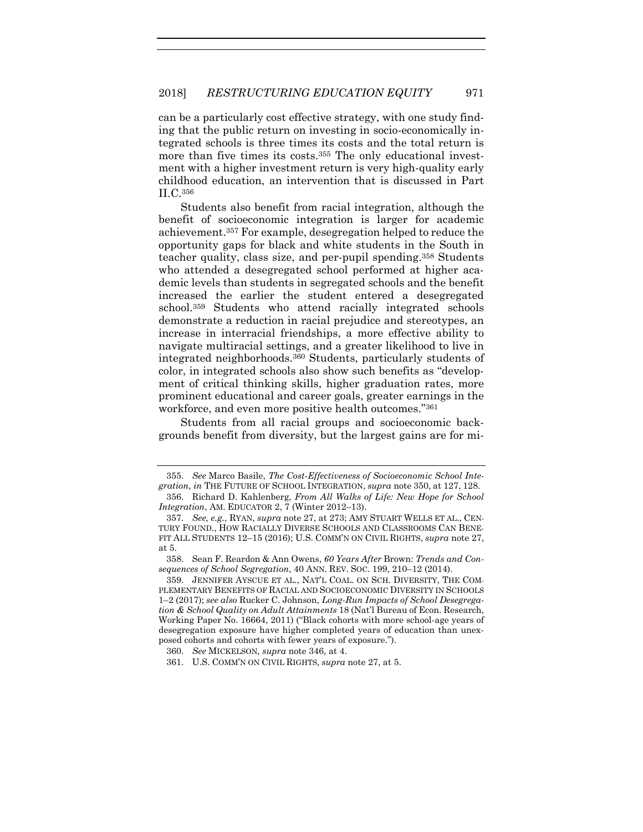can be a particularly cost effective strategy, with one study finding that the public return on investing in socio-economically integrated schools is three times its costs and the total return is more than five times its costs.<sup>355</sup> The only educational investment with a higher investment return is very high-quality early childhood education, an intervention that is discussed in Part II.C.<sup>356</sup>

Students also benefit from racial integration, although the benefit of socioeconomic integration is larger for academic achievement.<sup>357</sup> For example, desegregation helped to reduce the opportunity gaps for black and white students in the South in teacher quality, class size, and per-pupil spending.<sup>358</sup> Students who attended a desegregated school performed at higher academic levels than students in segregated schools and the benefit increased the earlier the student entered a desegregated school.<sup>359</sup> Students who attend racially integrated schools demonstrate a reduction in racial prejudice and stereotypes, an increase in interracial friendships, a more effective ability to navigate multiracial settings, and a greater likelihood to live in integrated neighborhoods.<sup>360</sup> Students, particularly students of color, in integrated schools also show such benefits as "development of critical thinking skills, higher graduation rates, more prominent educational and career goals, greater earnings in the workforce, and even more positive health outcomes."<sup>361</sup>

Students from all racial groups and socioeconomic backgrounds benefit from diversity, but the largest gains are for mi-

<sup>355.</sup> *See* Marco Basile, *The Cost-Effectiveness of Socioeconomic School Integration*, *in* THE FUTURE OF SCHOOL INTEGRATION, *supra* note [350,](#page-56-0) at 127, 128. 356. Richard D. Kahlenberg, *From All Walks of Life: New Hope for School* 

*Integration*, AM. EDUCATOR 2, 7 (Winter 2012–13). 357. *See, e.g.*, RYAN, *supra* not[e 27,](#page-6-0) at 273; AMY STUART WELLS ET AL., CEN-TURY FOUND., HOW RACIALLY DIVERSE SCHOOLS AND CLASSROOMS CAN BENE-FIT ALL STUDENTS 12–15 (2016); U.S. COMM'N ON CIVIL RIGHTS, *supra* note [27,](#page-6-0) at 5.

<sup>358.</sup> Sean F. Reardon & Ann Owens, *60 Years After* Brown: *Trends and Consequences of School Segregation*, 40 ANN. REV. SOC. 199, 210–12 (2014).

<sup>359.</sup> JENNIFER AYSCUE ET AL., NAT'L COAL. ON SCH. DIVERSITY, THE COM-PLEMENTARY BENEFITS OF RACIAL AND SOCIOECONOMIC DIVERSITY IN SCHOOLS 1–2 (2017); *see also* Rucker C. Johnson, *Long-Run Impacts of School Desegregation & School Quality on Adult Attainments* 18 (Nat'l Bureau of Econ. Research, Working Paper No. 16664, 2011) ("Black cohorts with more school-age years of desegregation exposure have higher completed years of education than unexposed cohorts and cohorts with fewer years of exposure.").

<sup>360.</sup> *See* MICKELSON*, supra* note [346,](#page-55-0) at 4.

<sup>361.</sup> U.S. COMM'N ON CIVIL RIGHTS, *supra* not[e 27,](#page-6-0) at 5.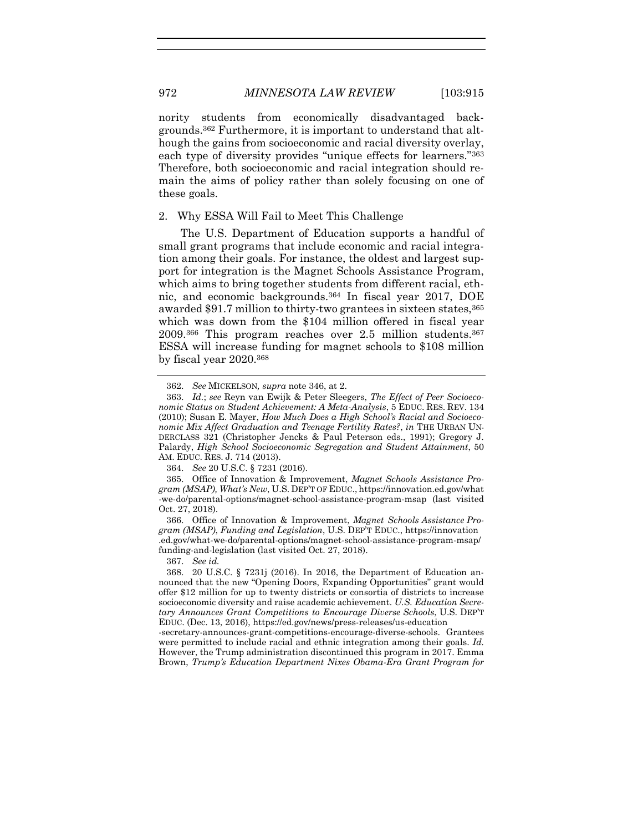nority students from economically disadvantaged backgrounds.<sup>362</sup> Furthermore, it is important to understand that although the gains from socioeconomic and racial diversity overlay, each type of diversity provides "unique effects for learners."<sup>363</sup> Therefore, both socioeconomic and racial integration should remain the aims of policy rather than solely focusing on one of these goals.

## 2. Why ESSA Will Fail to Meet This Challenge

The U.S. Department of Education supports a handful of small grant programs that include economic and racial integration among their goals. For instance, the oldest and largest support for integration is the Magnet Schools Assistance Program, which aims to bring together students from different racial, ethnic, and economic backgrounds.<sup>364</sup> In fiscal year 2017, DOE awarded \$91.7 million to thirty-two grantees in sixteen states, 365 which was down from the \$104 million offered in fiscal year 2009.<sup>366</sup> This program reaches over 2.5 million students.<sup>367</sup> ESSA will increase funding for magnet schools to \$108 million by fiscal year 2020.<sup>368</sup>

364. *See* 20 U.S.C. § 7231 (2016).

365. Office of Innovation & Improvement, *Magnet Schools Assistance Program (MSAP), What's New*, U.S. DEP'T OF EDUC., https://innovation.ed.gov/what -we-do/parental-options/magnet-school-assistance-program-msap (last visited Oct. 27, 2018).

366. Office of Innovation & Improvement, *Magnet Schools Assistance Program (MSAP)*, *Funding and Legislation*, U.S. DEP'T EDUC., https://innovation .ed.gov/what-we-do/parental-options/magnet-school-assistance-program-msap/ funding-and-legislation (last visited Oct. 27, 2018).

367. *See id.*

-secretary-announces-grant-competitions-encourage-diverse-schools. Grantees were permitted to include racial and ethnic integration among their goals. *Id.* However, the Trump administration discontinued this program in 2017. Emma Brown, *Trump's Education Department Nixes Obama-Era Grant Program for* 

<sup>362.</sup> *See* MICKELSON*, supra* note [346,](#page-55-0) at 2.

<sup>363.</sup> *Id.*; *see* Reyn van Ewijk & Peter Sleegers, *The Effect of Peer Socioeconomic Status on Student Achievement: A Meta-Analysis*, 5 EDUC. RES. REV. 134 (2010); Susan E. Mayer, *How Much Does a High School's Racial and Socioeconomic Mix Affect Graduation and Teenage Fertility Rates?*, *in* THE URBAN UN-DERCLASS 321 (Christopher Jencks & Paul Peterson eds., 1991); Gregory J. Palardy, *High School Socioeconomic Segregation and Student Attainment*, 50 AM. EDUC. RES. J. 714 (2013).

<sup>368.</sup> 20 U.S.C. § 7231j (2016). In 2016, the Department of Education announced that the new "Opening Doors, Expanding Opportunities" grant would offer \$12 million for up to twenty districts or consortia of districts to increase socioeconomic diversity and raise academic achievement. *U.S. Education Secretary Announces Grant Competitions to Encourage Diverse Schools*, U.S. DEP'T EDUC. (Dec. 13, 2016), https://ed.gov/news/press-releases/us-education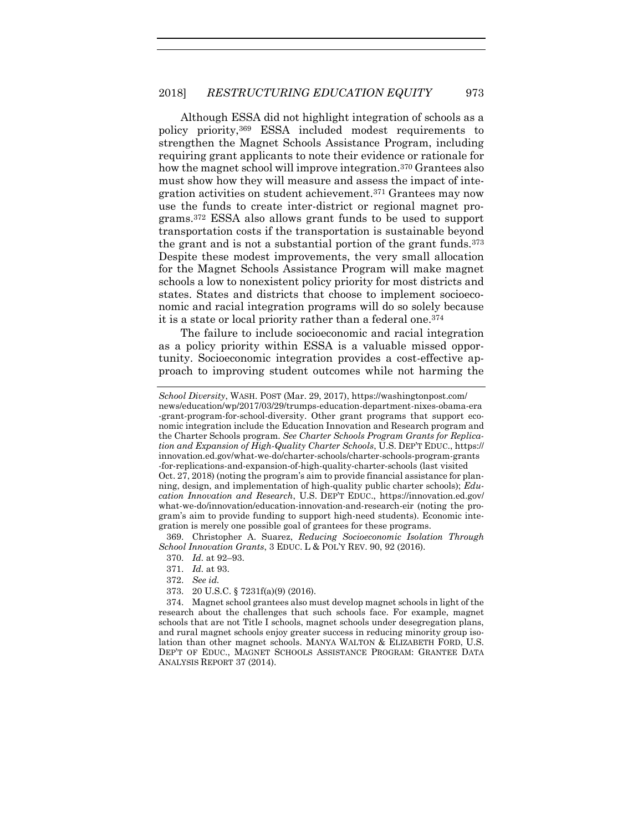Although ESSA did not highlight integration of schools as a policy priority,<sup>369</sup> ESSA included modest requirements to strengthen the Magnet Schools Assistance Program, including requiring grant applicants to note their evidence or rationale for how the magnet school will improve integration.<sup>370</sup> Grantees also must show how they will measure and assess the impact of integration activities on student achievement.<sup>371</sup> Grantees may now use the funds to create inter-district or regional magnet programs.<sup>372</sup> ESSA also allows grant funds to be used to support transportation costs if the transportation is sustainable beyond the grant and is not a substantial portion of the grant funds.<sup>373</sup> Despite these modest improvements, the very small allocation for the Magnet Schools Assistance Program will make magnet schools a low to nonexistent policy priority for most districts and states. States and districts that choose to implement socioeconomic and racial integration programs will do so solely because it is a state or local priority rather than a federal one. 374

The failure to include socioeconomic and racial integration as a policy priority within ESSA is a valuable missed opportunity. Socioeconomic integration provides a cost-effective approach to improving student outcomes while not harming the

369. Christopher A. Suarez, *Reducing Socioeconomic Isolation Through School Innovation Grants*, 3 EDUC. L & POL'Y REV. 90, 92 (2016).

373. 20 U.S.C. § 7231f(a)(9) (2016).

374. Magnet school grantees also must develop magnet schools in light of the research about the challenges that such schools face. For example, magnet schools that are not Title I schools, magnet schools under desegregation plans, and rural magnet schools enjoy greater success in reducing minority group isolation than other magnet schools. MANYA WALTON & ELIZABETH FORD, U.S. DEP'T OF EDUC., MAGNET SCHOOLS ASSISTANCE PROGRAM: GRANTEE DATA ANALYSIS REPORT 37 (2014).

*School Diversity*, WASH. POST (Mar. 29, 2017), https://washingtonpost.com/ news/education/wp/2017/03/29/trumps-education-department-nixes-obama-era -grant-program-for-school-diversity. Other grant programs that support economic integration include the Education Innovation and Research program and the Charter Schools program. *See Charter Schools Program Grants for Replication and Expansion of High-Quality Charter Schools*, U.S. DEP'T EDUC., https:// innovation.ed.gov/what-we-do/charter-schools/charter-schools-program-grants -for-replications-and-expansion-of-high-quality-charter-schools (last visited

Oct. 27, 2018) (noting the program's aim to provide financial assistance for planning, design, and implementation of high-quality public charter schools); *Education Innovation and Research*, U.S. DEP'T EDUC., https://innovation.ed.gov/ what-we-do/innovation/education-innovation-and-research-eir (noting the program's aim to provide funding to support high-need students). Economic integration is merely one possible goal of grantees for these programs.

<sup>370.</sup> *Id.* at 92–93.

<sup>371.</sup> *Id.* at 93.

<sup>372.</sup> *See id.*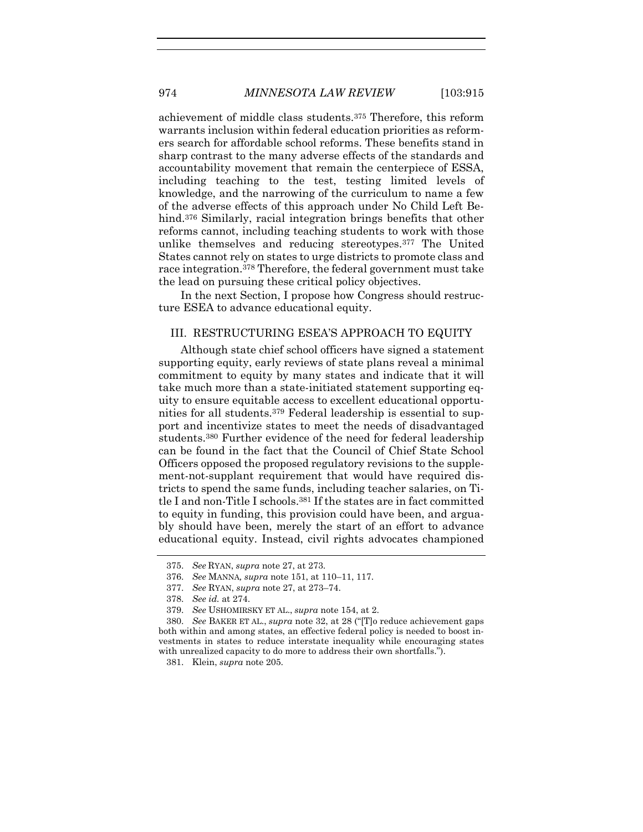achievement of middle class students.<sup>375</sup> Therefore, this reform warrants inclusion within federal education priorities as reformers search for affordable school reforms. These benefits stand in sharp contrast to the many adverse effects of the standards and accountability movement that remain the centerpiece of ESSA, including teaching to the test, testing limited levels of knowledge, and the narrowing of the curriculum to name a few of the adverse effects of this approach under No Child Left Behind.<sup>376</sup> Similarly, racial integration brings benefits that other reforms cannot, including teaching students to work with those unlike themselves and reducing stereotypes.<sup>377</sup> The United States cannot rely on states to urge districts to promote class and race integration.<sup>378</sup> Therefore, the federal government must take the lead on pursuing these critical policy objectives.

In the next Section, I propose how Congress should restructure ESEA to advance educational equity.

## III. RESTRUCTURING ESEA'S APPROACH TO EQUITY

Although state chief school officers have signed a statement supporting equity, early reviews of state plans reveal a minimal commitment to equity by many states and indicate that it will take much more than a state-initiated statement supporting equity to ensure equitable access to excellent educational opportunities for all students. <sup>379</sup> Federal leadership is essential to support and incentivize states to meet the needs of disadvantaged students.<sup>380</sup> Further evidence of the need for federal leadership can be found in the fact that the Council of Chief State School Officers opposed the proposed regulatory revisions to the supplement-not-supplant requirement that would have required districts to spend the same funds, including teacher salaries, on Title I and non-Title I schools.<sup>381</sup> If the states are in fact committed to equity in funding, this provision could have been, and arguably should have been, merely the start of an effort to advance educational equity. Instead, civil rights advocates championed

<sup>375.</sup> *See* RYAN, *supra* note [27,](#page-6-0) at 273.

<sup>376.</sup> *See* MANNA*, supra* note [151,](#page-26-0) at 110–11, 117.

<sup>377.</sup> *See* RYAN, *supra* not[e 27,](#page-6-0) at 273–74.

<sup>378.</sup> *See id.* at 274.

<sup>379.</sup> *See* USHOMIRSKY ET AL., *supra* not[e 154,](#page-26-2) at 2.

<sup>380.</sup> *See* BAKER ET AL., *supra* not[e 32](#page-7-0), at 28 ("[T]o reduce achievement gaps both within and among states, an effective federal policy is needed to boost investments in states to reduce interstate inequality while encouraging states with unrealized capacity to do more to address their own shortfalls.").

<sup>381.</sup> Klein, *supra* not[e 205.](#page-33-0)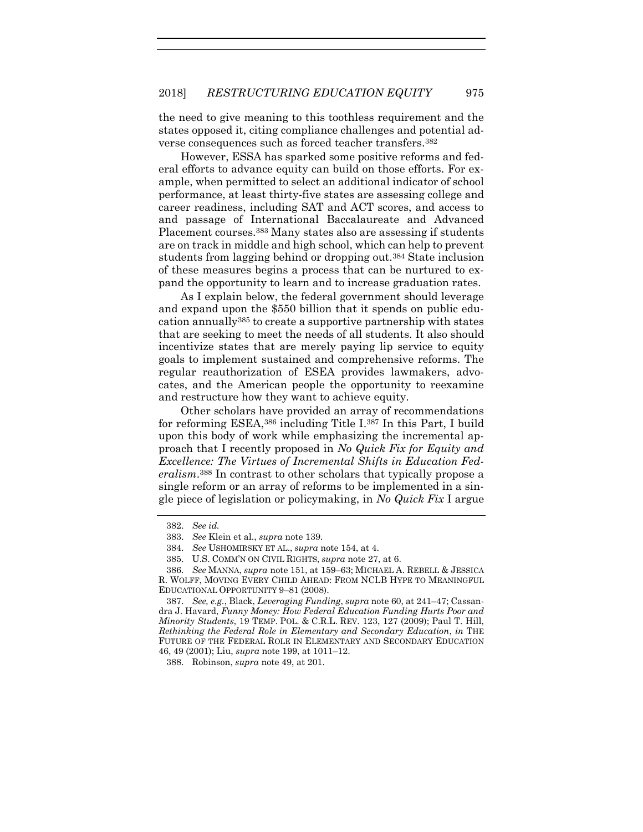the need to give meaning to this toothless requirement and the states opposed it, citing compliance challenges and potential adverse consequences such as forced teacher transfers.<sup>382</sup>

However, ESSA has sparked some positive reforms and federal efforts to advance equity can build on those efforts. For example, when permitted to select an additional indicator of school performance, at least thirty-five states are assessing college and career readiness, including SAT and ACT scores, and access to and passage of International Baccalaureate and Advanced Placement courses.<sup>383</sup> Many states also are assessing if students are on track in middle and high school, which can help to prevent students from lagging behind or dropping out.<sup>384</sup> State inclusion of these measures begins a process that can be nurtured to expand the opportunity to learn and to increase graduation rates.

As I explain below, the federal government should leverage and expand upon the \$550 billion that it spends on public education annually<sup>385</sup> to create a supportive partnership with states that are seeking to meet the needs of all students. It also should incentivize states that are merely paying lip service to equity goals to implement sustained and comprehensive reforms. The regular reauthorization of ESEA provides lawmakers, advocates, and the American people the opportunity to reexamine and restructure how they want to achieve equity.

Other scholars have provided an array of recommendations for reforming ESEA,<sup>386</sup> including Title I.<sup>387</sup> In this Part, I build upon this body of work while emphasizing the incremental approach that I recently proposed in *No Quick Fix for Equity and Excellence: The Virtues of Incremental Shifts in Education Federalism*. <sup>388</sup> In contrast to other scholars that typically propose a single reform or an array of reforms to be implemented in a single piece of legislation or policymaking, in *No Quick Fix* I argue

388. Robinson, *supra* note [49,](#page-11-1) at 201.

<sup>382.</sup> *See id.* 

<sup>383.</sup> *See* Klein et al., *supra* note 139.

<sup>384.</sup> *See* USHOMIRSKY ET AL., *supra* not[e 154,](#page-26-2) at 4.

<sup>385.</sup> U.S. COMM'N ON CIVIL RIGHTS, *supra* not[e 27,](#page-6-0) at 6.

<sup>386.</sup> *See* MANNA, *supra* note [151,](#page-26-0) at 159–63; MICHAEL A. REBELL & JESSICA R. WOLFF, MOVING EVERY CHILD AHEAD: FROM NCLB HYPE TO MEANINGFUL EDUCATIONAL OPPORTUNITY 9–81 (2008).

<sup>387.</sup> *See, e.g.*, Black, *Leveraging Funding*, *supra* not[e 60,](#page-13-0) at 241–47; Cassandra J. Havard, *Funny Money: How Federal Education Funding Hurts Poor and Minority Students*, 19 TEMP. POL. & C.R.L. REV. 123, 127 (2009); Paul T. Hill, *Rethinking the Federal Role in Elementary and Secondary Education*, *in* THE FUTURE OF THE FEDERAL ROLE IN ELEMENTARY AND SECONDARY EDUCATION 46, 49 (2001); Liu, *supra* note [199,](#page-32-0) at 1011–12.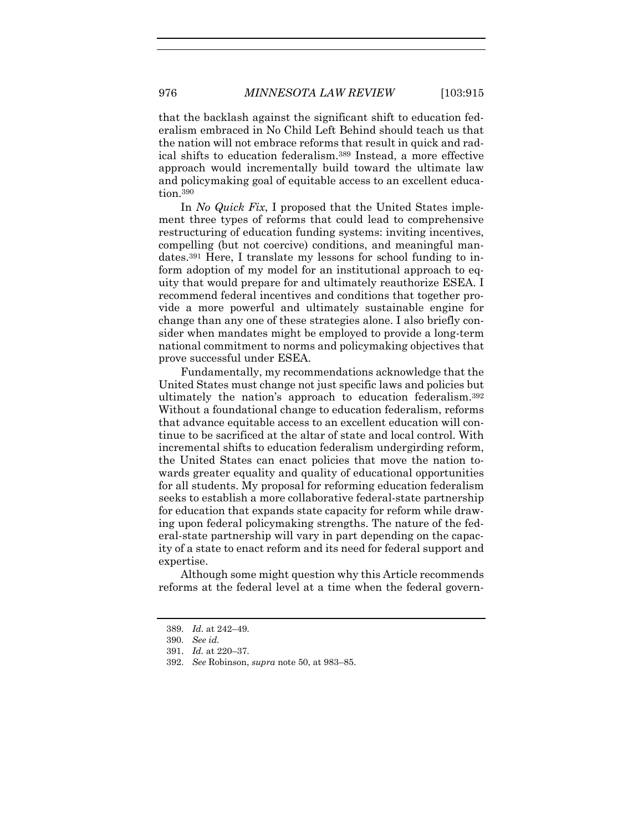that the backlash against the significant shift to education federalism embraced in No Child Left Behind should teach us that the nation will not embrace reforms that result in quick and radical shifts to education federalism.<sup>389</sup> Instead, a more effective approach would incrementally build toward the ultimate law and policymaking goal of equitable access to an excellent education. 390

In *No Quick Fix*, I proposed that the United States implement three types of reforms that could lead to comprehensive restructuring of education funding systems: inviting incentives, compelling (but not coercive) conditions, and meaningful mandates.<sup>391</sup> Here, I translate my lessons for school funding to inform adoption of my model for an institutional approach to equity that would prepare for and ultimately reauthorize ESEA. I recommend federal incentives and conditions that together provide a more powerful and ultimately sustainable engine for change than any one of these strategies alone. I also briefly consider when mandates might be employed to provide a long-term national commitment to norms and policymaking objectives that prove successful under ESEA.

Fundamentally, my recommendations acknowledge that the United States must change not just specific laws and policies but ultimately the nation's approach to education federalism. 392 Without a foundational change to education federalism, reforms that advance equitable access to an excellent education will continue to be sacrificed at the altar of state and local control. With incremental shifts to education federalism undergirding reform, the United States can enact policies that move the nation towards greater equality and quality of educational opportunities for all students. My proposal for reforming education federalism seeks to establish a more collaborative federal-state partnership for education that expands state capacity for reform while drawing upon federal policymaking strengths. The nature of the federal-state partnership will vary in part depending on the capacity of a state to enact reform and its need for federal support and expertise.

Although some might question why this Article recommends reforms at the federal level at a time when the federal govern-

<sup>389.</sup> *Id.* at 242–49.

<sup>390.</sup> *See id.*

<sup>391.</sup> *Id.* at 220–37.

<sup>392.</sup> *See* Robinson, *supra* note [50,](#page-11-0) at 983–85.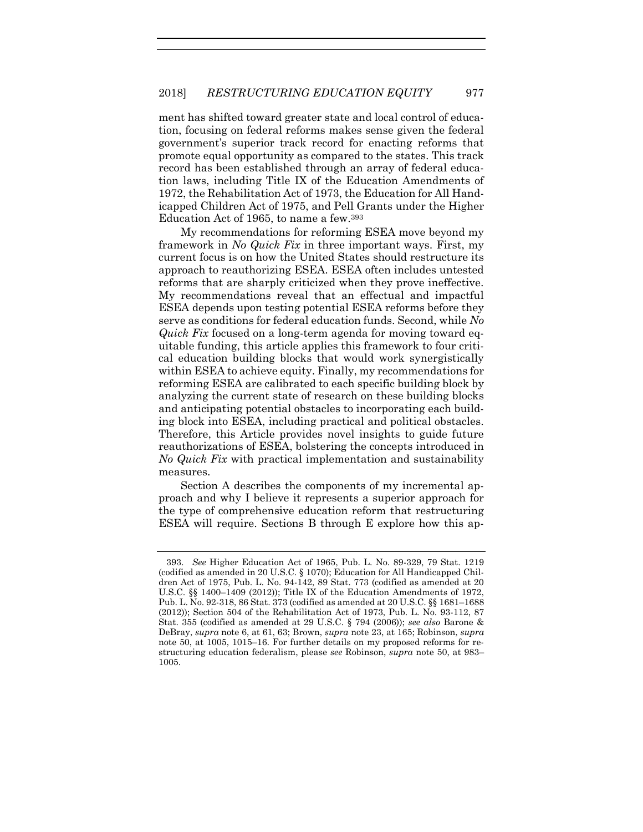ment has shifted toward greater state and local control of education, focusing on federal reforms makes sense given the federal government's superior track record for enacting reforms that promote equal opportunity as compared to the states. This track record has been established through an array of federal education laws, including Title IX of the Education Amendments of 1972, the Rehabilitation Act of 1973, the Education for All Handicapped Children Act of 1975, and Pell Grants under the Higher Education Act of 1965, to name a few. 393

<span id="page-63-0"></span>My recommendations for reforming ESEA move beyond my framework in *No Quick Fix* in three important ways. First, my current focus is on how the United States should restructure its approach to reauthorizing ESEA. ESEA often includes untested reforms that are sharply criticized when they prove ineffective. My recommendations reveal that an effectual and impactful ESEA depends upon testing potential ESEA reforms before they serve as conditions for federal education funds. Second, while *No Quick Fix* focused on a long-term agenda for moving toward equitable funding, this article applies this framework to four critical education building blocks that would work synergistically within ESEA to achieve equity. Finally, my recommendations for reforming ESEA are calibrated to each specific building block by analyzing the current state of research on these building blocks and anticipating potential obstacles to incorporating each building block into ESEA, including practical and political obstacles. Therefore, this Article provides novel insights to guide future reauthorizations of ESEA, bolstering the concepts introduced in *No Quick Fix* with practical implementation and sustainability measures.

Section A describes the components of my incremental approach and why I believe it represents a superior approach for the type of comprehensive education reform that restructuring ESEA will require. Sections B through E explore how this ap-

<sup>393.</sup> *See* Higher Education Act of 1965, Pub. L. No. 89-329, 79 Stat. 1219 (codified as amended in 20 U.S.C. § 1070); Education for All Handicapped Children Act of 1975, Pub. L. No. 94-142, 89 Stat. 773 (codified as amended at 20 U.S.C. §§ 1400–1409 (2012)); Title IX of the Education Amendments of 1972, Pub. L. No. 92-318, 86 Stat. 373 (codified as amended at 20 U.S.C. §§ 1681–1688 (2012)); Section 504 of the Rehabilitation Act of 1973, Pub. L. No. 93-112, 87 Stat. 355 (codified as amended at 29 U.S.C. § 794 (2006)); *see also* Barone & DeBray, *supra* note [6,](#page-3-1) at 61, 63; Brown, *supra* not[e 23,](#page-5-0) at 165; Robinson, *supra*  note [50,](#page-11-0) at 1005, 1015–16. For further details on my proposed reforms for restructuring education federalism, please *see* Robinson, *supra* note [50,](#page-11-0) at 983– 1005.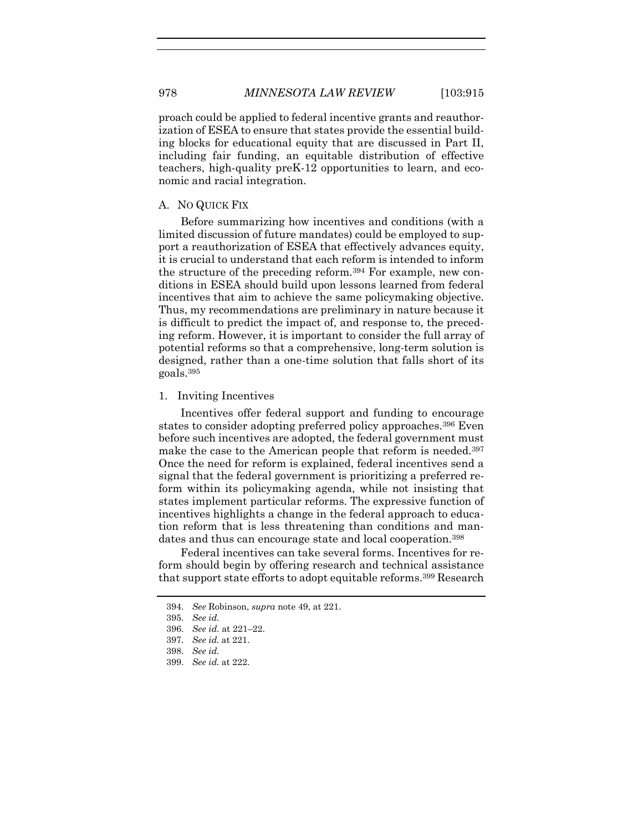proach could be applied to federal incentive grants and reauthorization of ESEA to ensure that states provide the essential building blocks for educational equity that are discussed in Part II, including fair funding, an equitable distribution of effective teachers, high-quality preK-12 opportunities to learn, and economic and racial integration.

## A. NO QUICK FIX

Before summarizing how incentives and conditions (with a limited discussion of future mandates) could be employed to support a reauthorization of ESEA that effectively advances equity, it is crucial to understand that each reform is intended to inform the structure of the preceding reform.<sup>394</sup> For example, new conditions in ESEA should build upon lessons learned from federal incentives that aim to achieve the same policymaking objective. Thus, my recommendations are preliminary in nature because it is difficult to predict the impact of, and response to, the preceding reform. However, it is important to consider the full array of potential reforms so that a comprehensive, long-term solution is designed, rather than a one-time solution that falls short of its goals.<sup>395</sup>

### 1. Inviting Incentives

Incentives offer federal support and funding to encourage states to consider adopting preferred policy approaches.<sup>396</sup> Even before such incentives are adopted, the federal government must make the case to the American people that reform is needed.<sup>397</sup> Once the need for reform is explained, federal incentives send a signal that the federal government is prioritizing a preferred reform within its policymaking agenda, while not insisting that states implement particular reforms. The expressive function of incentives highlights a change in the federal approach to education reform that is less threatening than conditions and mandates and thus can encourage state and local cooperation.<sup>398</sup>

Federal incentives can take several forms. Incentives for reform should begin by offering research and technical assistance that support state efforts to adopt equitable reforms. <sup>399</sup> Research

<sup>394.</sup> *See* Robinson, *supra* note [49,](#page-11-1) at 221.

<sup>395.</sup> *See id.*

<sup>396.</sup> *See id.* at 221–22.

<sup>397.</sup> *See id.* at 221.

<sup>398.</sup> *See id.*

<sup>399.</sup> *See id.* at 222.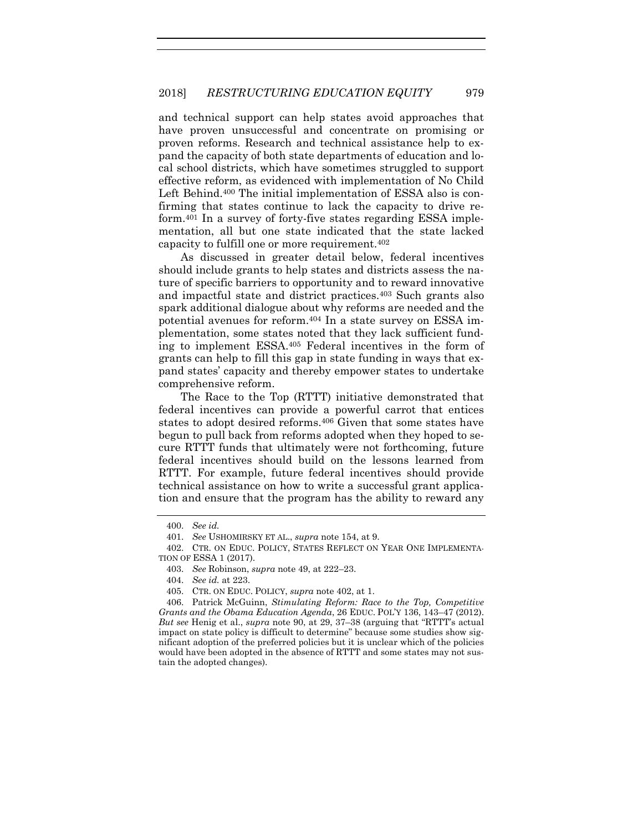and technical support can help states avoid approaches that have proven unsuccessful and concentrate on promising or proven reforms. Research and technical assistance help to expand the capacity of both state departments of education and local school districts, which have sometimes struggled to support effective reform, as evidenced with implementation of No Child Left Behind.<sup>400</sup> The initial implementation of ESSA also is confirming that states continue to lack the capacity to drive reform.<sup>401</sup> In a survey of forty-five states regarding ESSA implementation, all but one state indicated that the state lacked capacity to fulfill one or more requirement.<sup>402</sup>

<span id="page-65-0"></span>As discussed in greater detail below, federal incentives should include grants to help states and districts assess the nature of specific barriers to opportunity and to reward innovative and impactful state and district practices.<sup>403</sup> Such grants also spark additional dialogue about why reforms are needed and the potential avenues for reform.<sup>404</sup> In a state survey on ESSA implementation, some states noted that they lack sufficient funding to implement ESSA. <sup>405</sup> Federal incentives in the form of grants can help to fill this gap in state funding in ways that expand states' capacity and thereby empower states to undertake comprehensive reform.

<span id="page-65-1"></span>The Race to the Top (RTTT) initiative demonstrated that federal incentives can provide a powerful carrot that entices states to adopt desired reforms.<sup>406</sup> Given that some states have begun to pull back from reforms adopted when they hoped to secure RTTT funds that ultimately were not forthcoming, future federal incentives should build on the lessons learned from RTTT. For example, future federal incentives should provide technical assistance on how to write a successful grant application and ensure that the program has the ability to reward any

<sup>400.</sup> *See id.*

<sup>401.</sup> *See* USHOMIRSKY ET AL., *supra* note [154,](#page-26-2) at 9.

<sup>402.</sup> CTR. ON EDUC. POLICY, STATES REFLECT ON YEAR ONE IMPLEMENTA-TION OF ESSA 1 (2017).

<sup>403.</sup> *See* Robinson, *supra* note [49,](#page-11-1) at 222–23.

<sup>404.</sup> *See id.* at 223.

<sup>405.</sup> CTR. ON EDUC. POLICY, *supra* not[e 402,](#page-65-0) at 1.

<sup>406.</sup> Patrick McGuinn, *Stimulating Reform: Race to the Top, Competitive Grants and the Obama Education Agenda*, 26 EDUC. POL'Y 136, 143–47 (2012). *But see* Henig et al., *supra* note [90,](#page-17-0) at 29, 37–38 (arguing that "RTTT's actual impact on state policy is difficult to determine" because some studies show significant adoption of the preferred policies but it is unclear which of the policies would have been adopted in the absence of RTTT and some states may not sustain the adopted changes).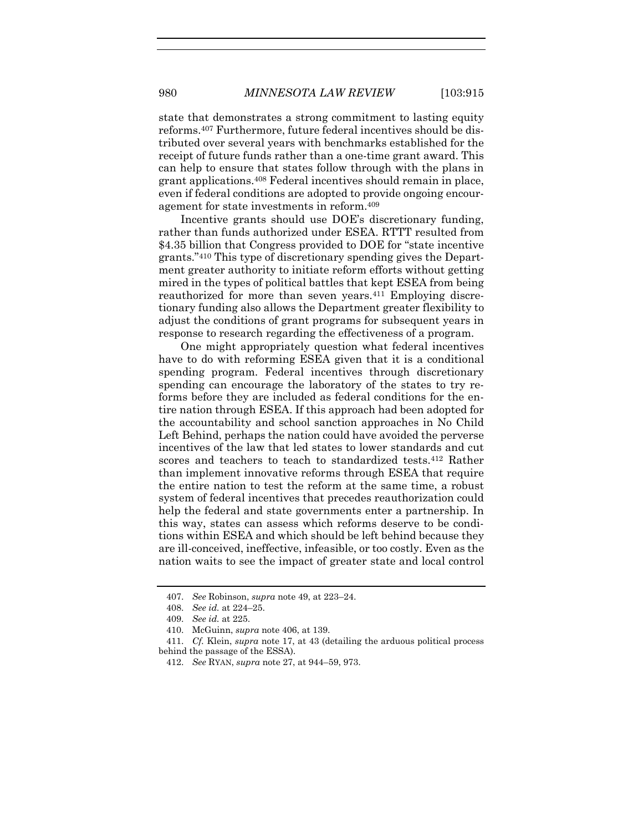state that demonstrates a strong commitment to lasting equity reforms. <sup>407</sup> Furthermore, future federal incentives should be distributed over several years with benchmarks established for the receipt of future funds rather than a one-time grant award. This can help to ensure that states follow through with the plans in grant applications.<sup>408</sup> Federal incentives should remain in place, even if federal conditions are adopted to provide ongoing encouragement for state investments in reform. 409

Incentive grants should use DOE's discretionary funding, rather than funds authorized under ESEA. RTTT resulted from \$4.35 billion that Congress provided to DOE for "state incentive grants."<sup>410</sup> This type of discretionary spending gives the Department greater authority to initiate reform efforts without getting mired in the types of political battles that kept ESEA from being reauthorized for more than seven years.<sup>411</sup> Employing discretionary funding also allows the Department greater flexibility to adjust the conditions of grant programs for subsequent years in response to research regarding the effectiveness of a program.

One might appropriately question what federal incentives have to do with reforming ESEA given that it is a conditional spending program. Federal incentives through discretionary spending can encourage the laboratory of the states to try reforms before they are included as federal conditions for the entire nation through ESEA. If this approach had been adopted for the accountability and school sanction approaches in No Child Left Behind, perhaps the nation could have avoided the perverse incentives of the law that led states to lower standards and cut scores and teachers to teach to standardized tests.<sup>412</sup> Rather than implement innovative reforms through ESEA that require the entire nation to test the reform at the same time, a robust system of federal incentives that precedes reauthorization could help the federal and state governments enter a partnership. In this way, states can assess which reforms deserve to be conditions within ESEA and which should be left behind because they are ill-conceived, ineffective, infeasible, or too costly. Even as the nation waits to see the impact of greater state and local control

<sup>407.</sup> *See* Robinson, *supra* note [49,](#page-11-1) at 223–24.

<sup>408.</sup> *See id.* at 224–25.

<sup>409.</sup> *See id.* at 225.

<sup>410.</sup> McGuinn, *supra* not[e 406,](#page-65-1) at 139.

<sup>411.</sup> *Cf.* Klein, *supra* note [17,](#page-4-0) at 43 (detailing the arduous political process behind the passage of the ESSA).

<sup>412.</sup> *See* RYAN, *supra* not[e 27,](#page-6-0) at 944–59, 973.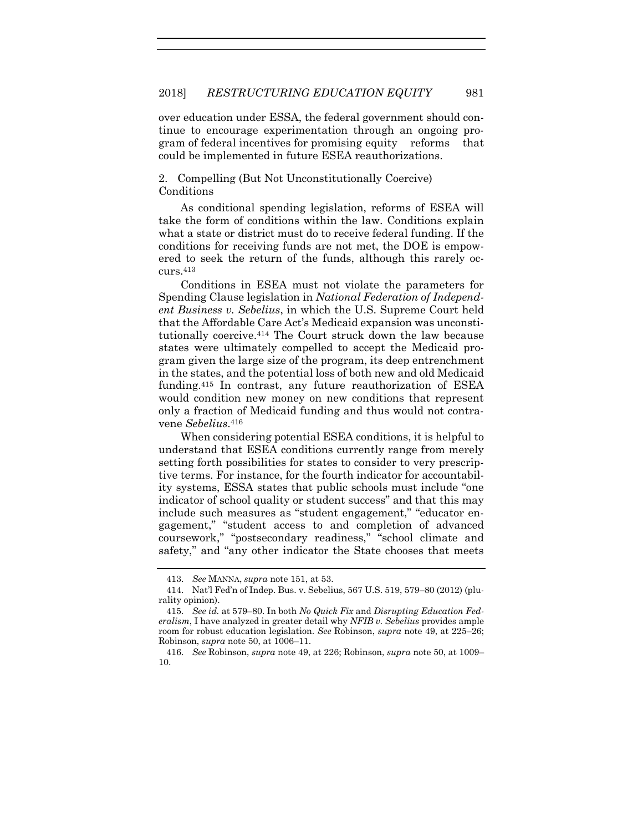over education under ESSA, the federal government should continue to encourage experimentation through an ongoing program of federal incentives for promising equity reforms that could be implemented in future ESEA reauthorizations.

2. Compelling (But Not Unconstitutionally Coercive) Conditions

As conditional spending legislation, reforms of ESEA will take the form of conditions within the law. Conditions explain what a state or district must do to receive federal funding. If the conditions for receiving funds are not met, the DOE is empowered to seek the return of the funds, although this rarely occurs.<sup>413</sup>

Conditions in ESEA must not violate the parameters for Spending Clause legislation in *National Federation of Independent Business v. Sebelius*, in which the U.S. Supreme Court held that the Affordable Care Act's Medicaid expansion was unconstitutionally coercive.<sup>414</sup> The Court struck down the law because states were ultimately compelled to accept the Medicaid program given the large size of the program, its deep entrenchment in the states, and the potential loss of both new and old Medicaid funding.<sup>415</sup> In contrast, any future reauthorization of ESEA would condition new money on new conditions that represent only a fraction of Medicaid funding and thus would not contravene *Sebelius*. 416

When considering potential ESEA conditions, it is helpful to understand that ESEA conditions currently range from merely setting forth possibilities for states to consider to very prescriptive terms. For instance, for the fourth indicator for accountability systems, ESSA states that public schools must include "one indicator of school quality or student success" and that this may include such measures as "student engagement," "educator engagement," "student access to and completion of advanced coursework," "postsecondary readiness," "school climate and safety," and "any other indicator the State chooses that meets

<sup>413.</sup> *See* MANNA, *supra* not[e 151,](#page-26-0) at 53.

<sup>414.</sup> Nat'l Fed'n of Indep. Bus. v. Sebelius, 567 U.S. 519, 579–80 (2012) (plurality opinion).

<sup>415.</sup> *See id.* at 579–80. In both *No Quick Fix* and *Disrupting Education Federalism*, I have analyzed in greater detail why *NFIB v. Sebelius* provides ample room for robust education legislation. *See* Robinson, *supra* note [49,](#page-11-1) at 225–26; Robinson, *supra* not[e 50,](#page-11-0) at 1006–11.

<sup>416.</sup> *See* Robinson, *supra* note [49,](#page-11-1) at 226; Robinson, *supra* note [50,](#page-11-0) at 1009– 10.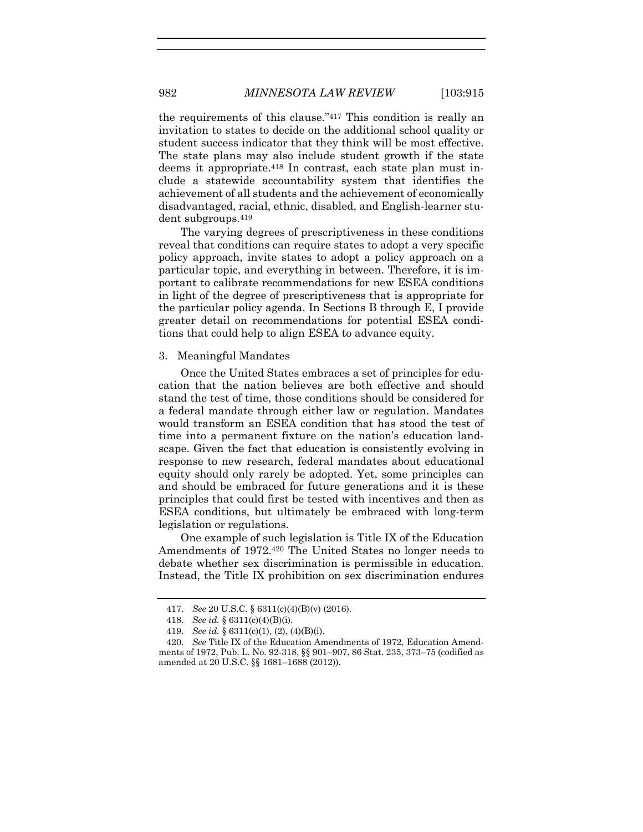the requirements of this clause."<sup>417</sup> This condition is really an invitation to states to decide on the additional school quality or student success indicator that they think will be most effective. The state plans may also include student growth if the state deems it appropriate.<sup>418</sup> In contrast, each state plan must include a statewide accountability system that identifies the achievement of all students and the achievement of economically disadvantaged, racial, ethnic, disabled, and English-learner student subgroups.<sup>419</sup>

The varying degrees of prescriptiveness in these conditions reveal that conditions can require states to adopt a very specific policy approach, invite states to adopt a policy approach on a particular topic, and everything in between. Therefore, it is important to calibrate recommendations for new ESEA conditions in light of the degree of prescriptiveness that is appropriate for the particular policy agenda. In Sections B through E, I provide greater detail on recommendations for potential ESEA conditions that could help to align ESEA to advance equity.

### 3. Meaningful Mandates

Once the United States embraces a set of principles for education that the nation believes are both effective and should stand the test of time, those conditions should be considered for a federal mandate through either law or regulation. Mandates would transform an ESEA condition that has stood the test of time into a permanent fixture on the nation's education landscape. Given the fact that education is consistently evolving in response to new research, federal mandates about educational equity should only rarely be adopted. Yet, some principles can and should be embraced for future generations and it is these principles that could first be tested with incentives and then as ESEA conditions, but ultimately be embraced with long-term legislation or regulations.

One example of such legislation is Title IX of the Education Amendments of 1972.<sup>420</sup> The United States no longer needs to debate whether sex discrimination is permissible in education. Instead, the Title IX prohibition on sex discrimination endures

<sup>417.</sup> *See* 20 U.S.C. § 6311(c)(4)(B)(v) (2016).

<sup>418.</sup> *See id.* § 6311(c)(4)(B)(i).

<sup>419.</sup> *See id.* § 6311(c)(1), (2), (4)(B)(i).

<sup>420.</sup> *See* Title IX of the Education Amendments of 1972, Education Amendments of 1972, Pub. L. No. 92-318, §§ 901–907, 86 Stat. 235, 373–75 (codified as amended at 20 U.S.C. §§ 1681–1688 (2012)).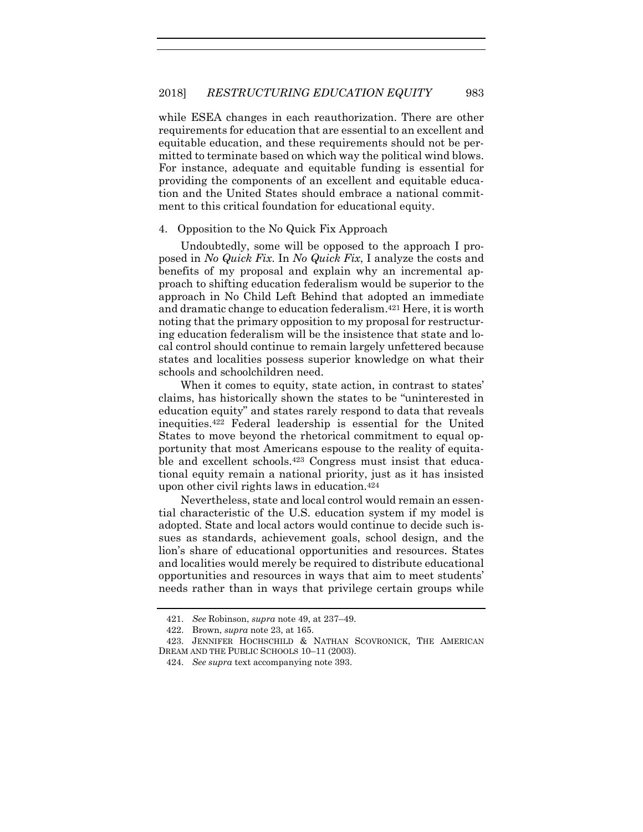while ESEA changes in each reauthorization. There are other requirements for education that are essential to an excellent and equitable education, and these requirements should not be permitted to terminate based on which way the political wind blows. For instance, adequate and equitable funding is essential for providing the components of an excellent and equitable education and the United States should embrace a national commitment to this critical foundation for educational equity.

#### 4. Opposition to the No Quick Fix Approach

Undoubtedly, some will be opposed to the approach I proposed in *No Quick Fix*. In *No Quick Fix*, I analyze the costs and benefits of my proposal and explain why an incremental approach to shifting education federalism would be superior to the approach in No Child Left Behind that adopted an immediate and dramatic change to education federalism. <sup>421</sup> Here, it is worth noting that the primary opposition to my proposal for restructuring education federalism will be the insistence that state and local control should continue to remain largely unfettered because states and localities possess superior knowledge on what their schools and schoolchildren need.

When it comes to equity, state action, in contrast to states' claims, has historically shown the states to be "uninterested in education equity" and states rarely respond to data that reveals inequities. <sup>422</sup> Federal leadership is essential for the United States to move beyond the rhetorical commitment to equal opportunity that most Americans espouse to the reality of equitable and excellent schools.<sup>423</sup> Congress must insist that educational equity remain a national priority, just as it has insisted upon other civil rights laws in education.<sup>424</sup>

Nevertheless, state and local control would remain an essential characteristic of the U.S. education system if my model is adopted. State and local actors would continue to decide such issues as standards, achievement goals, school design, and the lion's share of educational opportunities and resources. States and localities would merely be required to distribute educational opportunities and resources in ways that aim to meet students' needs rather than in ways that privilege certain groups while

<sup>421.</sup> *See* Robinson, *supra* note [49,](#page-11-1) at 237–49.

<sup>422.</sup> Brown, *supra* note [23,](#page-5-0) at 165.

<sup>423.</sup> JENNIFER HOCHSCHILD & NATHAN SCOVRONICK, THE AMERICAN DREAM AND THE PUBLIC SCHOOLS 10–11 (2003).

<sup>424.</sup> *See supra* text accompanying note [393.](#page-63-0)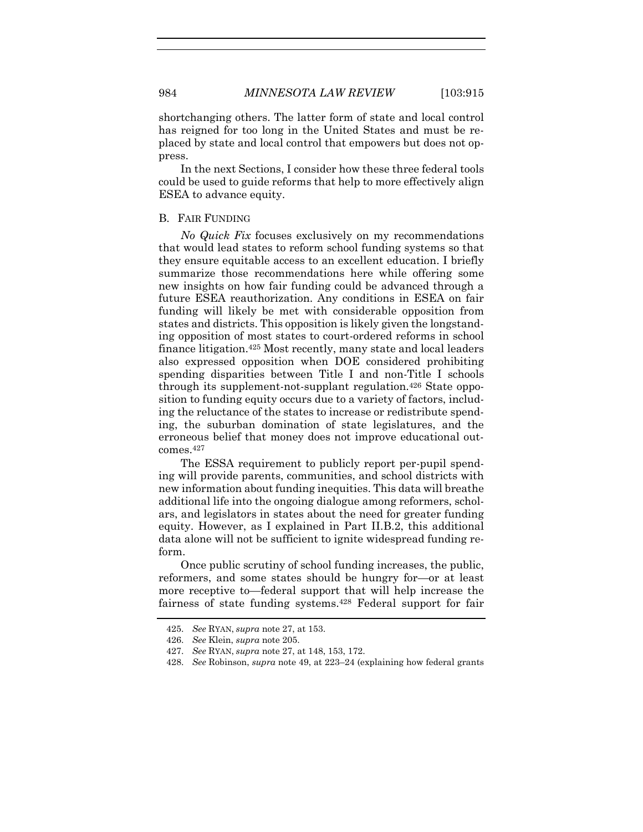shortchanging others. The latter form of state and local control has reigned for too long in the United States and must be replaced by state and local control that empowers but does not oppress.

In the next Sections, I consider how these three federal tools could be used to guide reforms that help to more effectively align ESEA to advance equity.

# B. FAIR FUNDING

*No Quick Fix* focuses exclusively on my recommendations that would lead states to reform school funding systems so that they ensure equitable access to an excellent education. I briefly summarize those recommendations here while offering some new insights on how fair funding could be advanced through a future ESEA reauthorization. Any conditions in ESEA on fair funding will likely be met with considerable opposition from states and districts. This opposition is likely given the longstanding opposition of most states to court-ordered reforms in school finance litigation.<sup>425</sup> Most recently, many state and local leaders also expressed opposition when DOE considered prohibiting spending disparities between Title I and non-Title I schools through its supplement-not-supplant regulation.<sup>426</sup> State opposition to funding equity occurs due to a variety of factors, including the reluctance of the states to increase or redistribute spending, the suburban domination of state legislatures, and the erroneous belief that money does not improve educational outcomes.<sup>427</sup>

The ESSA requirement to publicly report per-pupil spending will provide parents, communities, and school districts with new information about funding inequities. This data will breathe additional life into the ongoing dialogue among reformers, scholars, and legislators in states about the need for greater funding equity. However, as I explained in Part II.B.2, this additional data alone will not be sufficient to ignite widespread funding reform.

Once public scrutiny of school funding increases, the public, reformers, and some states should be hungry for—or at least more receptive to—federal support that will help increase the fairness of state funding systems.<sup>428</sup> Federal support for fair

<sup>425.</sup> *See* RYAN, *supra* note [27,](#page-6-0) at 153.

<sup>426.</sup> *See* Klein, *supra* note [205.](#page-33-0)

<sup>427.</sup> *See* RYAN, *supra* note [27,](#page-6-0) at 148, 153, 172.

<sup>428.</sup> *See* Robinson, *supra* not[e 49,](#page-11-1) at 223–24 (explaining how federal grants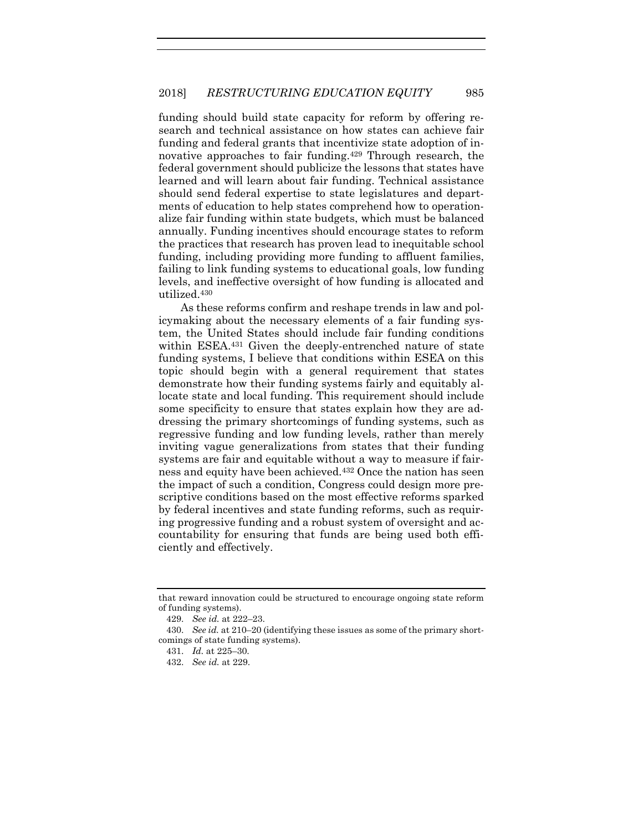funding should build state capacity for reform by offering research and technical assistance on how states can achieve fair funding and federal grants that incentivize state adoption of innovative approaches to fair funding.<sup>429</sup> Through research, the federal government should publicize the lessons that states have learned and will learn about fair funding. Technical assistance should send federal expertise to state legislatures and departments of education to help states comprehend how to operationalize fair funding within state budgets, which must be balanced annually. Funding incentives should encourage states to reform the practices that research has proven lead to inequitable school funding, including providing more funding to affluent families, failing to link funding systems to educational goals, low funding levels, and ineffective oversight of how funding is allocated and utilized.<sup>430</sup>

As these reforms confirm and reshape trends in law and policymaking about the necessary elements of a fair funding system, the United States should include fair funding conditions within ESEA. <sup>431</sup> Given the deeply-entrenched nature of state funding systems, I believe that conditions within ESEA on this topic should begin with a general requirement that states demonstrate how their funding systems fairly and equitably allocate state and local funding. This requirement should include some specificity to ensure that states explain how they are addressing the primary shortcomings of funding systems, such as regressive funding and low funding levels, rather than merely inviting vague generalizations from states that their funding systems are fair and equitable without a way to measure if fairness and equity have been achieved.<sup>432</sup> Once the nation has seen the impact of such a condition, Congress could design more prescriptive conditions based on the most effective reforms sparked by federal incentives and state funding reforms, such as requiring progressive funding and a robust system of oversight and accountability for ensuring that funds are being used both efficiently and effectively.

that reward innovation could be structured to encourage ongoing state reform of funding systems).

<sup>429.</sup> *See id.* at 222–23.

<sup>430.</sup> *See id.* at 210–20 (identifying these issues as some of the primary shortcomings of state funding systems).

<sup>431.</sup> *Id.* at 225–30.

<sup>432.</sup> *See id.* at 229.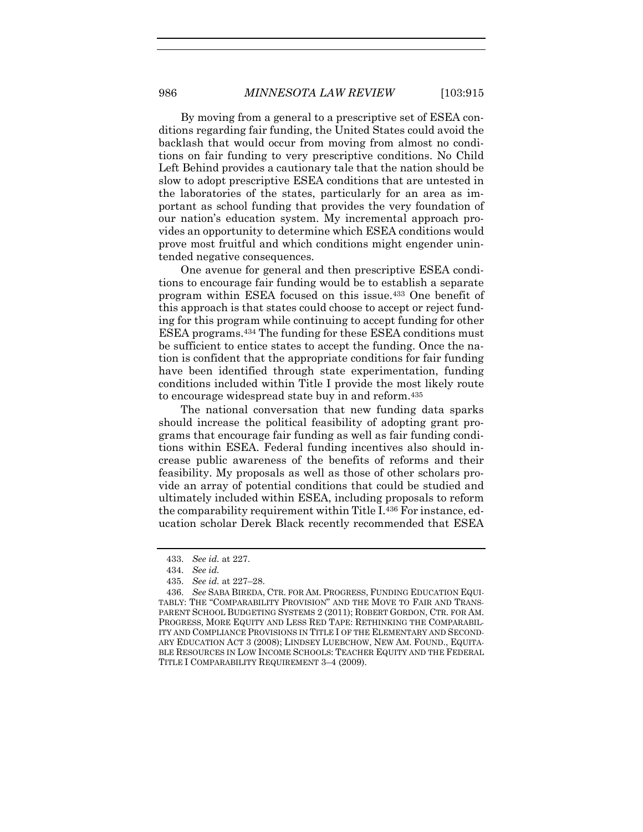By moving from a general to a prescriptive set of ESEA conditions regarding fair funding, the United States could avoid the backlash that would occur from moving from almost no conditions on fair funding to very prescriptive conditions. No Child Left Behind provides a cautionary tale that the nation should be slow to adopt prescriptive ESEA conditions that are untested in the laboratories of the states, particularly for an area as important as school funding that provides the very foundation of our nation's education system. My incremental approach provides an opportunity to determine which ESEA conditions would prove most fruitful and which conditions might engender unintended negative consequences.

One avenue for general and then prescriptive ESEA conditions to encourage fair funding would be to establish a separate program within ESEA focused on this issue.<sup>433</sup> One benefit of this approach is that states could choose to accept or reject funding for this program while continuing to accept funding for other ESEA programs.<sup>434</sup> The funding for these ESEA conditions must be sufficient to entice states to accept the funding. Once the nation is confident that the appropriate conditions for fair funding have been identified through state experimentation, funding conditions included within Title I provide the most likely route to encourage widespread state buy in and reform.<sup>435</sup>

The national conversation that new funding data sparks should increase the political feasibility of adopting grant programs that encourage fair funding as well as fair funding conditions within ESEA. Federal funding incentives also should increase public awareness of the benefits of reforms and their feasibility. My proposals as well as those of other scholars provide an array of potential conditions that could be studied and ultimately included within ESEA, including proposals to reform the comparability requirement within Title I.<sup>436</sup> For instance, education scholar Derek Black recently recommended that ESEA

<sup>433.</sup> *See id.* at 227.

<sup>434.</sup> *See id.*

<sup>435.</sup> *See id.* at 227–28.

<sup>436.</sup> *See* SABA BIREDA, CTR. FOR AM. PROGRESS, FUNDING EDUCATION EQUI-TABLY: THE "COMPARABILITY PROVISION" AND THE MOVE TO FAIR AND TRANS-PARENT SCHOOL BUDGETING SYSTEMS 2 (2011); ROBERT GORDON, CTR. FOR AM. PROGRESS, MORE EQUITY AND LESS RED TAPE: RETHINKING THE COMPARABIL-ITY AND COMPLIANCE PROVISIONS IN TITLE I OF THE ELEMENTARY AND SECOND-ARY EDUCATION ACT 3 (2008); LINDSEY LUEBCHOW, NEW AM. FOUND., EQUITA-BLE RESOURCES IN LOW INCOME SCHOOLS: TEACHER EQUITY AND THE FEDERAL TITLE I COMPARABILITY REQUIREMENT 3–4 (2009).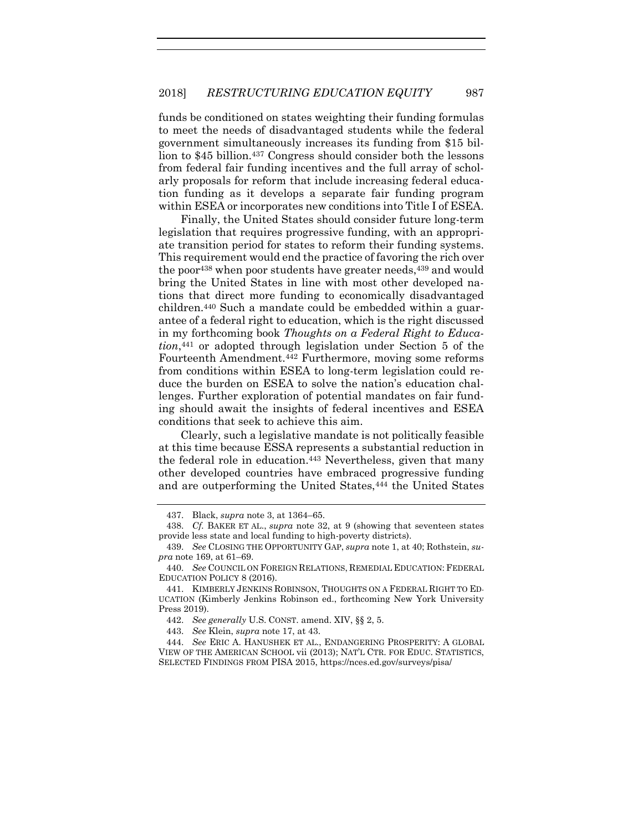funds be conditioned on states weighting their funding formulas to meet the needs of disadvantaged students while the federal government simultaneously increases its funding from \$15 billion to \$45 billion.<sup>437</sup> Congress should consider both the lessons from federal fair funding incentives and the full array of scholarly proposals for reform that include increasing federal education funding as it develops a separate fair funding program within ESEA or incorporates new conditions into Title I of ESEA.

Finally, the United States should consider future long-term legislation that requires progressive funding, with an appropriate transition period for states to reform their funding systems. This requirement would end the practice of favoring the rich over the poor<sup>438</sup> when poor students have greater needs, <sup>439</sup> and would bring the United States in line with most other developed nations that direct more funding to economically disadvantaged children.<sup>440</sup> Such a mandate could be embedded within a guarantee of a federal right to education, which is the right discussed in my forthcoming book *Thoughts on a Federal Right to Education*, <sup>441</sup> or adopted through legislation under Section 5 of the Fourteenth Amendment.<sup>442</sup> Furthermore, moving some reforms from conditions within ESEA to long-term legislation could reduce the burden on ESEA to solve the nation's education challenges. Further exploration of potential mandates on fair funding should await the insights of federal incentives and ESEA conditions that seek to achieve this aim.

Clearly, such a legislative mandate is not politically feasible at this time because ESSA represents a substantial reduction in the federal role in education. <sup>443</sup> Nevertheless, given that many other developed countries have embraced progressive funding and are outperforming the United States,<sup>444</sup> the United States

<sup>437.</sup> Black, *supra* note [3,](#page-2-0) at 1364–65.

<sup>438.</sup> *Cf.* BAKER ET AL., *supra* note [32,](#page-7-0) at 9 (showing that seventeen states provide less state and local funding to high-poverty districts).

<sup>439.</sup> *See* CLOSING THE OPPORTUNITY GAP, *supra* not[e 1,](#page-2-1) at 40; Rothstein, *supra* note [169,](#page-28-0) at 61–69.

<sup>440.</sup> *See* COUNCIL ON FOREIGN RELATIONS, REMEDIAL EDUCATION: FEDERAL EDUCATION POLICY 8 (2016).

<sup>441.</sup> KIMBERLY JENKINS ROBINSON, THOUGHTS ON A FEDERAL RIGHT TO ED-UCATION (Kimberly Jenkins Robinson ed., forthcoming New York University Press 2019).

<sup>442.</sup> *See generally* U.S. CONST. amend. XIV, §§ 2, 5.

<sup>443.</sup> *See* Klein, *supra* note [17,](#page-4-0) at 43.

<sup>444.</sup> *See* ERIC A. HANUSHEK ET AL., ENDANGERING PROSPERITY: A GLOBAL VIEW OF THE AMERICAN SCHOOL vii (2013); NAT'L CTR. FOR EDUC. STATISTICS, SELECTED FINDINGS FROM PISA 2015, https://nces.ed.gov/surveys/pisa/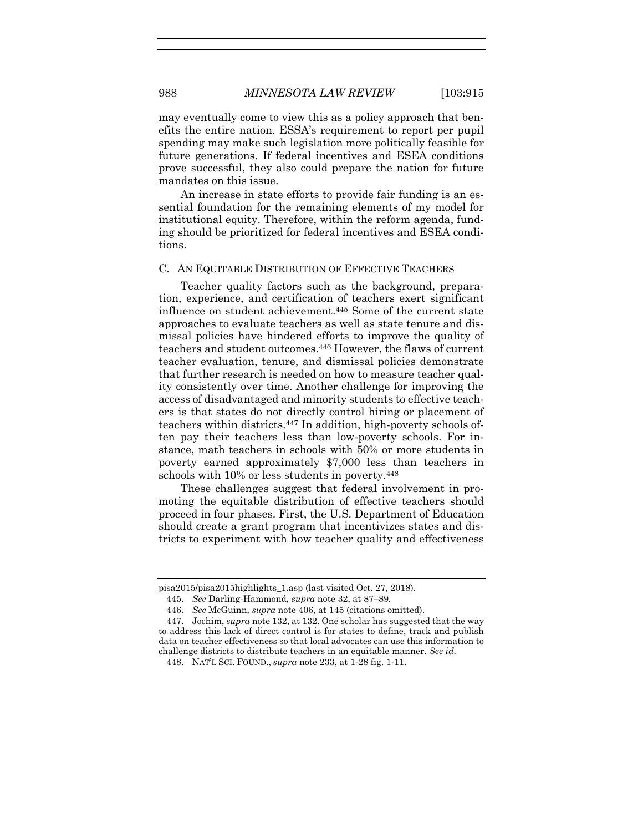may eventually come to view this as a policy approach that benefits the entire nation. ESSA's requirement to report per pupil spending may make such legislation more politically feasible for future generations. If federal incentives and ESEA conditions prove successful, they also could prepare the nation for future mandates on this issue.

An increase in state efforts to provide fair funding is an essential foundation for the remaining elements of my model for institutional equity. Therefore, within the reform agenda, funding should be prioritized for federal incentives and ESEA conditions.

## C. AN EQUITABLE DISTRIBUTION OF EFFECTIVE TEACHERS

Teacher quality factors such as the background, preparation, experience, and certification of teachers exert significant influence on student achievement.<sup>445</sup> Some of the current state approaches to evaluate teachers as well as state tenure and dismissal policies have hindered efforts to improve the quality of teachers and student outcomes. <sup>446</sup> However, the flaws of current teacher evaluation, tenure, and dismissal policies demonstrate that further research is needed on how to measure teacher quality consistently over time. Another challenge for improving the access of disadvantaged and minority students to effective teachers is that states do not directly control hiring or placement of teachers within districts.<sup>447</sup> In addition, high-poverty schools often pay their teachers less than low-poverty schools. For instance, math teachers in schools with 50% or more students in poverty earned approximately \$7,000 less than teachers in schools with 10% or less students in poverty.<sup>448</sup>

These challenges suggest that federal involvement in promoting the equitable distribution of effective teachers should proceed in four phases. First, the U.S. Department of Education should create a grant program that incentivizes states and districts to experiment with how teacher quality and effectiveness

pisa2015/pisa2015highlights\_1.asp (last visited Oct. 27, 2018).

<sup>445.</sup> *See* Darling-Hammond, *supra* note [32,](#page-7-0) at 87–89.

<sup>446.</sup> *See* McGuinn, *supra* note [406,](#page-65-0) at 145 (citations omitted).

<sup>447.</sup> Jochim, *supra* not[e 132,](#page-22-0) at 132. One scholar has suggested that the way to address this lack of direct control is for states to define, track and publish data on teacher effectiveness so that local advocates can use this information to challenge districts to distribute teachers in an equitable manner. *See id.*

<sup>448.</sup> NAT'L SCI. FOUND., *supra* not[e 233,](#page-38-0) at 1-28 fig. 1-11.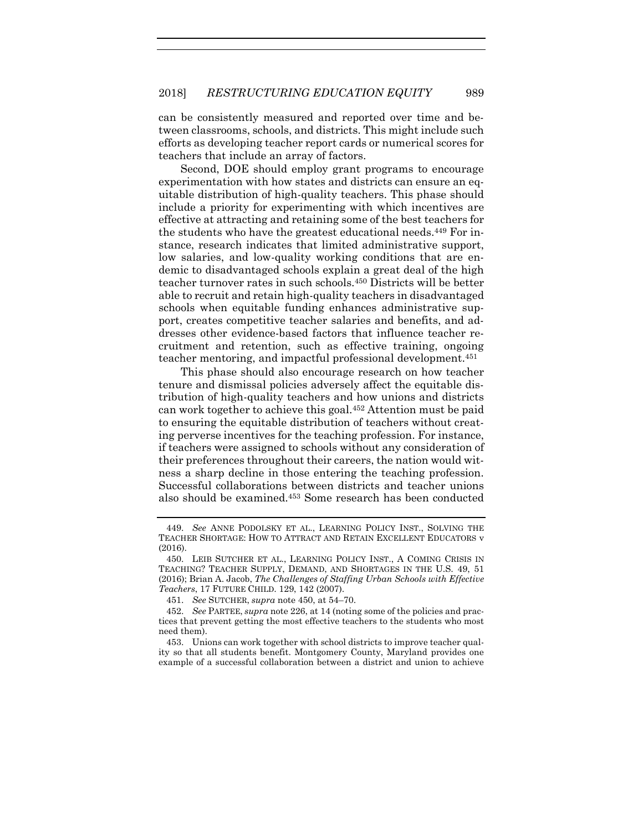can be consistently measured and reported over time and between classrooms, schools, and districts. This might include such efforts as developing teacher report cards or numerical scores for teachers that include an array of factors.

Second, DOE should employ grant programs to encourage experimentation with how states and districts can ensure an equitable distribution of high-quality teachers. This phase should include a priority for experimenting with which incentives are effective at attracting and retaining some of the best teachers for the students who have the greatest educational needs.<sup>449</sup> For instance, research indicates that limited administrative support, low salaries, and low-quality working conditions that are endemic to disadvantaged schools explain a great deal of the high teacher turnover rates in such schools.<sup>450</sup> Districts will be better able to recruit and retain high-quality teachers in disadvantaged schools when equitable funding enhances administrative support, creates competitive teacher salaries and benefits, and addresses other evidence-based factors that influence teacher recruitment and retention, such as effective training, ongoing teacher mentoring, and impactful professional development.<sup>451</sup>

<span id="page-75-0"></span>This phase should also encourage research on how teacher tenure and dismissal policies adversely affect the equitable distribution of high-quality teachers and how unions and districts can work together to achieve this goal.<sup>452</sup> Attention must be paid to ensuring the equitable distribution of teachers without creating perverse incentives for the teaching profession. For instance, if teachers were assigned to schools without any consideration of their preferences throughout their careers, the nation would witness a sharp decline in those entering the teaching profession. Successful collaborations between districts and teacher unions also should be examined.<sup>453</sup> Some research has been conducted

<sup>449.</sup> *See* ANNE PODOLSKY ET AL., LEARNING POLICY INST., SOLVING THE TEACHER SHORTAGE: HOW TO ATTRACT AND RETAIN EXCELLENT EDUCATORS v (2016).

<sup>450.</sup> LEIB SUTCHER ET AL., LEARNING POLICY INST., A COMING CRISIS IN TEACHING? TEACHER SUPPLY, DEMAND, AND SHORTAGES IN THE U.S. 49, 51 (2016); Brian A. Jacob, *The Challenges of Staffing Urban Schools with Effective Teachers*, 17 FUTURE CHILD. 129, 142 (2007).

<sup>451.</sup> *See* SUTCHER, *supra* note [450,](#page-75-0) at 54–70.

<sup>452.</sup> *See* PARTEE, *supra* not[e 226,](#page-37-0) at 14 (noting some of the policies and practices that prevent getting the most effective teachers to the students who most need them).

<sup>453.</sup> Unions can work together with school districts to improve teacher quality so that all students benefit. Montgomery County, Maryland provides one example of a successful collaboration between a district and union to achieve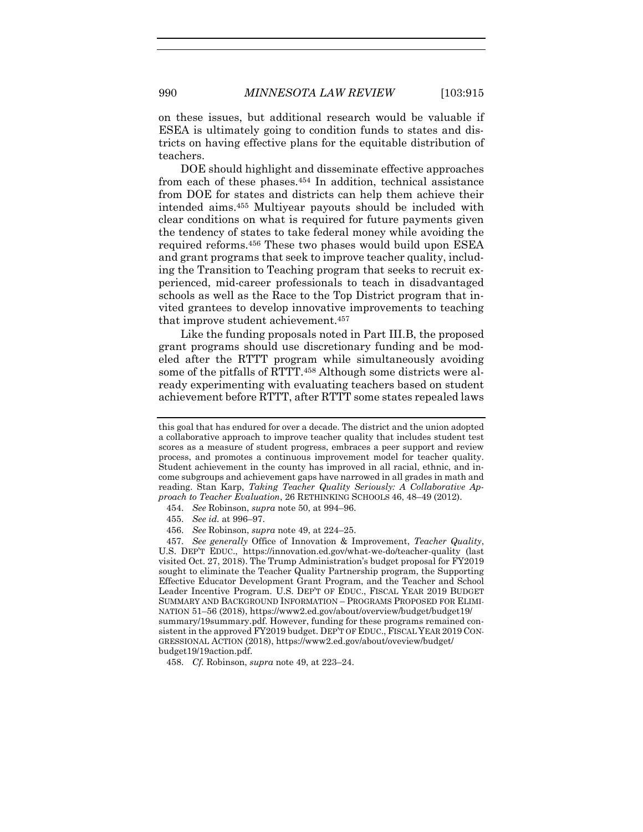on these issues, but additional research would be valuable if ESEA is ultimately going to condition funds to states and districts on having effective plans for the equitable distribution of teachers.

DOE should highlight and disseminate effective approaches from each of these phases.<sup>454</sup> In addition, technical assistance from DOE for states and districts can help them achieve their intended aims. <sup>455</sup> Multiyear payouts should be included with clear conditions on what is required for future payments given the tendency of states to take federal money while avoiding the required reforms.<sup>456</sup> These two phases would build upon ESEA and grant programs that seek to improve teacher quality, including the Transition to Teaching program that seeks to recruit experienced, mid-career professionals to teach in disadvantaged schools as well as the Race to the Top District program that invited grantees to develop innovative improvements to teaching that improve student achievement.<sup>457</sup>

Like the funding proposals noted in Part III.B, the proposed grant programs should use discretionary funding and be modeled after the RTTT program while simultaneously avoiding some of the pitfalls of RTTT.<sup>458</sup> Although some districts were already experimenting with evaluating teachers based on student achievement before RTTT, after RTTT some states repealed laws

this goal that has endured for over a decade. The district and the union adopted a collaborative approach to improve teacher quality that includes student test scores as a measure of student progress, embraces a peer support and review process, and promotes a continuous improvement model for teacher quality. Student achievement in the county has improved in all racial, ethnic, and income subgroups and achievement gaps have narrowed in all grades in math and reading. Stan Karp, *Taking Teacher Quality Seriously: A Collaborative Approach to Teacher Evaluation*, 26 RETHINKING SCHOOLS 46, 48–49 (2012).

<sup>454.</sup> *See* Robinson, *supra* note [50,](#page-11-0) at 994–96.

<sup>455.</sup> *See id.* at 996–97.

<sup>456.</sup> *See* Robinson, *supra* note [49,](#page-11-1) at 224–25.

<sup>457.</sup> *See generally* Office of Innovation & Improvement, *Teacher Quality*, U.S. DEP'T EDUC., https://innovation.ed.gov/what-we-do/teacher-quality (last visited Oct. 27, 2018). The Trump Administration's budget proposal for FY2019 sought to eliminate the Teacher Quality Partnership program, the Supporting Effective Educator Development Grant Program, and the Teacher and School Leader Incentive Program. U.S. DEP'T OF EDUC., FISCAL YEAR 2019 BUDGET SUMMARY AND BACKGROUND INFORMATION – PROGRAMS PROPOSED FOR ELIMI-NATION 51–56 (2018), https://www2.ed.gov/about/overview/budget/budget19/ summary/19summary.pdf. However, funding for these programs remained consistent in the approved FY2019 budget. DEP'T OF EDUC., FISCAL YEAR 2019 CON-GRESSIONAL ACTION (2018), https://www2.ed.gov/about/oveview/budget/ budget19/19action.pdf.

<sup>458.</sup> *Cf.* Robinson, *supra* note [49,](#page-11-1) at 223–24.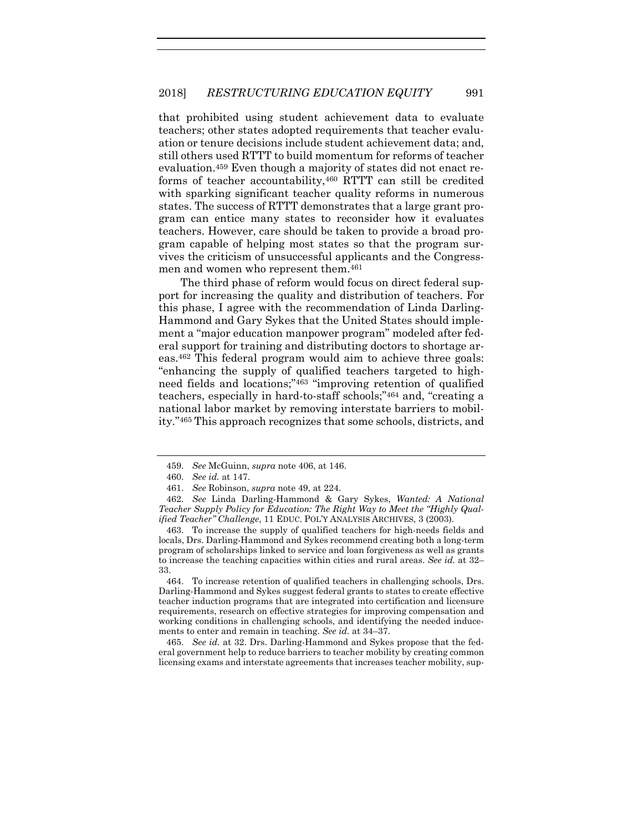that prohibited using student achievement data to evaluate teachers; other states adopted requirements that teacher evaluation or tenure decisions include student achievement data; and, still others used RTTT to build momentum for reforms of teacher evaluation.<sup>459</sup> Even though a majority of states did not enact reforms of teacher accountability,<sup>460</sup> RTTT can still be credited with sparking significant teacher quality reforms in numerous states. The success of RTTT demonstrates that a large grant program can entice many states to reconsider how it evaluates teachers. However, care should be taken to provide a broad program capable of helping most states so that the program survives the criticism of unsuccessful applicants and the Congressmen and women who represent them.<sup>461</sup>

The third phase of reform would focus on direct federal support for increasing the quality and distribution of teachers. For this phase, I agree with the recommendation of Linda Darling-Hammond and Gary Sykes that the United States should implement a "major education manpower program" modeled after federal support for training and distributing doctors to shortage areas.<sup>462</sup> This federal program would aim to achieve three goals: "enhancing the supply of qualified teachers targeted to highneed fields and locations;"<sup>463</sup> "improving retention of qualified teachers, especially in hard-to-staff schools;"<sup>464</sup> and, "creating a national labor market by removing interstate barriers to mobility."<sup>465</sup> This approach recognizes that some schools, districts, and

<sup>459.</sup> *See* McGuinn, *supra* note [406,](#page-65-0) at 146.

<sup>460.</sup> *See id.* at 147.

<sup>461.</sup> *See* Robinson, *supra* note [49,](#page-11-1) at 224.

<sup>462.</sup> *See* Linda Darling-Hammond & Gary Sykes, *Wanted: A National Teacher Supply Policy for Education: The Right Way to Meet the "Highly Qualified Teacher" Challenge*, 11 EDUC. POL'Y ANALYSIS ARCHIVES, 3 (2003).

<sup>463.</sup> To increase the supply of qualified teachers for high-needs fields and locals, Drs. Darling-Hammond and Sykes recommend creating both a long-term program of scholarships linked to service and loan forgiveness as well as grants to increase the teaching capacities within cities and rural areas. *See id.* at 32– 33.

<sup>464.</sup> To increase retention of qualified teachers in challenging schools, Drs. Darling-Hammond and Sykes suggest federal grants to states to create effective teacher induction programs that are integrated into certification and licensure requirements, research on effective strategies for improving compensation and working conditions in challenging schools, and identifying the needed inducements to enter and remain in teaching. *See id.* at 34–37.

<sup>465.</sup> *See id.* at 32. Drs. Darling-Hammond and Sykes propose that the federal government help to reduce barriers to teacher mobility by creating common licensing exams and interstate agreements that increases teacher mobility, sup-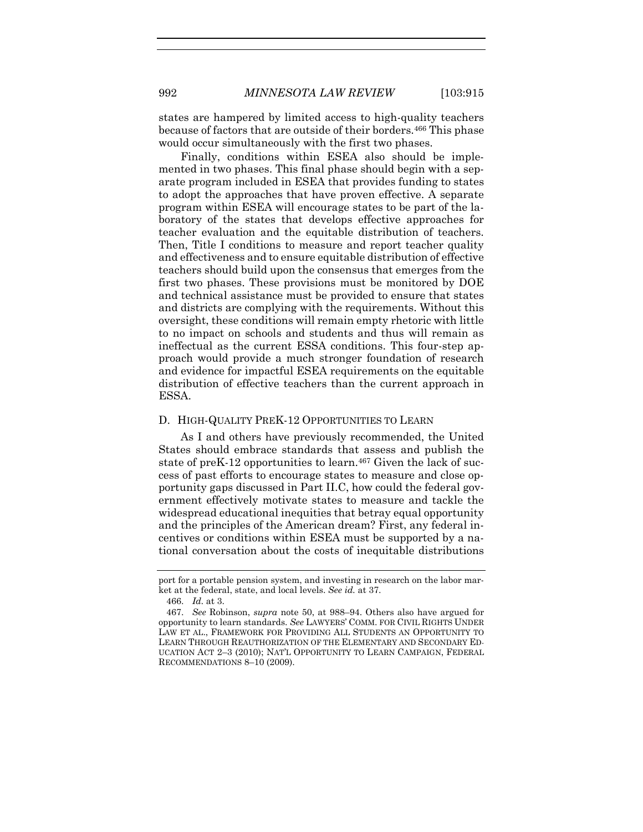states are hampered by limited access to high-quality teachers because of factors that are outside of their borders.<sup>466</sup> This phase would occur simultaneously with the first two phases.

Finally, conditions within ESEA also should be implemented in two phases. This final phase should begin with a separate program included in ESEA that provides funding to states to adopt the approaches that have proven effective. A separate program within ESEA will encourage states to be part of the laboratory of the states that develops effective approaches for teacher evaluation and the equitable distribution of teachers. Then, Title I conditions to measure and report teacher quality and effectiveness and to ensure equitable distribution of effective teachers should build upon the consensus that emerges from the first two phases. These provisions must be monitored by DOE and technical assistance must be provided to ensure that states and districts are complying with the requirements. Without this oversight, these conditions will remain empty rhetoric with little to no impact on schools and students and thus will remain as ineffectual as the current ESSA conditions. This four-step approach would provide a much stronger foundation of research and evidence for impactful ESEA requirements on the equitable distribution of effective teachers than the current approach in ESSA.

## D. HIGH-QUALITY PREK-12 OPPORTUNITIES TO LEARN

As I and others have previously recommended, the United States should embrace standards that assess and publish the state of preK-12 opportunities to learn.<sup>467</sup> Given the lack of success of past efforts to encourage states to measure and close opportunity gaps discussed in Part II.C, how could the federal government effectively motivate states to measure and tackle the widespread educational inequities that betray equal opportunity and the principles of the American dream? First, any federal incentives or conditions within ESEA must be supported by a national conversation about the costs of inequitable distributions

port for a portable pension system, and investing in research on the labor market at the federal, state, and local levels. *See id.* at 37.

<sup>466.</sup> *Id.* at 3.

<sup>467.</sup> *See* Robinson, *supra* note [50,](#page-11-0) at 988–94. Others also have argued for opportunity to learn standards. *See* LAWYERS' COMM. FOR CIVIL RIGHTS UNDER LAW ET AL., FRAMEWORK FOR PROVIDING ALL STUDENTS AN OPPORTUNITY TO LEARN THROUGH REAUTHORIZATION OF THE ELEMENTARY AND SECONDARY ED-UCATION ACT 2–3 (2010); NAT'L OPPORTUNITY TO LEARN CAMPAIGN, FEDERAL RECOMMENDATIONS 8–10 (2009).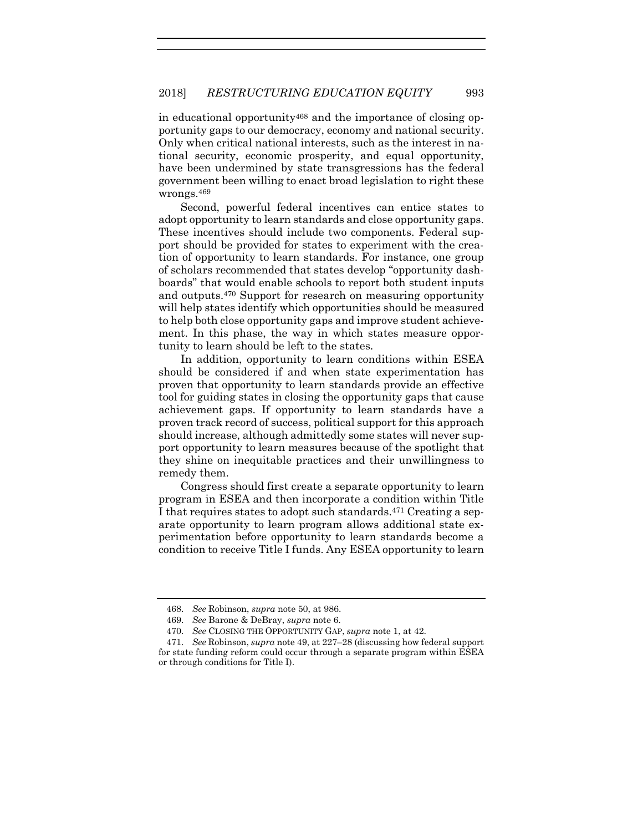in educational opportunity<sup>468</sup> and the importance of closing opportunity gaps to our democracy, economy and national security. Only when critical national interests, such as the interest in national security, economic prosperity, and equal opportunity, have been undermined by state transgressions has the federal government been willing to enact broad legislation to right these wrongs.<sup>469</sup>

Second, powerful federal incentives can entice states to adopt opportunity to learn standards and close opportunity gaps. These incentives should include two components. Federal support should be provided for states to experiment with the creation of opportunity to learn standards. For instance, one group of scholars recommended that states develop "opportunity dashboards" that would enable schools to report both student inputs and outputs.<sup>470</sup> Support for research on measuring opportunity will help states identify which opportunities should be measured to help both close opportunity gaps and improve student achievement. In this phase, the way in which states measure opportunity to learn should be left to the states.

In addition, opportunity to learn conditions within ESEA should be considered if and when state experimentation has proven that opportunity to learn standards provide an effective tool for guiding states in closing the opportunity gaps that cause achievement gaps. If opportunity to learn standards have a proven track record of success, political support for this approach should increase, although admittedly some states will never support opportunity to learn measures because of the spotlight that they shine on inequitable practices and their unwillingness to remedy them.

Congress should first create a separate opportunity to learn program in ESEA and then incorporate a condition within Title I that requires states to adopt such standards. <sup>471</sup> Creating a separate opportunity to learn program allows additional state experimentation before opportunity to learn standards become a condition to receive Title I funds. Any ESEA opportunity to learn

<sup>468.</sup> *See* Robinson, *supra* note [50,](#page-11-0) at 986.

<sup>469.</sup> *See* Barone & DeBray, *supra* not[e 6.](#page-3-0)

<sup>470.</sup> *See* CLOSING THE OPPORTUNITY GAP, *supra* not[e 1,](#page-2-1) at 42.

<sup>471.</sup> *See* Robinson, *supra* note [49,](#page-11-1) at 227–28 (discussing how federal support for state funding reform could occur through a separate program within ESEA or through conditions for Title I).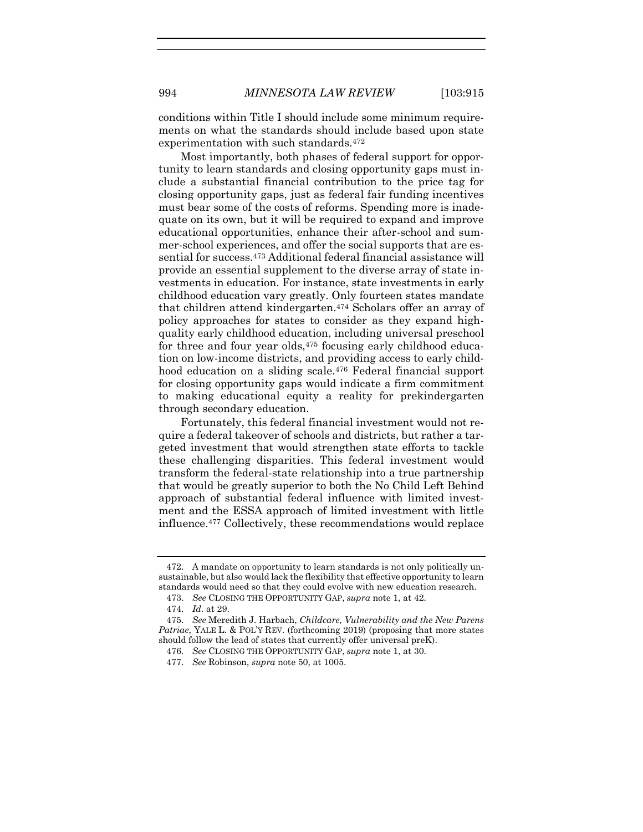conditions within Title I should include some minimum requirements on what the standards should include based upon state experimentation with such standards.<sup>472</sup>

Most importantly, both phases of federal support for opportunity to learn standards and closing opportunity gaps must include a substantial financial contribution to the price tag for closing opportunity gaps, just as federal fair funding incentives must bear some of the costs of reforms. Spending more is inadequate on its own, but it will be required to expand and improve educational opportunities, enhance their after-school and summer-school experiences, and offer the social supports that are essential for success. <sup>473</sup> Additional federal financial assistance will provide an essential supplement to the diverse array of state investments in education. For instance, state investments in early childhood education vary greatly. Only fourteen states mandate that children attend kindergarten. <sup>474</sup> Scholars offer an array of policy approaches for states to consider as they expand highquality early childhood education, including universal preschool for three and four year olds,<sup>475</sup> focusing early childhood education on low-income districts, and providing access to early childhood education on a sliding scale.<sup>476</sup> Federal financial support for closing opportunity gaps would indicate a firm commitment to making educational equity a reality for prekindergarten through secondary education.

Fortunately, this federal financial investment would not require a federal takeover of schools and districts, but rather a targeted investment that would strengthen state efforts to tackle these challenging disparities. This federal investment would transform the federal-state relationship into a true partnership that would be greatly superior to both the No Child Left Behind approach of substantial federal influence with limited investment and the ESSA approach of limited investment with little influence.<sup>477</sup> Collectively, these recommendations would replace

<sup>472.</sup> A mandate on opportunity to learn standards is not only politically unsustainable, but also would lack the flexibility that effective opportunity to learn standards would need so that they could evolve with new education research.

<sup>473.</sup> *See* CLOSING THE OPPORTUNITY GAP, *supra* not[e 1,](#page-2-1) at 42.

<sup>474.</sup> *Id.* at 29.

<sup>475.</sup> *See* Meredith J. Harbach, *Childcare, Vulnerability and the New Parens Patriae*, YALE L. & POL'Y REV. (forthcoming 2019) (proposing that more states should follow the lead of states that currently offer universal preK).

<sup>476.</sup> *See* CLOSING THE OPPORTUNITY GAP, *supra* not[e 1,](#page-2-1) at 30.

<sup>477.</sup> *See* Robinson, *supra* note [50,](#page-11-0) at 1005.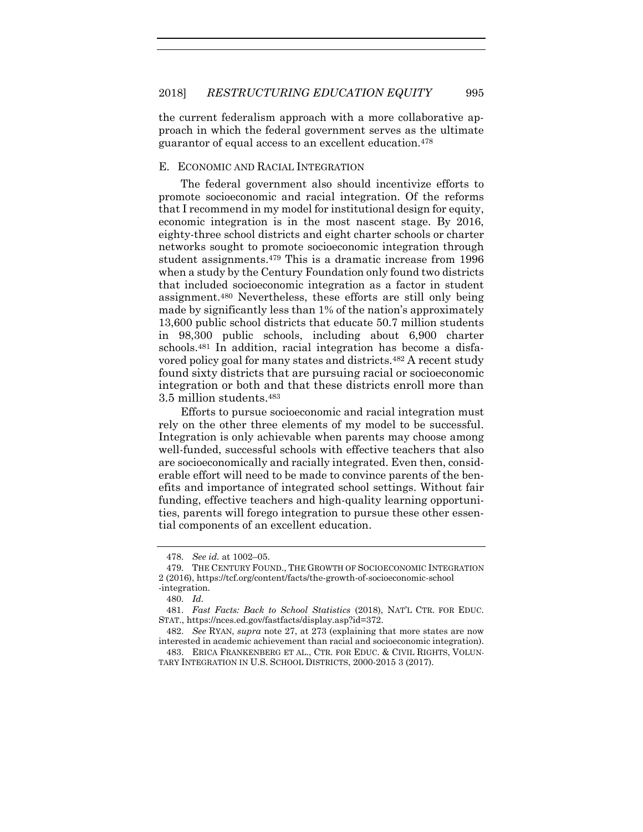the current federalism approach with a more collaborative approach in which the federal government serves as the ultimate guarantor of equal access to an excellent education.<sup>478</sup>

## E. ECONOMIC AND RACIAL INTEGRATION

The federal government also should incentivize efforts to promote socioeconomic and racial integration. Of the reforms that I recommend in my model for institutional design for equity, economic integration is in the most nascent stage. By 2016, eighty-three school districts and eight charter schools or charter networks sought to promote socioeconomic integration through student assignments.<sup>479</sup> This is a dramatic increase from 1996 when a study by the Century Foundation only found two districts that included socioeconomic integration as a factor in student assignment.<sup>480</sup> Nevertheless, these efforts are still only being made by significantly less than 1% of the nation's approximately 13,600 public school districts that educate 50.7 million students in 98,300 public schools, including about 6,900 charter schools.<sup>481</sup> In addition, racial integration has become a disfavored policy goal for many states and districts.<sup>482</sup> A recent study found sixty districts that are pursuing racial or socioeconomic integration or both and that these districts enroll more than 3.5 million students.<sup>483</sup>

Efforts to pursue socioeconomic and racial integration must rely on the other three elements of my model to be successful. Integration is only achievable when parents may choose among well-funded, successful schools with effective teachers that also are socioeconomically and racially integrated. Even then, considerable effort will need to be made to convince parents of the benefits and importance of integrated school settings. Without fair funding, effective teachers and high-quality learning opportunities, parents will forego integration to pursue these other essential components of an excellent education.

<sup>478.</sup> *See id.* at 1002–05.

<sup>479.</sup> THE CENTURY FOUND., THE GROWTH OF SOCIOECONOMIC INTEGRATION 2 (2016), https://tcf.org/content/facts/the-growth-of-socioeconomic-school -integration.

<sup>480.</sup> *Id.*

<sup>481.</sup> *Fast Facts: Back to School Statistics* (2018), NAT'L CTR. FOR EDUC. STAT., https://nces.ed.gov/fastfacts/display.asp?id=372.

<sup>482.</sup> *See* RYAN, *supra* note [27,](#page-6-0) at 273 (explaining that more states are now interested in academic achievement than racial and socioeconomic integration).

<sup>483.</sup> ERICA FRANKENBERG ET AL., CTR. FOR EDUC. & CIVIL RIGHTS, VOLUN-TARY INTEGRATION IN U.S. SCHOOL DISTRICTS, 2000-2015 3 (2017).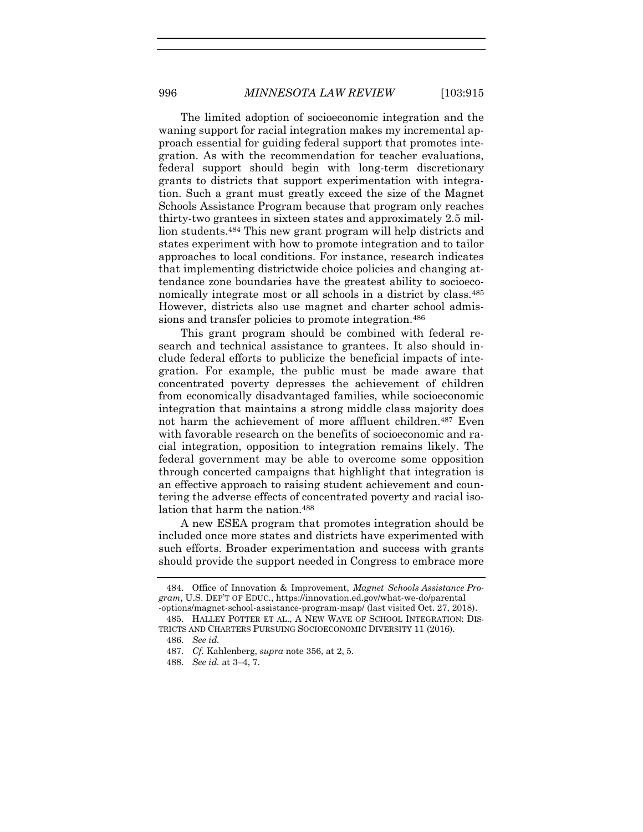The limited adoption of socioeconomic integration and the waning support for racial integration makes my incremental approach essential for guiding federal support that promotes integration. As with the recommendation for teacher evaluations, federal support should begin with long-term discretionary grants to districts that support experimentation with integration. Such a grant must greatly exceed the size of the Magnet Schools Assistance Program because that program only reaches thirty-two grantees in sixteen states and approximately 2.5 million students.<sup>484</sup> This new grant program will help districts and states experiment with how to promote integration and to tailor approaches to local conditions. For instance, research indicates that implementing districtwide choice policies and changing attendance zone boundaries have the greatest ability to socioeconomically integrate most or all schools in a district by class.<sup>485</sup> However, districts also use magnet and charter school admissions and transfer policies to promote integration.<sup>486</sup>

This grant program should be combined with federal research and technical assistance to grantees. It also should include federal efforts to publicize the beneficial impacts of integration. For example, the public must be made aware that concentrated poverty depresses the achievement of children from economically disadvantaged families, while socioeconomic integration that maintains a strong middle class majority does not harm the achievement of more affluent children. <sup>487</sup> Even with favorable research on the benefits of socioeconomic and racial integration, opposition to integration remains likely. The federal government may be able to overcome some opposition through concerted campaigns that highlight that integration is an effective approach to raising student achievement and countering the adverse effects of concentrated poverty and racial isolation that harm the nation. 488

A new ESEA program that promotes integration should be included once more states and districts have experimented with such efforts. Broader experimentation and success with grants should provide the support needed in Congress to embrace more

<sup>484.</sup> Office of Innovation & Improvement, *Magnet Schools Assistance Program*, U.S. DEP'T OF EDUC., https://innovation.ed.gov/what-we-do/parental -options/magnet-school-assistance-program-msap/ (last visited Oct. 27, 2018).

<sup>485.</sup> HALLEY POTTER ET AL., A NEW WAVE OF SCHOOL INTEGRATION: DIS-TRICTS AND CHARTERS PURSUING SOCIOECONOMIC DIVERSITY 11 (2016).

<sup>486.</sup> *See id.*

<sup>487.</sup> *Cf.* Kahlenberg, *supra* not[e 356,](#page-57-0) at 2, 5.

<sup>488.</sup> *See id.* at 3–4, 7.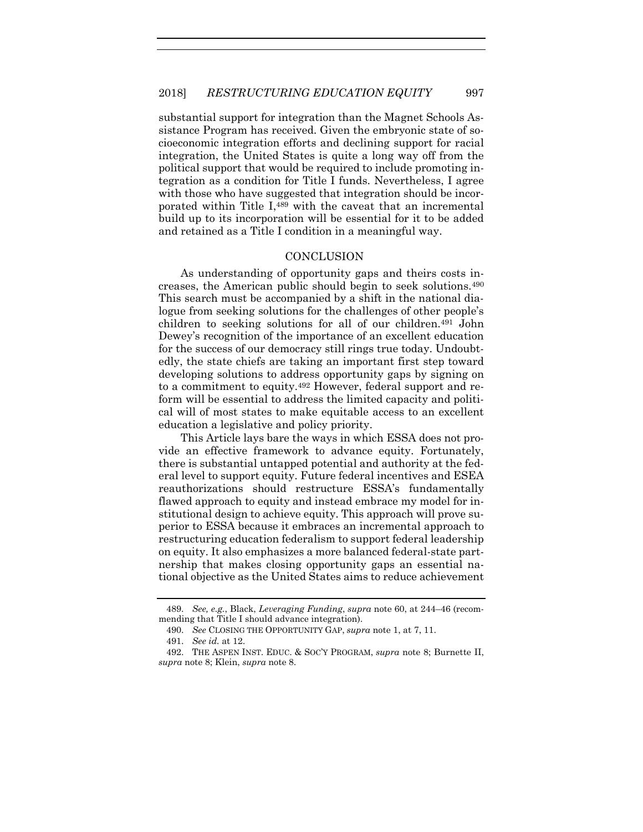substantial support for integration than the Magnet Schools Assistance Program has received. Given the embryonic state of socioeconomic integration efforts and declining support for racial integration, the United States is quite a long way off from the political support that would be required to include promoting integration as a condition for Title I funds. Nevertheless, I agree with those who have suggested that integration should be incorporated within Title I, <sup>489</sup> with the caveat that an incremental build up to its incorporation will be essential for it to be added and retained as a Title I condition in a meaningful way.

## **CONCLUSION**

As understanding of opportunity gaps and theirs costs increases, the American public should begin to seek solutions.<sup>490</sup> This search must be accompanied by a shift in the national dialogue from seeking solutions for the challenges of other people's children to seeking solutions for all of our children.<sup>491</sup> John Dewey's recognition of the importance of an excellent education for the success of our democracy still rings true today. Undoubtedly, the state chiefs are taking an important first step toward developing solutions to address opportunity gaps by signing on to a commitment to equity.<sup>492</sup> However, federal support and reform will be essential to address the limited capacity and political will of most states to make equitable access to an excellent education a legislative and policy priority.

This Article lays bare the ways in which ESSA does not provide an effective framework to advance equity. Fortunately, there is substantial untapped potential and authority at the federal level to support equity. Future federal incentives and ESEA reauthorizations should restructure ESSA's fundamentally flawed approach to equity and instead embrace my model for institutional design to achieve equity. This approach will prove superior to ESSA because it embraces an incremental approach to restructuring education federalism to support federal leadership on equity. It also emphasizes a more balanced federal-state partnership that makes closing opportunity gaps an essential national objective as the United States aims to reduce achievement

<sup>489.</sup> *See, e.g.*, Black, *Leveraging Funding*, *supra* note [60,](#page-13-0) at 244–46 (recommending that Title I should advance integration).

<sup>490.</sup> *See* CLOSING THE OPPORTUNITY GAP, *supra* not[e 1,](#page-2-1) at 7, 11.

<sup>491.</sup> *See id.* at 12.

<sup>492.</sup> THE ASPEN INST. EDUC. & SOC'Y PROGRAM, *supra* note [8;](#page-3-1) Burnette II, *supra* note [8;](#page-3-1) Klein, *supra* note [8.](#page-3-1)